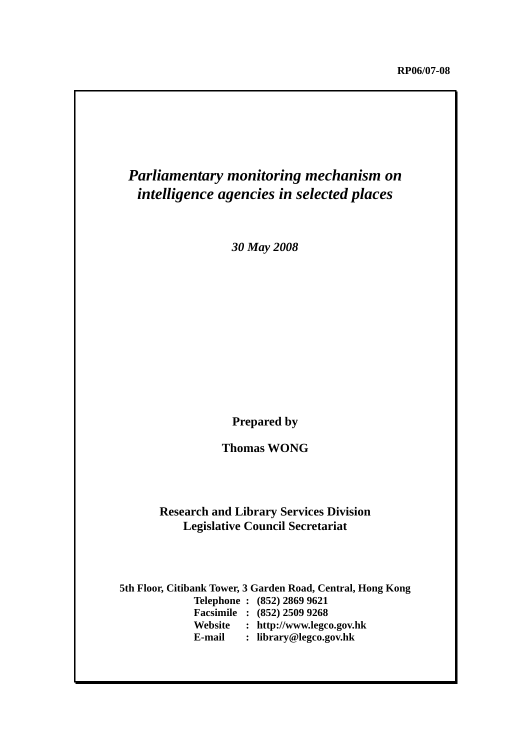# *Parliamentary monitoring mechanism on intelligence agencies in selected places*

*30 May 2008*

**Prepared by** 

**Thomas WONG** 

# **Research and Library Services Division Legislative Council Secretariat**

**5th Floor, Citibank Tower, 3 Garden Road, Central, Hong Kong Telephone : (852) 2869 9621 Facsimile : (852) 2509 9268 Website : http://www.legco.gov.hk E-mail : library@legco.gov.hk**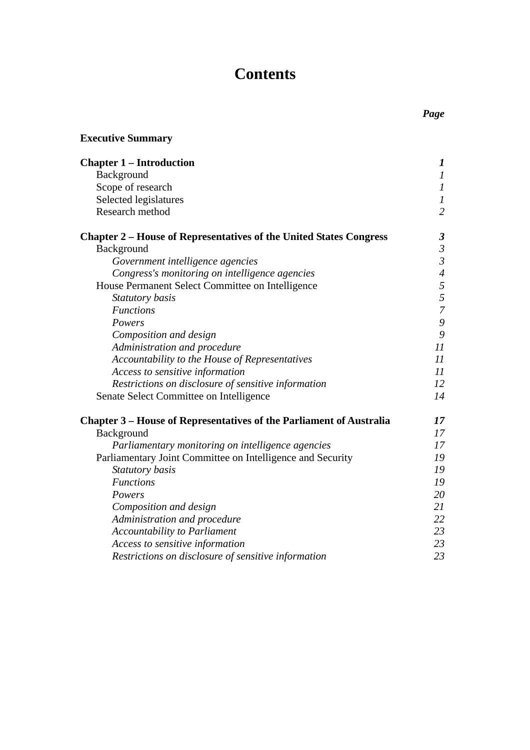# **Contents**

| <b>Executive Summary</b>                                                   |                          |
|----------------------------------------------------------------------------|--------------------------|
| <b>Chapter 1 – Introduction</b>                                            | $\boldsymbol{l}$         |
| Background                                                                 | $\boldsymbol{l}$         |
| Scope of research                                                          | $\cal I$                 |
| Selected legislatures                                                      | $\boldsymbol{l}$         |
| Research method                                                            | $\overline{2}$           |
| <b>Chapter 2 – House of Representatives of the United States Congress</b>  | $\boldsymbol{\beta}$     |
| Background                                                                 | $\mathfrak{Z}$           |
| Government intelligence agencies                                           | $\mathfrak{Z}$           |
| Congress's monitoring on intelligence agencies                             | $\overline{\mathcal{A}}$ |
| House Permanent Select Committee on Intelligence                           | 5                        |
| Statutory basis                                                            | 5                        |
| <b>Functions</b>                                                           | $\overline{7}$           |
| Powers                                                                     | 9                        |
| Composition and design                                                     | 9                        |
| Administration and procedure                                               | 11                       |
| Accountability to the House of Representatives                             | 11                       |
| Access to sensitive information                                            | 11                       |
| Restrictions on disclosure of sensitive information                        | 12                       |
| Senate Select Committee on Intelligence                                    | 14                       |
| <b>Chapter 3 – House of Representatives of the Parliament of Australia</b> | 17                       |
| Background                                                                 | 17                       |
| Parliamentary monitoring on intelligence agencies                          | 17                       |
| Parliamentary Joint Committee on Intelligence and Security                 | 19                       |
| Statutory basis                                                            | 19                       |
| <b>Functions</b>                                                           | 19                       |
| Powers                                                                     | 20                       |
| Composition and design                                                     | 21                       |
| Administration and procedure                                               | 22                       |
| <b>Accountability to Parliament</b>                                        | 23                       |
| Access to sensitive information                                            | 23                       |
| Restrictions on disclosure of sensitive information                        | 23                       |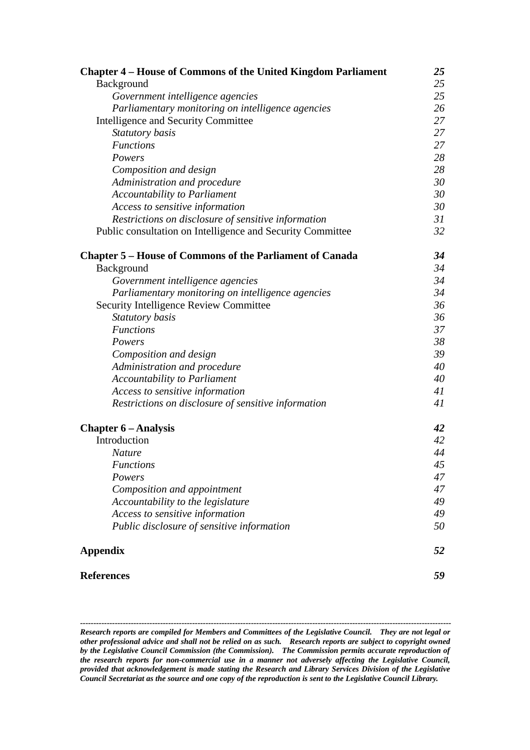| <b>Chapter 4 – House of Commons of the United Kingdom Parliament</b> | 25 |
|----------------------------------------------------------------------|----|
| Background                                                           | 25 |
| Government intelligence agencies                                     | 25 |
| Parliamentary monitoring on intelligence agencies                    | 26 |
| <b>Intelligence and Security Committee</b>                           | 27 |
| Statutory basis                                                      | 27 |
| <b>Functions</b>                                                     | 27 |
| Powers                                                               | 28 |
| Composition and design                                               | 28 |
| Administration and procedure                                         | 30 |
| <b>Accountability to Parliament</b>                                  | 30 |
| Access to sensitive information                                      | 30 |
| Restrictions on disclosure of sensitive information                  | 31 |
| Public consultation on Intelligence and Security Committee           | 32 |
| <b>Chapter 5 – House of Commons of the Parliament of Canada</b>      | 34 |
| Background                                                           | 34 |
| Government intelligence agencies                                     | 34 |
| Parliamentary monitoring on intelligence agencies                    | 34 |
| Security Intelligence Review Committee                               | 36 |
| Statutory basis                                                      | 36 |
| <b>Functions</b>                                                     | 37 |
| Powers                                                               | 38 |
| Composition and design                                               | 39 |
| Administration and procedure                                         | 40 |
| <b>Accountability to Parliament</b>                                  | 40 |
| Access to sensitive information                                      | 41 |
| Restrictions on disclosure of sensitive information                  | 41 |
| <b>Chapter 6 – Analysis</b>                                          | 42 |
| Introduction                                                         | 42 |
| <b>Nature</b>                                                        | 44 |
| <b>Functions</b>                                                     | 45 |
| Powers                                                               | 47 |
| Composition and appointment                                          | 47 |
| Accountability to the legislature                                    | 49 |
| Access to sensitive information                                      | 49 |
| Public disclosure of sensitive information                           | 50 |
| <b>Appendix</b>                                                      | 52 |
| <b>References</b>                                                    | 59 |

*-------------------------------------------------------------------------------------------------------------------------------------------*

*Research reports are compiled for Members and Committees of the Legislative Council. They are not legal or other professional advice and shall not be relied on as such. Research reports are subject to copyright owned by the Legislative Council Commission (the Commission). The Commission permits accurate reproduction of the research reports for non-commercial use in a manner not adversely affecting the Legislative Council, provided that acknowledgement is made stating the Research and Library Services Division of the Legislative Council Secretariat as the source and one copy of the reproduction is sent to the Legislative Council Library.*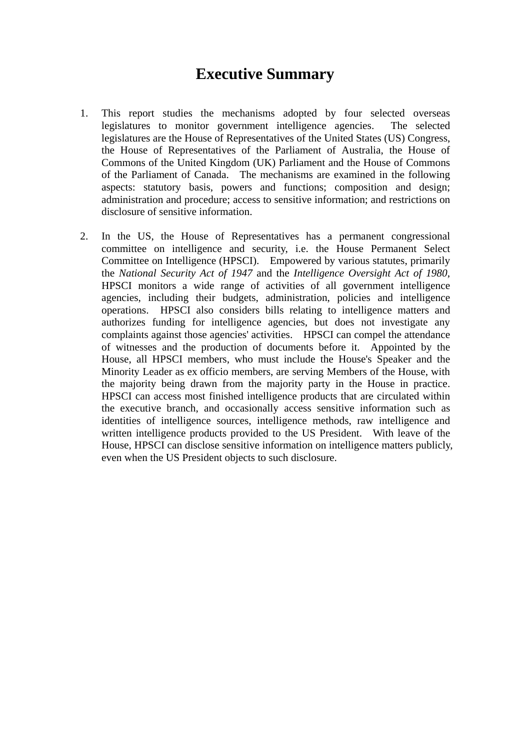# **Executive Summary**

- 1. This report studies the mechanisms adopted by four selected overseas legislatures to monitor government intelligence agencies. The selected legislatures are the House of Representatives of the United States (US) Congress, the House of Representatives of the Parliament of Australia, the House of Commons of the United Kingdom (UK) Parliament and the House of Commons of the Parliament of Canada. The mechanisms are examined in the following aspects: statutory basis, powers and functions; composition and design; administration and procedure; access to sensitive information; and restrictions on disclosure of sensitive information.
- 2. In the US, the House of Representatives has a permanent congressional committee on intelligence and security, i.e. the House Permanent Select Committee on Intelligence (HPSCI). Empowered by various statutes, primarily the *National Security Act of 1947* and the *Intelligence Oversight Act of 1980*, HPSCI monitors a wide range of activities of all government intelligence agencies, including their budgets, administration, policies and intelligence operations. HPSCI also considers bills relating to intelligence matters and authorizes funding for intelligence agencies, but does not investigate any complaints against those agencies' activities. HPSCI can compel the attendance of witnesses and the production of documents before it. Appointed by the House, all HPSCI members, who must include the House's Speaker and the Minority Leader as ex officio members, are serving Members of the House, with the majority being drawn from the majority party in the House in practice. HPSCI can access most finished intelligence products that are circulated within the executive branch, and occasionally access sensitive information such as identities of intelligence sources, intelligence methods, raw intelligence and written intelligence products provided to the US President. With leave of the House, HPSCI can disclose sensitive information on intelligence matters publicly, even when the US President objects to such disclosure.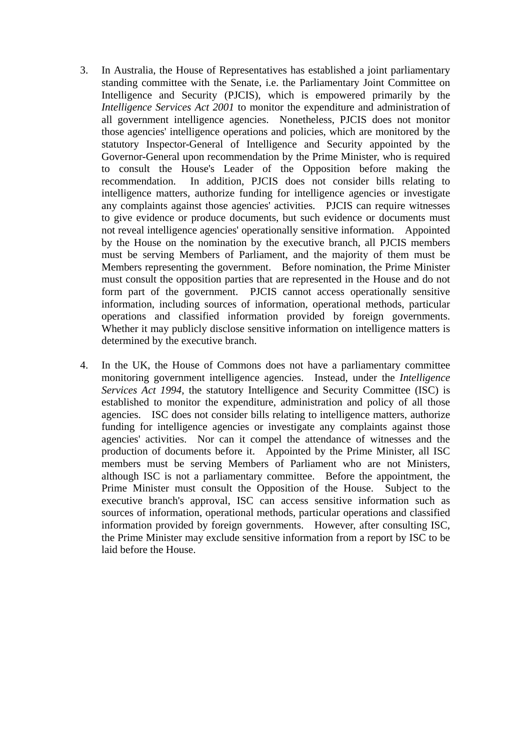- 3. In Australia, the House of Representatives has established a joint parliamentary standing committee with the Senate, i.e. the Parliamentary Joint Committee on Intelligence and Security (PJCIS), which is empowered primarily by the *Intelligence Services Act 2001* to monitor the expenditure and administration of all government intelligence agencies. Nonetheless, PJCIS does not monitor those agencies' intelligence operations and policies, which are monitored by the statutory Inspector-General of Intelligence and Security appointed by the Governor-General upon recommendation by the Prime Minister, who is required to consult the House's Leader of the Opposition before making the recommendation. In addition, PJCIS does not consider bills relating to intelligence matters, authorize funding for intelligence agencies or investigate any complaints against those agencies' activities. PJCIS can require witnesses to give evidence or produce documents, but such evidence or documents must not reveal intelligence agencies' operationally sensitive information. Appointed by the House on the nomination by the executive branch, all PJCIS members must be serving Members of Parliament, and the majority of them must be Members representing the government. Before nomination, the Prime Minister must consult the opposition parties that are represented in the House and do not form part of the government. PJCIS cannot access operationally sensitive information, including sources of information, operational methods, particular operations and classified information provided by foreign governments. Whether it may publicly disclose sensitive information on intelligence matters is determined by the executive branch.
- 4. In the UK, the House of Commons does not have a parliamentary committee monitoring government intelligence agencies. Instead, under the *Intelligence Services Act 1994*, the statutory Intelligence and Security Committee (ISC) is established to monitor the expenditure, administration and policy of all those agencies. ISC does not consider bills relating to intelligence matters, authorize funding for intelligence agencies or investigate any complaints against those agencies' activities. Nor can it compel the attendance of witnesses and the production of documents before it. Appointed by the Prime Minister, all ISC members must be serving Members of Parliament who are not Ministers, although ISC is not a parliamentary committee. Before the appointment, the Prime Minister must consult the Opposition of the House. Subject to the executive branch's approval, ISC can access sensitive information such as sources of information, operational methods, particular operations and classified information provided by foreign governments. However, after consulting ISC, the Prime Minister may exclude sensitive information from a report by ISC to be laid before the House.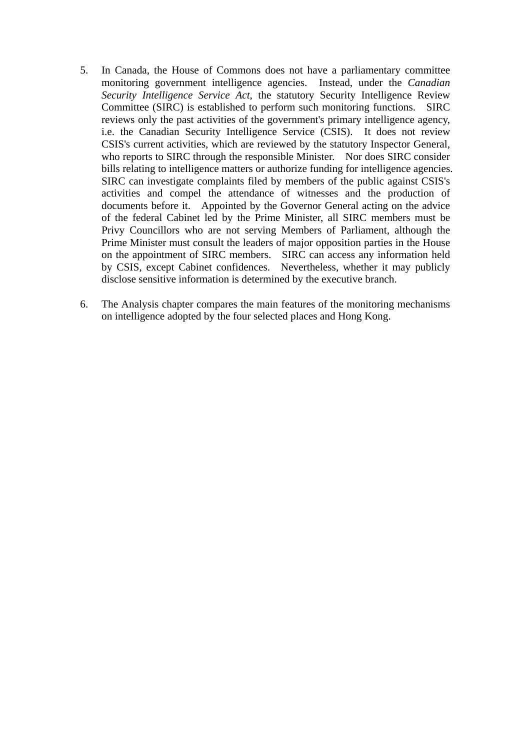- 5. In Canada, the House of Commons does not have a parliamentary committee monitoring government intelligence agencies. Instead, under the *Canadian Security Intelligence Service Act*, the statutory Security Intelligence Review Committee (SIRC) is established to perform such monitoring functions. SIRC reviews only the past activities of the government's primary intelligence agency, i.e. the Canadian Security Intelligence Service (CSIS). It does not review CSIS's current activities, which are reviewed by the statutory Inspector General, who reports to SIRC through the responsible Minister. Nor does SIRC consider bills relating to intelligence matters or authorize funding for intelligence agencies. SIRC can investigate complaints filed by members of the public against CSIS's activities and compel the attendance of witnesses and the production of documents before it. Appointed by the Governor General acting on the advice of the federal Cabinet led by the Prime Minister, all SIRC members must be Privy Councillors who are not serving Members of Parliament, although the Prime Minister must consult the leaders of major opposition parties in the House on the appointment of SIRC members. SIRC can access any information held by CSIS, except Cabinet confidences. Nevertheless, whether it may publicly disclose sensitive information is determined by the executive branch.
- 6. The Analysis chapter compares the main features of the monitoring mechanisms on intelligence adopted by the four selected places and Hong Kong.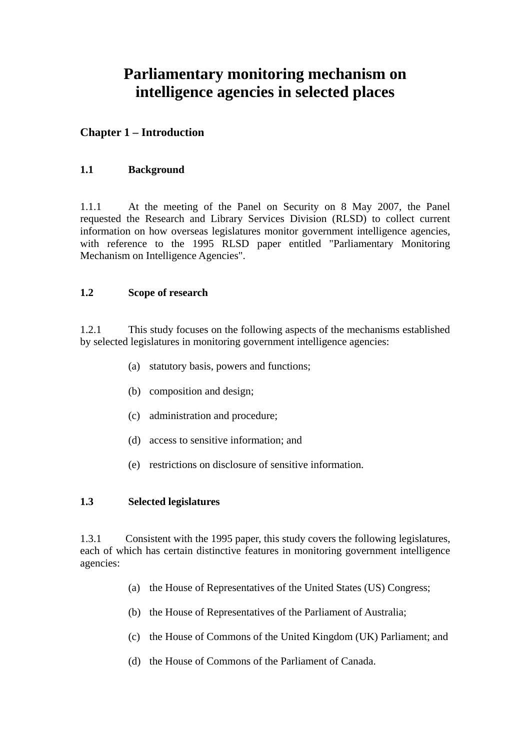# **Parliamentary monitoring mechanism on intelligence agencies in selected places**

# **Chapter 1 – Introduction**

# **1.1 Background**

1.1.1 At the meeting of the Panel on Security on 8 May 2007, the Panel requested the Research and Library Services Division (RLSD) to collect current information on how overseas legislatures monitor government intelligence agencies, with reference to the 1995 RLSD paper entitled "Parliamentary Monitoring Mechanism on Intelligence Agencies".

# **1.2 Scope of research**

1.2.1 This study focuses on the following aspects of the mechanisms established by selected legislatures in monitoring government intelligence agencies:

- (a) statutory basis, powers and functions;
- (b) composition and design;
- (c) administration and procedure;
- (d) access to sensitive information; and
- (e) restrictions on disclosure of sensitive information.

# **1.3 Selected legislatures**

1.3.1 Consistent with the 1995 paper, this study covers the following legislatures, each of which has certain distinctive features in monitoring government intelligence agencies:

- (a) the House of Representatives of the United States (US) Congress;
- (b) the House of Representatives of the Parliament of Australia;
- (c) the House of Commons of the United Kingdom (UK) Parliament; and
- (d) the House of Commons of the Parliament of Canada.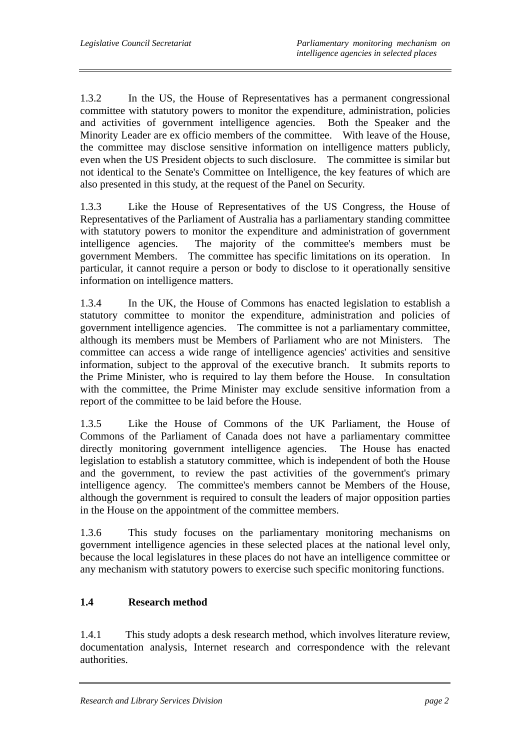1.3.2 In the US, the House of Representatives has a permanent congressional committee with statutory powers to monitor the expenditure, administration, policies and activities of government intelligence agencies. Both the Speaker and the Minority Leader are ex officio members of the committee. With leave of the House, the committee may disclose sensitive information on intelligence matters publicly, even when the US President objects to such disclosure. The committee is similar but not identical to the Senate's Committee on Intelligence, the key features of which are also presented in this study, at the request of the Panel on Security.

1.3.3 Like the House of Representatives of the US Congress, the House of Representatives of the Parliament of Australia has a parliamentary standing committee with statutory powers to monitor the expenditure and administration of government intelligence agencies. The majority of the committee's members must be government Members. The committee has specific limitations on its operation. In particular, it cannot require a person or body to disclose to it operationally sensitive information on intelligence matters.

1.3.4 In the UK, the House of Commons has enacted legislation to establish a statutory committee to monitor the expenditure, administration and policies of government intelligence agencies. The committee is not a parliamentary committee, although its members must be Members of Parliament who are not Ministers. The committee can access a wide range of intelligence agencies' activities and sensitive information, subject to the approval of the executive branch. It submits reports to the Prime Minister, who is required to lay them before the House. In consultation with the committee, the Prime Minister may exclude sensitive information from a report of the committee to be laid before the House.

1.3.5 Like the House of Commons of the UK Parliament, the House of Commons of the Parliament of Canada does not have a parliamentary committee directly monitoring government intelligence agencies. The House has enacted legislation to establish a statutory committee, which is independent of both the House and the government, to review the past activities of the government's primary intelligence agency. The committee's members cannot be Members of the House, although the government is required to consult the leaders of major opposition parties in the House on the appointment of the committee members.

1.3.6 This study focuses on the parliamentary monitoring mechanisms on government intelligence agencies in these selected places at the national level only, because the local legislatures in these places do not have an intelligence committee or any mechanism with statutory powers to exercise such specific monitoring functions.

# **1.4 Research method**

1.4.1 This study adopts a desk research method, which involves literature review, documentation analysis, Internet research and correspondence with the relevant authorities.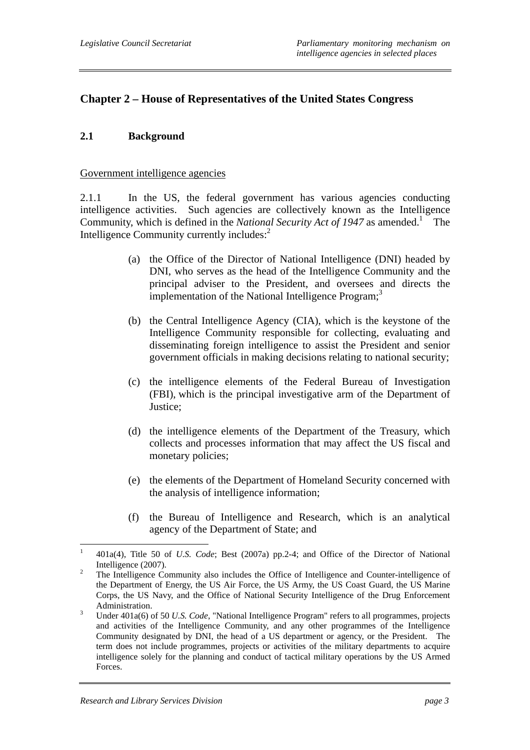# **Chapter 2 – House of Representatives of the United States Congress**

# **2.1 Background**

#### Government intelligence agencies

2.1.1 In the US, the federal government has various agencies conducting intelligence activities. Such agencies are collectively known as the Intelligence Community, which is defined in the *National Security Act of 1947* as amended.<sup>1</sup> The Intelligence Community currently includes:<sup>2</sup>

- (a) the Office of the Director of National Intelligence (DNI) headed by DNI, who serves as the head of the Intelligence Community and the principal adviser to the President, and oversees and directs the implementation of the National Intelligence Program; $<sup>3</sup>$ </sup>
- (b) the Central Intelligence Agency (CIA), which is the keystone of the Intelligence Community responsible for collecting, evaluating and disseminating foreign intelligence to assist the President and senior government officials in making decisions relating to national security;
- (c) the intelligence elements of the Federal Bureau of Investigation (FBI), which is the principal investigative arm of the Department of Justice;
- (d) the intelligence elements of the Department of the Treasury, which collects and processes information that may affect the US fiscal and monetary policies;
- (e) the elements of the Department of Homeland Security concerned with the analysis of intelligence information;
- (f) the Bureau of Intelligence and Research, which is an analytical agency of the Department of State; and

 $\frac{1}{1}$  401a(4), Title 50 of *U.S. Code*; Best (2007a) pp.2-4; and Office of the Director of National Intelligence  $(2007)$ .

The Intelligence Community also includes the Office of Intelligence and Counter-intelligence of the Department of Energy, the US Air Force, the US Army, the US Coast Guard, the US Marine Corps, the US Navy, and the Office of National Security Intelligence of the Drug Enforcement Administration.

Under 401a(6) of 50 *U.S. Code*, "National Intelligence Program" refers to all programmes, projects and activities of the Intelligence Community, and any other programmes of the Intelligence Community designated by DNI, the head of a US department or agency, or the President. The term does not include programmes, projects or activities of the military departments to acquire intelligence solely for the planning and conduct of tactical military operations by the US Armed Forces.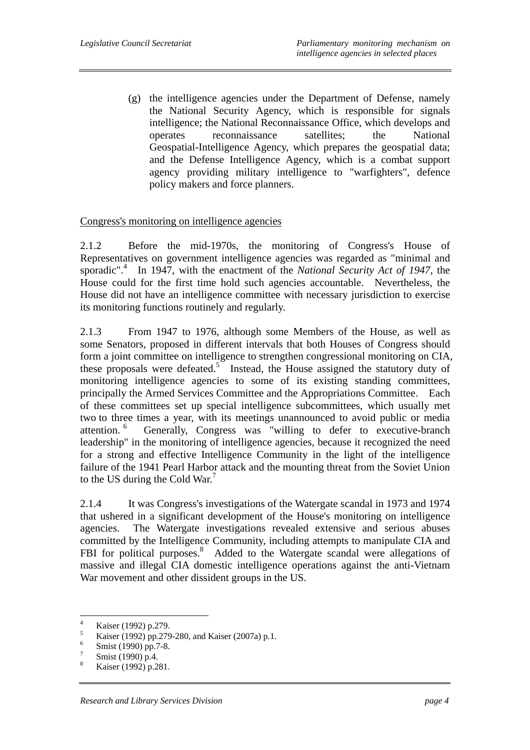(g) the intelligence agencies under the Department of Defense, namely the National Security Agency, which is responsible for signals intelligence; the National Reconnaissance Office, which develops and operates reconnaissance satellites; the National Geospatial-Intelligence Agency, which prepares the geospatial data; and the Defense Intelligence Agency, which is a combat support agency providing military intelligence to "warfighters", defence policy makers and force planners.

# Congress's monitoring on intelligence agencies

2.1.2 Before the mid-1970s, the monitoring of Congress's House of Representatives on government intelligence agencies was regarded as "minimal and sporadic".<sup>4</sup> In 1947, with the enactment of the *National Security Act of 1947*, the House could for the first time hold such agencies accountable. Nevertheless, the House did not have an intelligence committee with necessary jurisdiction to exercise its monitoring functions routinely and regularly.

2.1.3 From 1947 to 1976, although some Members of the House, as well as some Senators, proposed in different intervals that both Houses of Congress should form a joint committee on intelligence to strengthen congressional monitoring on CIA, these proposals were defeated.<sup>5</sup> Instead, the House assigned the statutory duty of monitoring intelligence agencies to some of its existing standing committees, principally the Armed Services Committee and the Appropriations Committee. Each of these committees set up special intelligence subcommittees, which usually met two to three times a year, with its meetings unannounced to avoid public or media attention. 6 Generally, Congress was "willing to defer to executive-branch leadership" in the monitoring of intelligence agencies, because it recognized the need for a strong and effective Intelligence Community in the light of the intelligence failure of the 1941 Pearl Harbor attack and the mounting threat from the Soviet Union to the US during the Cold War.<sup>7</sup>

2.1.4 It was Congress's investigations of the Watergate scandal in 1973 and 1974 that ushered in a significant development of the House's monitoring on intelligence agencies. The Watergate investigations revealed extensive and serious abuses committed by the Intelligence Community, including attempts to manipulate CIA and FBI for political purposes.<sup>8</sup> Added to the Watergate scandal were allegations of massive and illegal CIA domestic intelligence operations against the anti-Vietnam War movement and other dissident groups in the US.

 $\frac{1}{4}$ Kaiser (1992) p.279.

<sup>5</sup> Kaiser (1992) pp.279-280, and Kaiser (2007a) p.1. 6

Smist (1990) pp.7-8.

<sup>7</sup> Smist (1990) p.4.

<sup>8</sup> Kaiser (1992) p.281.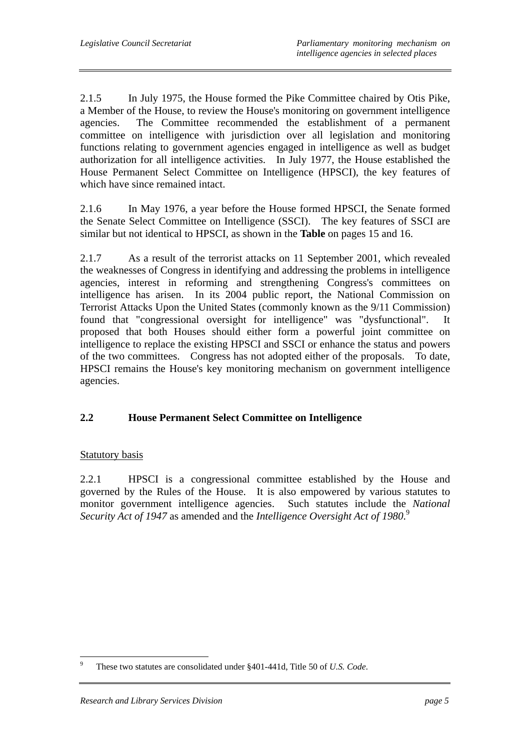2.1.5 In July 1975, the House formed the Pike Committee chaired by Otis Pike, a Member of the House, to review the House's monitoring on government intelligence agencies. The Committee recommended the establishment of a permanent committee on intelligence with jurisdiction over all legislation and monitoring functions relating to government agencies engaged in intelligence as well as budget authorization for all intelligence activities. In July 1977, the House established the House Permanent Select Committee on Intelligence (HPSCI), the key features of which have since remained intact.

2.1.6 In May 1976, a year before the House formed HPSCI, the Senate formed the Senate Select Committee on Intelligence (SSCI). The key features of SSCI are similar but not identical to HPSCI, as shown in the **Table** on pages 15 and 16.

2.1.7 As a result of the terrorist attacks on 11 September 2001, which revealed the weaknesses of Congress in identifying and addressing the problems in intelligence agencies, interest in reforming and strengthening Congress's committees on intelligence has arisen. In its 2004 public report, the National Commission on Terrorist Attacks Upon the United States (commonly known as the 9/11 Commission) found that "congressional oversight for intelligence" was "dysfunctional". It proposed that both Houses should either form a powerful joint committee on intelligence to replace the existing HPSCI and SSCI or enhance the status and powers of the two committees. Congress has not adopted either of the proposals. To date, HPSCI remains the House's key monitoring mechanism on government intelligence agencies.

# **2.2 House Permanent Select Committee on Intelligence**

## Statutory basis

2.2.1 HPSCI is a congressional committee established by the House and governed by the Rules of the House. It is also empowered by various statutes to monitor government intelligence agencies. Such statutes include the *National Security Act of 1947* as amended and the *Intelligence Oversight Act of 1980*. 9

 $\overline{a}$ 9 These two statutes are consolidated under §401-441d, Title 50 of *U.S. Code*.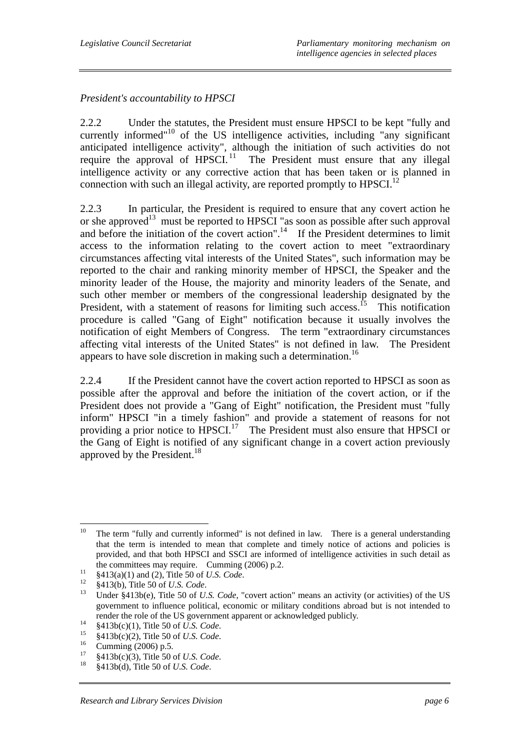*President's accountability to HPSCI* 

2.2.2 Under the statutes, the President must ensure HPSCI to be kept "fully and currently informed"<sup>10</sup> of the US intelligence activities, including "any significant anticipated intelligence activity", although the initiation of such activities do not require the approval of  $HPSCI$ <sup>11</sup>. The President must ensure that any illegal intelligence activity or any corrective action that has been taken or is planned in connection with such an illegal activity, are reported promptly to  $HPSCI$ <sup>12</sup>

2.2.3 In particular, the President is required to ensure that any covert action he or she approved<sup>13</sup> must be reported to HPSCI "as soon as possible after such approval and before the initiation of the covert action".<sup>14</sup> If the President determines to limit access to the information relating to the covert action to meet "extraordinary circumstances affecting vital interests of the United States", such information may be reported to the chair and ranking minority member of HPSCI, the Speaker and the minority leader of the House, the majority and minority leaders of the Senate, and such other member or members of the congressional leadership designated by the President, with a statement of reasons for limiting such access.<sup>15</sup> This notification procedure is called "Gang of Eight" notification because it usually involves the notification of eight Members of Congress. The term "extraordinary circumstances affecting vital interests of the United States" is not defined in law. The President appears to have sole discretion in making such a determination.<sup>16</sup>

2.2.4 If the President cannot have the covert action reported to HPSCI as soon as possible after the approval and before the initiation of the covert action, or if the President does not provide a "Gang of Eight" notification, the President must "fully inform" HPSCI "in a timely fashion" and provide a statement of reasons for not providing a prior notice to  $HPSCI$ <sup>17</sup> The President must also ensure that HPSCI or the Gang of Eight is notified of any significant change in a covert action previously approved by the President.<sup>18</sup>

 $10<sup>10</sup>$ The term "fully and currently informed" is not defined in law. There is a general understanding that the term is intended to mean that complete and timely notice of actions and policies is provided, and that both HPSCI and SSCI are informed of intelligence activities in such detail as

the committees may require. Cumming (2006) p.2.<br>  $\frac{$413(a)(1) \text{ and } (2)$, Title 50 of *U.S. Code.*  
\n $\frac{12}{12}$  $413(b), Title 50 of *U.S. Code.*  
\nUnder  $\frac{$413b(e)$, Title 50 of *U.S. Code.* "covert action" means an activity (or activities) of the US$$ government to influence political, economic or military conditions abroad but is not intended to render the role of the US government apparent or acknowledged publicly.<br>
<sup>14</sup> §413b(c)(1), Title 50 of *U.S. Code*.<br>
<sup>16</sup> §413b(c)(2), Title 50 of *U.S. Code*.<br>
Cumming (2006) p.5.

<sup>17 §413</sup>b(c)(3), Title 50 of *U.S. Code*. 18 §413b(d), Title 50 of *U.S. Code*.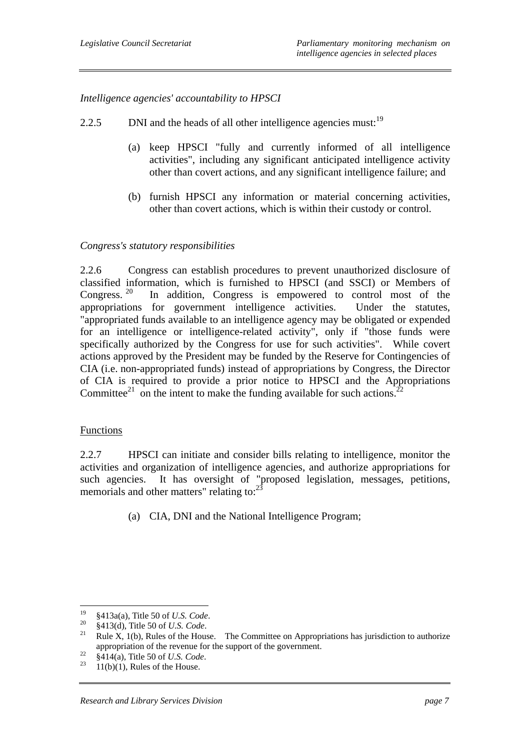*Intelligence agencies' accountability to HPSCI* 

- 2.2.5 DNI and the heads of all other intelligence agencies must:  $19$ 
	- (a) keep HPSCI "fully and currently informed of all intelligence activities", including any significant anticipated intelligence activity other than covert actions, and any significant intelligence failure; and
	- (b) furnish HPSCI any information or material concerning activities, other than covert actions, which is within their custody or control.

# *Congress's statutory responsibilities*

2.2.6 Congress can establish procedures to prevent unauthorized disclosure of classified information, which is furnished to HPSCI (and SSCI) or Members of Congress.  $20$  In addition, Congress is empowered to control most of the appropriations for government intelligence activities. Under the statutes, "appropriated funds available to an intelligence agency may be obligated or expended for an intelligence or intelligence-related activity", only if "those funds were specifically authorized by the Congress for use for such activities". While covert actions approved by the President may be funded by the Reserve for Contingencies of CIA (i.e. non-appropriated funds) instead of appropriations by Congress, the Director of CIA is required to provide a prior notice to HPSCI and the Appropriations Committee<sup>21</sup> on the intent to make the funding available for such actions.<sup>2</sup>

## **Functions**

2.2.7 HPSCI can initiate and consider bills relating to intelligence, monitor the activities and organization of intelligence agencies, and authorize appropriations for such agencies. It has oversight of "proposed legislation, messages, petitions, memorials and other matters" relating to:<sup>2</sup>

(a) CIA, DNI and the National Intelligence Program;

 $19$ 

<sup>19 §413</sup>a(a), Title 50 of *U.S. Code*. 20 §413(d), Title 50 of *U.S. Code*. 21 Rule X, 1(b), Rules of the House. The Committee on Appropriations has jurisdiction to authorize appropriation of the revenue for the support of the government.<br><sup>22</sup> §414(a), Title 50 of *U.S. Code*.<br><sup>23</sup> 11(b)(1), Rules of the House.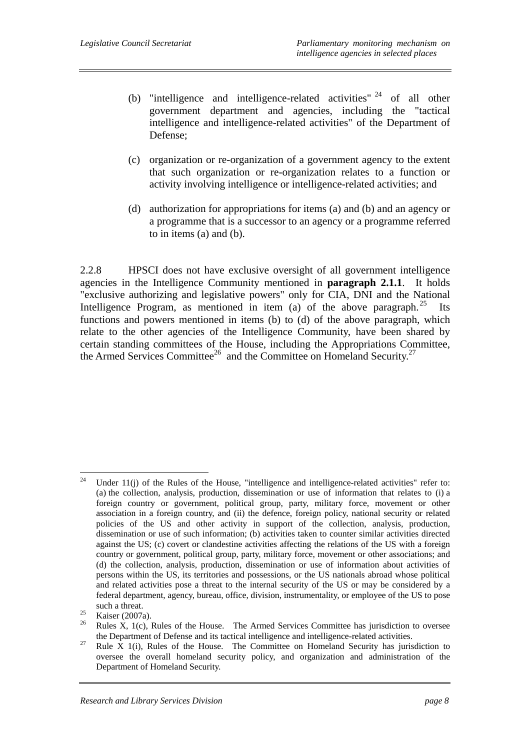- (b) "intelligence and intelligence-related activities" 24 of all other government department and agencies, including the "tactical intelligence and intelligence-related activities" of the Department of Defense;
- (c) organization or re-organization of a government agency to the extent that such organization or re-organization relates to a function or activity involving intelligence or intelligence-related activities; and
- (d) authorization for appropriations for items (a) and (b) and an agency or a programme that is a successor to an agency or a programme referred to in items (a) and (b).

2.2.8 HPSCI does not have exclusive oversight of all government intelligence agencies in the Intelligence Community mentioned in **paragraph 2.1.1**. It holds "exclusive authorizing and legislative powers" only for CIA, DNI and the National Intelligence Program, as mentioned in item (a) of the above paragraph.<sup>25</sup> Its functions and powers mentioned in items (b) to (d) of the above paragraph, which relate to the other agencies of the Intelligence Community, have been shared by certain standing committees of the House, including the Appropriations Committee, the Armed Services Committee<sup>26</sup> and the Committee on Homeland Security.<sup>27</sup>

<sup>24</sup> Under 11(j) of the Rules of the House, "intelligence and intelligence-related activities" refer to: (a) the collection, analysis, production, dissemination or use of information that relates to (i) a foreign country or government, political group, party, military force, movement or other association in a foreign country, and (ii) the defence, foreign policy, national security or related policies of the US and other activity in support of the collection, analysis, production, dissemination or use of such information; (b) activities taken to counter similar activities directed against the US; (c) covert or clandestine activities affecting the relations of the US with a foreign country or government, political group, party, military force, movement or other associations; and (d) the collection, analysis, production, dissemination or use of information about activities of persons within the US, its territories and possessions, or the US nationals abroad whose political and related activities pose a threat to the internal security of the US or may be considered by a federal department, agency, bureau, office, division, instrumentality, or employee of the US to pose such a threat.<br>
<sup>25</sup> Kaiser (2007a).<br>
<sup>26</sup> B<sub>1</sub> W<sub>1</sub> (4)</sub>

Rules X, 1(c), Rules of the House. The Armed Services Committee has jurisdiction to oversee

the Department of Defense and its tactical intelligence and intelligence-related activities.<br><sup>27</sup> Rule X 1(i), Rules of the House. The Committee on Homeland Security has jurisdiction to oversee the overall homeland security policy, and organization and administration of the Department of Homeland Security.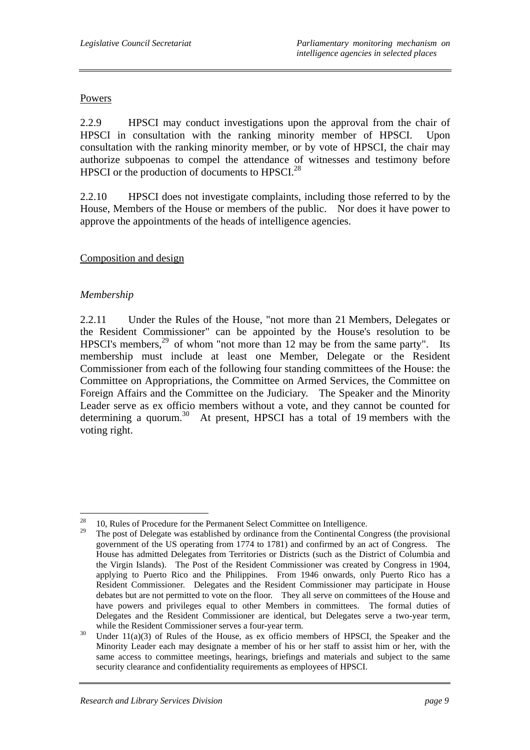# Powers

2.2.9 HPSCI may conduct investigations upon the approval from the chair of HPSCI in consultation with the ranking minority member of HPSCI. Upon consultation with the ranking minority member, or by vote of HPSCI, the chair may authorize subpoenas to compel the attendance of witnesses and testimony before HPSCI or the production of documents to HPSCI.<sup>28</sup>

2.2.10 HPSCI does not investigate complaints, including those referred to by the House, Members of the House or members of the public. Nor does it have power to approve the appointments of the heads of intelligence agencies.

# Composition and design

# *Membership*

2.2.11 Under the Rules of the House, "not more than 21 Members, Delegates or the Resident Commissioner" can be appointed by the House's resolution to be HPSCI's members,  $^{29}$  of whom "not more than 12 may be from the same party". Its membership must include at least one Member, Delegate or the Resident Commissioner from each of the following four standing committees of the House: the Committee on Appropriations, the Committee on Armed Services, the Committee on Foreign Affairs and the Committee on the Judiciary. The Speaker and the Minority Leader serve as ex officio members without a vote, and they cannot be counted for determining a quorum.<sup>30</sup> At present, HPSCI has a total of 19 members with the voting right.

<sup>28</sup> <sup>28</sup> 10, Rules of Procedure for the Permanent Select Committee on Intelligence.

<sup>29</sup> The post of Delegate was established by ordinance from the Continental Congress (the provisional government of the US operating from 1774 to 1781) and confirmed by an act of Congress. The House has admitted Delegates from Territories or Districts (such as the District of Columbia and the Virgin Islands). The Post of the Resident Commissioner was created by Congress in 1904, applying to Puerto Rico and the Philippines. From 1946 onwards, only Puerto Rico has a Resident Commissioner. Delegates and the Resident Commissioner may participate in House debates but are not permitted to vote on the floor. They all serve on committees of the House and have powers and privileges equal to other Members in committees. The formal duties of Delegates and the Resident Commissioner are identical, but Delegates serve a two-year term,

while the Resident Commissioner serves a four-year term.<br><sup>30</sup> Under 11(a)(3) of Rules of the House, as ex officio members of HPSCI, the Speaker and the Minority Leader each may designate a member of his or her staff to assist him or her, with the same access to committee meetings, hearings, briefings and materials and subject to the same security clearance and confidentiality requirements as employees of HPSCI.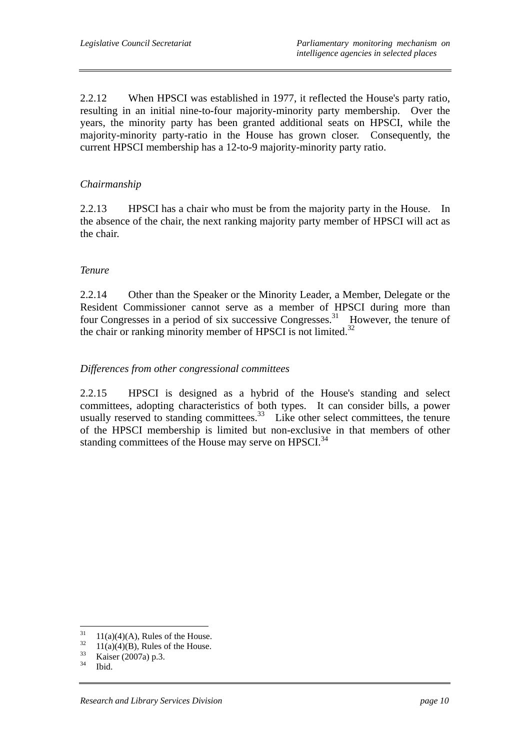2.2.12 When HPSCI was established in 1977, it reflected the House's party ratio, resulting in an initial nine-to-four majority-minority party membership. Over the years, the minority party has been granted additional seats on HPSCI, while the majority-minority party-ratio in the House has grown closer. Consequently, the current HPSCI membership has a 12-to-9 majority-minority party ratio.

# *Chairmanship*

2.2.13 HPSCI has a chair who must be from the majority party in the House. In the absence of the chair, the next ranking majority party member of HPSCI will act as the chair.

# *Tenure*

2.2.14 Other than the Speaker or the Minority Leader, a Member, Delegate or the Resident Commissioner cannot serve as a member of HPSCI during more than four Congresses in a period of six successive Congresses.31 However, the tenure of the chair or ranking minority member of HPSCI is not limited.<sup>32</sup>

# *Differences from other congressional committees*

2.2.15 HPSCI is designed as a hybrid of the House's standing and select committees, adopting characteristics of both types. It can consider bills, a power usually reserved to standing committees.<sup>33</sup> Like other select committees, the tenure of the HPSCI membership is limited but non-exclusive in that members of other standing committees of the House may serve on HPSCI.<sup>34</sup>

 $31$  $^{31}$  11(a)(4)(A), Rules of the House.

 $^{32}$  11(a)(4)(B), Rules of the House.

 $\frac{33}{34}$  Kaiser (2007a) p.3.

Ibid.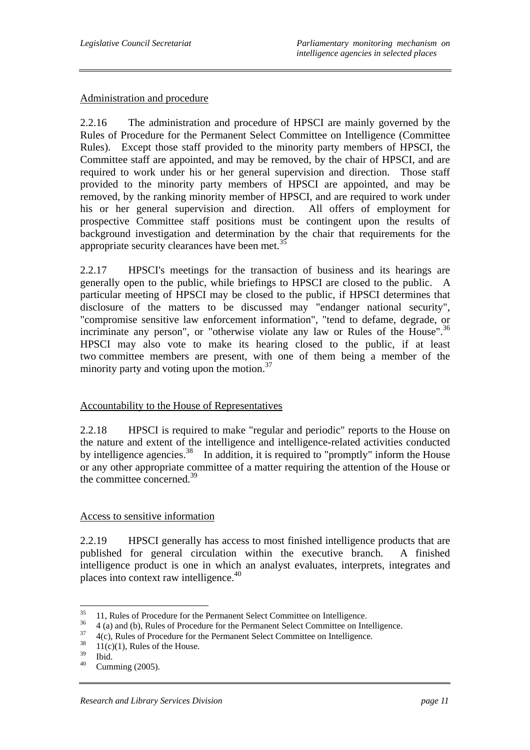## Administration and procedure

2.2.16 The administration and procedure of HPSCI are mainly governed by the Rules of Procedure for the Permanent Select Committee on Intelligence (Committee Rules). Except those staff provided to the minority party members of HPSCI, the Committee staff are appointed, and may be removed, by the chair of HPSCI, and are required to work under his or her general supervision and direction. Those staff provided to the minority party members of HPSCI are appointed, and may be removed, by the ranking minority member of HPSCI, and are required to work under his or her general supervision and direction. All offers of employment for prospective Committee staff positions must be contingent upon the results of background investigation and determination by the chair that requirements for the appropriate security clearances have been met.<sup>35</sup>

2.2.17 HPSCI's meetings for the transaction of business and its hearings are generally open to the public, while briefings to HPSCI are closed to the public. A particular meeting of HPSCI may be closed to the public, if HPSCI determines that disclosure of the matters to be discussed may "endanger national security", "compromise sensitive law enforcement information", "tend to defame, degrade, or incriminate any person", or "otherwise violate any law or Rules of the House".<sup>36</sup> HPSCI may also vote to make its hearing closed to the public, if at least two committee members are present, with one of them being a member of the minority party and voting upon the motion. $37$ 

## Accountability to the House of Representatives

2.2.18 HPSCI is required to make "regular and periodic" reports to the House on the nature and extent of the intelligence and intelligence-related activities conducted by intelligence agencies.<sup>38</sup> In addition, it is required to "promptly" inform the House or any other appropriate committee of a matter requiring the attention of the House or the committee concerned.<sup>39</sup>

#### Access to sensitive information

2.2.19 HPSCI generally has access to most finished intelligence products that are published for general circulation within the executive branch. A finished intelligence product is one in which an analyst evaluates, interprets, integrates and places into context raw intelligence.<sup>40</sup>

 $35<sup>1</sup>$  $\frac{35}{11}$ , Rules of Procedure for the Permanent Select Committee on Intelligence.

 $\frac{36}{4}$  (a) and (b), Rules of Procedure for the Permanent Select Committee on Intelligence.

 $\frac{37}{18}$  4(c), Rules of Procedure for the Permanent Select Committee on Intelligence.

 $\frac{38}{39}$  11(c)(1), Rules of the House.

 $rac{39}{40}$  Ibid.

Cumming (2005).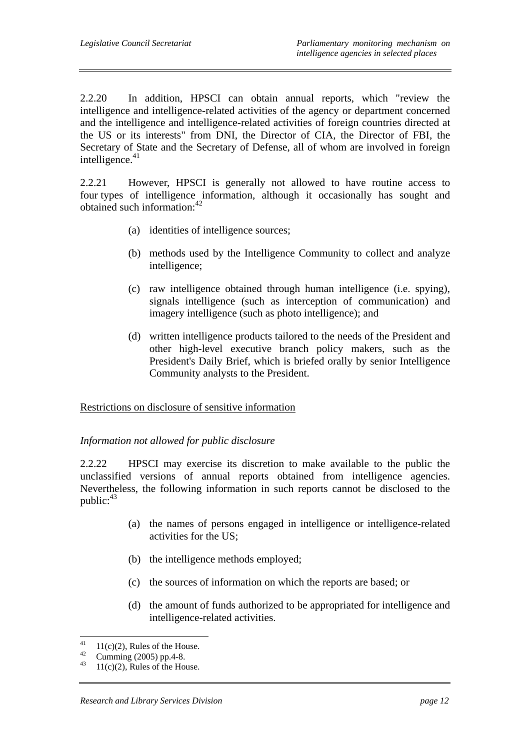2.2.20 In addition, HPSCI can obtain annual reports, which "review the intelligence and intelligence-related activities of the agency or department concerned and the intelligence and intelligence-related activities of foreign countries directed at the US or its interests" from DNI, the Director of CIA, the Director of FBI, the Secretary of State and the Secretary of Defense, all of whom are involved in foreign intelligence. $41$ 

2.2.21 However, HPSCI is generally not allowed to have routine access to four types of intelligence information, although it occasionally has sought and obtained such information:42

- (a) identities of intelligence sources;
- (b) methods used by the Intelligence Community to collect and analyze intelligence;
- (c) raw intelligence obtained through human intelligence (i.e. spying), signals intelligence (such as interception of communication) and imagery intelligence (such as photo intelligence); and
- (d) written intelligence products tailored to the needs of the President and other high-level executive branch policy makers, such as the President's Daily Brief, which is briefed orally by senior Intelligence Community analysts to the President.

## Restrictions on disclosure of sensitive information

## *Information not allowed for public disclosure*

2.2.22 HPSCI may exercise its discretion to make available to the public the unclassified versions of annual reports obtained from intelligence agencies. Nevertheless, the following information in such reports cannot be disclosed to the public: 43

- (a) the names of persons engaged in intelligence or intelligence-related activities for the US;
- (b) the intelligence methods employed;
- (c) the sources of information on which the reports are based; or
- (d) the amount of funds authorized to be appropriated for intelligence and intelligence-related activities.

 $\overline{41}$ <sup>41</sup> 11(c)(2), Rules of the House.

<sup>&</sup>lt;sup>42</sup> Cumming (2005) pp.4-8.

 $11(c)(2)$ , Rules of the House.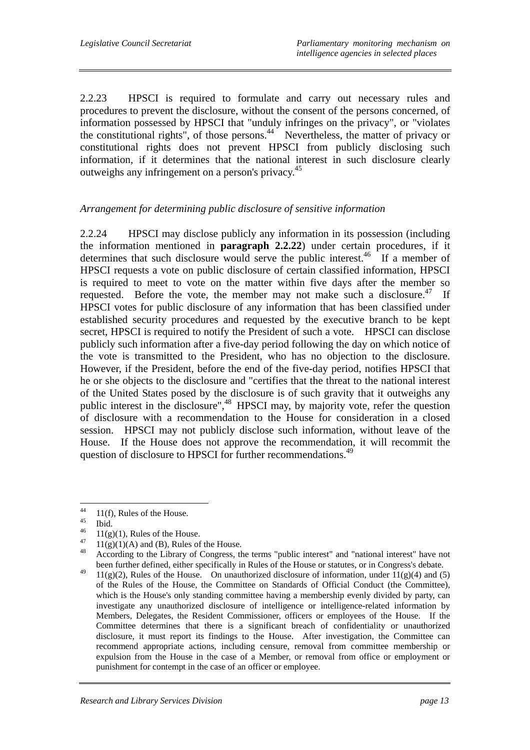2.2.23 HPSCI is required to formulate and carry out necessary rules and procedures to prevent the disclosure, without the consent of the persons concerned, of information possessed by HPSCI that "unduly infringes on the privacy", or "violates the constitutional rights", of those persons.<sup>44</sup> Nevertheless, the matter of privacy or constitutional rights does not prevent HPSCI from publicly disclosing such information, if it determines that the national interest in such disclosure clearly outweighs any infringement on a person's privacy.45

# *Arrangement for determining public disclosure of sensitive information*

2.2.24 HPSCI may disclose publicly any information in its possession (including the information mentioned in **paragraph 2.2.22**) under certain procedures, if it determines that such disclosure would serve the public interest.<sup>46</sup> If a member of HPSCI requests a vote on public disclosure of certain classified information, HPSCI is required to meet to vote on the matter within five days after the member so requested. Before the vote, the member may not make such a disclosure.<sup>47</sup> If HPSCI votes for public disclosure of any information that has been classified under established security procedures and requested by the executive branch to be kept secret, HPSCI is required to notify the President of such a vote. HPSCI can disclose publicly such information after a five-day period following the day on which notice of the vote is transmitted to the President, who has no objection to the disclosure. However, if the President, before the end of the five-day period, notifies HPSCI that he or she objects to the disclosure and "certifies that the threat to the national interest of the United States posed by the disclosure is of such gravity that it outweighs any public interest in the disclosure",<sup>48</sup> HPSCI may, by majority vote, refer the question of disclosure with a recommendation to the House for consideration in a closed session. HPSCI may not publicly disclose such information, without leave of the House. If the House does not approve the recommendation, it will recommit the question of disclosure to HPSCI for further recommendations.<sup>49</sup>

 $44$  $^{44}$  11(f), Rules of the House.

 $^{45}$  Ibid.

 $^{46}$  11(g)(1), Rules of the House.

 $^{47}$  11(g)(1)(A) and (B), Rules of the House.

<sup>48</sup> According to the Library of Congress, the terms "public interest" and "national interest" have not been further defined, either specifically in Rules of the House or statutes, or in Congress's debate.

<sup>&</sup>lt;sup>49</sup>  $11(g)(2)$ , Rules of the House. On unauthorized disclosure of information, under  $11(g)(4)$  and (5) of the Rules of the House, the Committee on Standards of Official Conduct (the Committee), which is the House's only standing committee having a membership evenly divided by party, can investigate any unauthorized disclosure of intelligence or intelligence-related information by Members, Delegates, the Resident Commissioner, officers or employees of the House. If the Committee determines that there is a significant breach of confidentiality or unauthorized disclosure, it must report its findings to the House. After investigation, the Committee can recommend appropriate actions, including censure, removal from committee membership or expulsion from the House in the case of a Member, or removal from office or employment or punishment for contempt in the case of an officer or employee.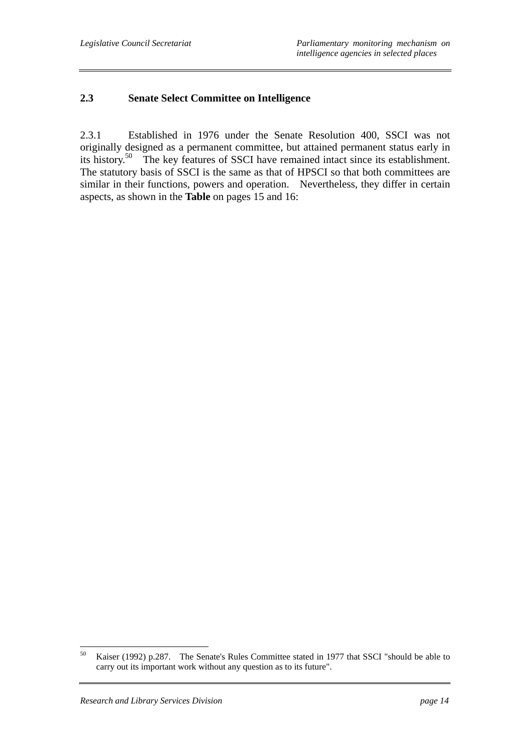# **2.3 Senate Select Committee on Intelligence**

2.3.1 Established in 1976 under the Senate Resolution 400, SSCI was not originally designed as a permanent committee, but attained permanent status early in its history.50 The key features of SSCI have remained intact since its establishment. The statutory basis of SSCI is the same as that of HPSCI so that both committees are similar in their functions, powers and operation. Nevertheless, they differ in certain aspects, as shown in the **Table** on pages 15 and 16:

<sup>50</sup> 50 Kaiser (1992) p.287. The Senate's Rules Committee stated in 1977 that SSCI "should be able to carry out its important work without any question as to its future".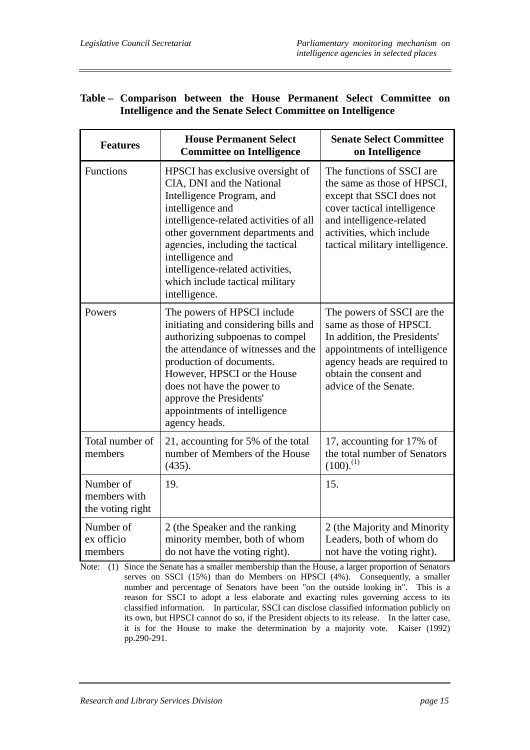|                                                              | Table – Comparison between the House Permanent Select Committee on |  |  |  |  |  |  |  |
|--------------------------------------------------------------|--------------------------------------------------------------------|--|--|--|--|--|--|--|
| Intelligence and the Senate Select Committee on Intelligence |                                                                    |  |  |  |  |  |  |  |

| <b>Features</b>                               | <b>House Permanent Select</b><br><b>Committee on Intelligence</b>                                                                                                                                                                                                                                                                            | <b>Senate Select Committee</b><br>on Intelligence                                                                                                                                                                |
|-----------------------------------------------|----------------------------------------------------------------------------------------------------------------------------------------------------------------------------------------------------------------------------------------------------------------------------------------------------------------------------------------------|------------------------------------------------------------------------------------------------------------------------------------------------------------------------------------------------------------------|
| Functions                                     | HPSCI has exclusive oversight of<br>CIA, DNI and the National<br>Intelligence Program, and<br>intelligence and<br>intelligence-related activities of all<br>other government departments and<br>agencies, including the tactical<br>intelligence and<br>intelligence-related activities,<br>which include tactical military<br>intelligence. | The functions of SSCI are<br>the same as those of HPSCI,<br>except that SSCI does not<br>cover tactical intelligence<br>and intelligence-related<br>activities, which include<br>tactical military intelligence. |
| Powers                                        | The powers of HPSCI include<br>initiating and considering bills and<br>authorizing subpoenas to compel<br>the attendance of witnesses and the<br>production of documents.<br>However, HPSCI or the House<br>does not have the power to<br>approve the Presidents'<br>appointments of intelligence<br>agency heads.                           | The powers of SSCI are the<br>same as those of HPSCI.<br>In addition, the Presidents'<br>appointments of intelligence<br>agency heads are required to<br>obtain the consent and<br>advice of the Senate.         |
| Total number of<br>members                    | 21, accounting for 5% of the total<br>number of Members of the House<br>(435).                                                                                                                                                                                                                                                               | 17, accounting for 17% of<br>the total number of Senators<br>$(100).^{(1)}$                                                                                                                                      |
| Number of<br>members with<br>the voting right | 19.                                                                                                                                                                                                                                                                                                                                          | 15.                                                                                                                                                                                                              |
| Number of<br>ex officio<br>members            | 2 (the Speaker and the ranking<br>minority member, both of whom<br>do not have the voting right).                                                                                                                                                                                                                                            | 2 (the Majority and Minority<br>Leaders, both of whom do<br>not have the voting right).                                                                                                                          |

Note: (1) Since the Senate has a smaller membership than the House, a larger proportion of Senators serves on SSCI (15%) than do Members on HPSCI (4%). Consequently, a smaller number and percentage of Senators have been "on the outside looking in". This is a reason for SSCI to adopt a less elaborate and exacting rules governing access to its classified information. In particular, SSCI can disclose classified information publicly on its own, but HPSCI cannot do so, if the President objects to its release. In the latter case, it is for the House to make the determination by a majority vote. Kaiser (1992) pp.290-291.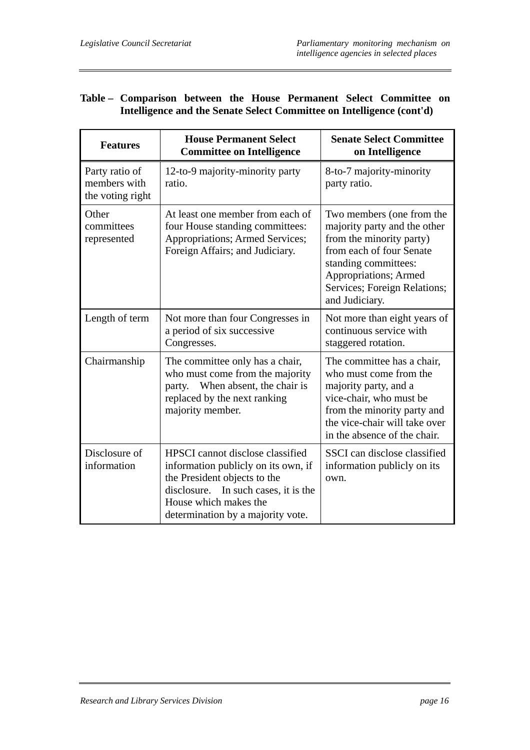# **Table – Comparison between the House Permanent Select Committee on Intelligence and the Senate Select Committee on Intelligence (cont'd)**

| <b>Features</b>                                    | <b>House Permanent Select</b><br><b>Committee on Intelligence</b>                                                                                                                                             | <b>Senate Select Committee</b><br>on Intelligence                                                                                                                                                                            |  |
|----------------------------------------------------|---------------------------------------------------------------------------------------------------------------------------------------------------------------------------------------------------------------|------------------------------------------------------------------------------------------------------------------------------------------------------------------------------------------------------------------------------|--|
| Party ratio of<br>members with<br>the voting right | 12-to-9 majority-minority party<br>ratio.                                                                                                                                                                     | 8-to-7 majority-minority<br>party ratio.                                                                                                                                                                                     |  |
| Other<br>committees<br>represented                 | At least one member from each of<br>four House standing committees:<br>Appropriations; Armed Services;<br>Foreign Affairs; and Judiciary.                                                                     | Two members (one from the<br>majority party and the other<br>from the minority party)<br>from each of four Senate<br>standing committees:<br><b>Appropriations</b> ; Armed<br>Services; Foreign Relations;<br>and Judiciary. |  |
| Length of term                                     | Not more than four Congresses in<br>a period of six successive<br>Congresses.                                                                                                                                 | Not more than eight years of<br>continuous service with<br>staggered rotation.                                                                                                                                               |  |
| Chairmanship                                       | The committee only has a chair,<br>who must come from the majority<br>When absent, the chair is<br>party.<br>replaced by the next ranking<br>majority member.                                                 | The committee has a chair,<br>who must come from the<br>majority party, and a<br>vice-chair, who must be<br>from the minority party and<br>the vice-chair will take over<br>in the absence of the chair.                     |  |
| Disclosure of<br>information                       | HPSCI cannot disclose classified<br>information publicly on its own, if<br>the President objects to the<br>disclosure. In such cases, it is the<br>House which makes the<br>determination by a majority vote. | SSCI can disclose classified<br>information publicly on its<br>own.                                                                                                                                                          |  |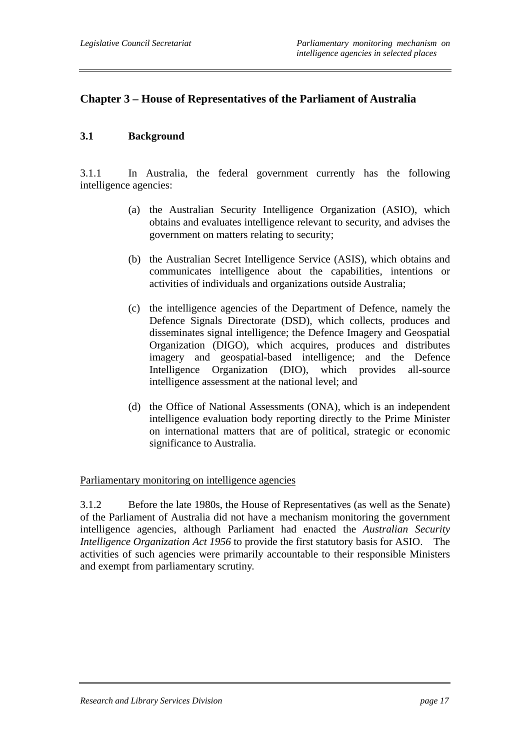# **Chapter 3 – House of Representatives of the Parliament of Australia**

# **3.1 Background**

3.1.1 In Australia, the federal government currently has the following intelligence agencies:

- (a) the Australian Security Intelligence Organization (ASIO), which obtains and evaluates intelligence relevant to security, and advises the government on matters relating to security;
- (b) the Australian Secret Intelligence Service (ASIS), which obtains and communicates intelligence about the capabilities, intentions or activities of individuals and organizations outside Australia;
- (c) the intelligence agencies of the Department of Defence, namely the Defence Signals Directorate (DSD), which collects, produces and disseminates signal intelligence; the Defence Imagery and Geospatial Organization (DIGO), which acquires, produces and distributes imagery and geospatial-based intelligence; and the Defence Intelligence Organization (DIO), which provides all-source intelligence assessment at the national level; and
- (d) the Office of National Assessments (ONA), which is an independent intelligence evaluation body reporting directly to the Prime Minister on international matters that are of political, strategic or economic significance to Australia.

#### Parliamentary monitoring on intelligence agencies

3.1.2 Before the late 1980s, the House of Representatives (as well as the Senate) of the Parliament of Australia did not have a mechanism monitoring the government intelligence agencies, although Parliament had enacted the *Australian Security Intelligence Organization Act 1956* to provide the first statutory basis for ASIO. The activities of such agencies were primarily accountable to their responsible Ministers and exempt from parliamentary scrutiny.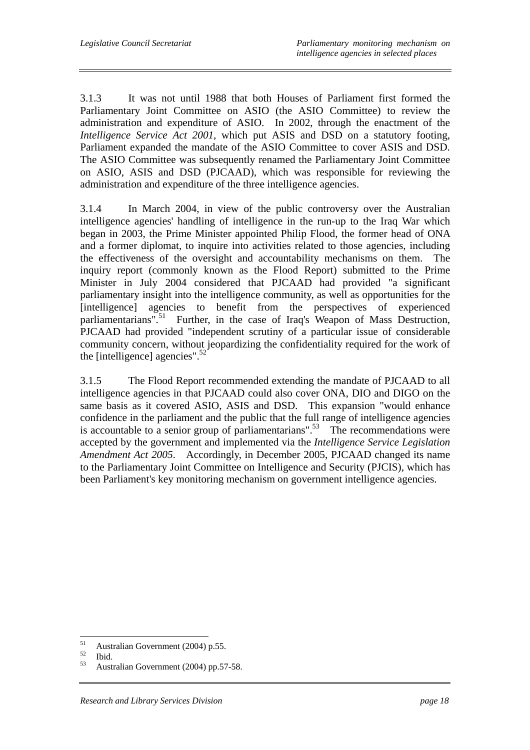3.1.3 It was not until 1988 that both Houses of Parliament first formed the Parliamentary Joint Committee on ASIO (the ASIO Committee) to review the administration and expenditure of ASIO. In 2002, through the enactment of the *Intelligence Service Act 2001*, which put ASIS and DSD on a statutory footing, Parliament expanded the mandate of the ASIO Committee to cover ASIS and DSD. The ASIO Committee was subsequently renamed the Parliamentary Joint Committee on ASIO, ASIS and DSD (PJCAAD), which was responsible for reviewing the administration and expenditure of the three intelligence agencies.

3.1.4 In March 2004, in view of the public controversy over the Australian intelligence agencies' handling of intelligence in the run-up to the Iraq War which began in 2003, the Prime Minister appointed Philip Flood, the former head of ONA and a former diplomat, to inquire into activities related to those agencies, including the effectiveness of the oversight and accountability mechanisms on them. The inquiry report (commonly known as the Flood Report) submitted to the Prime Minister in July 2004 considered that PJCAAD had provided "a significant parliamentary insight into the intelligence community, as well as opportunities for the [intelligence] agencies to benefit from the perspectives of experienced parliamentarians".<sup>51</sup> Further, in the case of Iraq's Weapon of Mass Destruction, PJCAAD had provided "independent scrutiny of a particular issue of considerable community concern, without jeopardizing the confidentiality required for the work of the [intelligence] agencies". $52$ 

3.1.5 The Flood Report recommended extending the mandate of PJCAAD to all intelligence agencies in that PJCAAD could also cover ONA, DIO and DIGO on the same basis as it covered ASIO, ASIS and DSD. This expansion "would enhance confidence in the parliament and the public that the full range of intelligence agencies is accountable to a senior group of parliamentarians".<sup>53</sup> The recommendations were accepted by the government and implemented via the *Intelligence Service Legislation Amendment Act 2005*. Accordingly, in December 2005, PJCAAD changed its name to the Parliamentary Joint Committee on Intelligence and Security (PJCIS), which has been Parliament's key monitoring mechanism on government intelligence agencies.

 $51$  $^{51}_{52}$  Australian Government (2004) p.55.

 $\begin{array}{c} 52 \\ 53 \end{array}$  Ibid.

<sup>53</sup> Australian Government (2004) pp.57-58.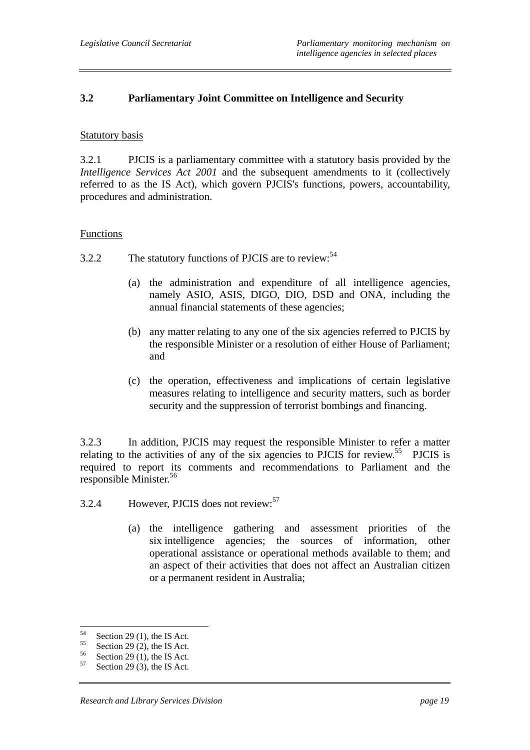# **3.2 Parliamentary Joint Committee on Intelligence and Security**

#### Statutory basis

3.2.1 PJCIS is a parliamentary committee with a statutory basis provided by the *Intelligence Services Act 2001* and the subsequent amendments to it (collectively referred to as the IS Act), which govern PJCIS's functions, powers, accountability, procedures and administration.

#### Functions

- 3.2.2 The statutory functions of PJCIS are to review:<sup>54</sup>
	- (a) the administration and expenditure of all intelligence agencies, namely ASIO, ASIS, DIGO, DIO, DSD and ONA, including the annual financial statements of these agencies;
	- (b) any matter relating to any one of the six agencies referred to PJCIS by the responsible Minister or a resolution of either House of Parliament; and
	- (c) the operation, effectiveness and implications of certain legislative measures relating to intelligence and security matters, such as border security and the suppression of terrorist bombings and financing.

3.2.3 In addition, PJCIS may request the responsible Minister to refer a matter relating to the activities of any of the six agencies to PJCIS for review.<sup>55</sup> PJCIS is required to report its comments and recommendations to Parliament and the responsible Minister.<sup>56</sup>

- 3.2.4 However, PJCIS does not review:<sup>57</sup>
	- (a) the intelligence gathering and assessment priorities of the six intelligence agencies; the sources of information, other operational assistance or operational methods available to them; and an aspect of their activities that does not affect an Australian citizen or a permanent resident in Australia;

<sup>54</sup>  $^{54}$  Section 29 (1), the IS Act.

 $^{55}$  Section 29 (2), the IS Act.

 $^{56}$  Section 29 (1), the IS Act.

Section 29 (3), the IS Act.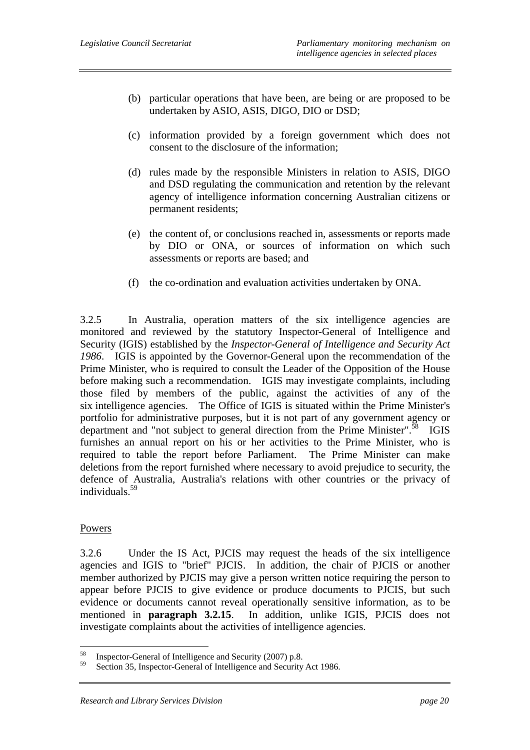- (b) particular operations that have been, are being or are proposed to be undertaken by ASIO, ASIS, DIGO, DIO or DSD;
- (c) information provided by a foreign government which does not consent to the disclosure of the information;
- (d) rules made by the responsible Ministers in relation to ASIS, DIGO and DSD regulating the communication and retention by the relevant agency of intelligence information concerning Australian citizens or permanent residents;
- (e) the content of, or conclusions reached in, assessments or reports made by DIO or ONA, or sources of information on which such assessments or reports are based; and
- (f) the co-ordination and evaluation activities undertaken by ONA.

3.2.5 In Australia, operation matters of the six intelligence agencies are monitored and reviewed by the statutory Inspector-General of Intelligence and Security (IGIS) established by the *Inspector-General of Intelligence and Security Act 1986*. IGIS is appointed by the Governor-General upon the recommendation of the Prime Minister, who is required to consult the Leader of the Opposition of the House before making such a recommendation. IGIS may investigate complaints, including those filed by members of the public, against the activities of any of the six intelligence agencies. The Office of IGIS is situated within the Prime Minister's portfolio for administrative purposes, but it is not part of any government agency or department and "not subject to general direction from the Prime Minister".<sup>58</sup> IGIS furnishes an annual report on his or her activities to the Prime Minister, who is required to table the report before Parliament. The Prime Minister can make deletions from the report furnished where necessary to avoid prejudice to security, the defence of Australia, Australia's relations with other countries or the privacy of individuals.59

## **Powers**

3.2.6 Under the IS Act, PJCIS may request the heads of the six intelligence agencies and IGIS to "brief" PJCIS. In addition, the chair of PJCIS or another member authorized by PJCIS may give a person written notice requiring the person to appear before PJCIS to give evidence or produce documents to PJCIS, but such evidence or documents cannot reveal operationally sensitive information, as to be mentioned in **paragraph 3.2.15**. In addition, unlike IGIS, PJCIS does not investigate complaints about the activities of intelligence agencies.

<sup>58</sup> <sup>58</sup> Inspector-General of Intelligence and Security (2007) p.8.<br> $\frac{59}{2}$  Section 25 Inspectes General of Intelligence and Security

Section 35, Inspector-General of Intelligence and Security Act 1986.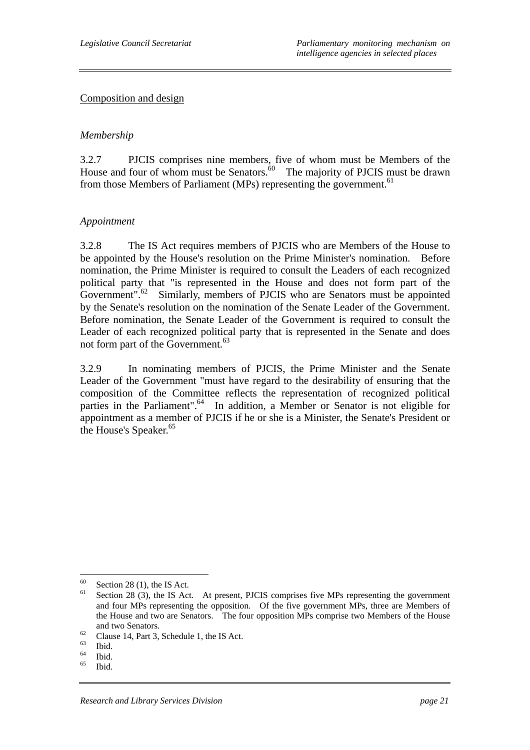#### Composition and design

## *Membership*

3.2.7 PJCIS comprises nine members, five of whom must be Members of the House and four of whom must be Senators. $60$  The majority of PJCIS must be drawn from those Members of Parliament (MPs) representing the government.<sup>61</sup>

## *Appointment*

3.2.8 The IS Act requires members of PJCIS who are Members of the House to be appointed by the House's resolution on the Prime Minister's nomination. Before nomination, the Prime Minister is required to consult the Leaders of each recognized political party that "is represented in the House and does not form part of the Government".<sup>62</sup> Similarly, members of PJCIS who are Senators must be appointed by the Senate's resolution on the nomination of the Senate Leader of the Government. Before nomination, the Senate Leader of the Government is required to consult the Leader of each recognized political party that is represented in the Senate and does not form part of the Government.<sup>63</sup>

3.2.9 In nominating members of PJCIS, the Prime Minister and the Senate Leader of the Government "must have regard to the desirability of ensuring that the composition of the Committee reflects the representation of recognized political parties in the Parliament".<sup>64</sup> In addition, a Member or Senator is not eligible for appointment as a member of PJCIS if he or she is a Minister, the Senate's President or the House's Speaker.<sup>65</sup>

<sup>60</sup>  $^{60}$  Section 28 (1), the IS Act.

Section 28 (3), the IS Act. At present, PJCIS comprises five MPs representing the government and four MPs representing the opposition. Of the five government MPs, three are Members of the House and two are Senators. The four opposition MPs comprise two Members of the House

and two Senators.<br>
Clause 14, Part 3, Schedule 1, the IS Act.<br>  $\frac{63}{1111}$ 

 $\begin{array}{c} 63 \\ 64 \end{array}$  Ibid.

 $\frac{64}{65}$  Ibid.

Ibid.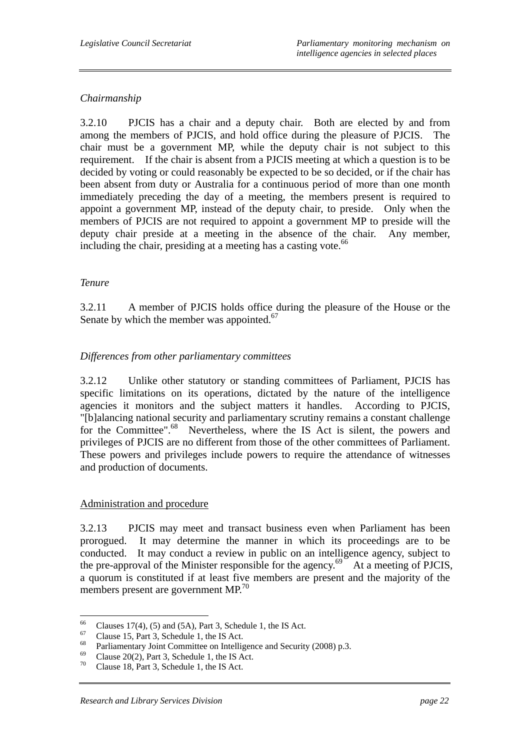# *Chairmanship*

3.2.10 PJCIS has a chair and a deputy chair. Both are elected by and from among the members of PJCIS, and hold office during the pleasure of PJCIS. The chair must be a government MP, while the deputy chair is not subject to this requirement. If the chair is absent from a PJCIS meeting at which a question is to be decided by voting or could reasonably be expected to be so decided, or if the chair has been absent from duty or Australia for a continuous period of more than one month immediately preceding the day of a meeting, the members present is required to appoint a government MP, instead of the deputy chair, to preside. Only when the members of PJCIS are not required to appoint a government MP to preside will the deputy chair preside at a meeting in the absence of the chair. Any member, including the chair, presiding at a meeting has a casting vote. $^{66}$ 

# *Tenure*

3.2.11 A member of PJCIS holds office during the pleasure of the House or the Senate by which the member was appointed.<sup>67</sup>

# *Differences from other parliamentary committees*

3.2.12 Unlike other statutory or standing committees of Parliament, PJCIS has specific limitations on its operations, dictated by the nature of the intelligence agencies it monitors and the subject matters it handles. According to PJCIS, "[b]alancing national security and parliamentary scrutiny remains a constant challenge for the Committee".<sup>68</sup> Nevertheless, where the IS Act is silent, the powers and privileges of PJCIS are no different from those of the other committees of Parliament. These powers and privileges include powers to require the attendance of witnesses and production of documents.

## Administration and procedure

3.2.13 PJCIS may meet and transact business even when Parliament has been prorogued. It may determine the manner in which its proceedings are to be conducted. It may conduct a review in public on an intelligence agency, subject to the pre-approval of the Minister responsible for the agency.<sup>69</sup> At a meeting of PJCIS, a quorum is constituted if at least five members are present and the majority of the members present are government MP.<sup>70</sup>

<sup>66</sup> <sup>66</sup> Clauses 17(4), (5) and (5A), Part 3, Schedule 1, the IS Act.<br><sup>67</sup> Clause 15, Best 3, Schedule 1, the IS Act.

 $^{67}$  Clause 15, Part 3, Schedule 1, the IS Act.

<sup>&</sup>lt;sup>68</sup> Parliamentary Joint Committee on Intelligence and Security (2008) p.3.

<sup>&</sup>lt;sup>69</sup> Clause 20(2), Part 3, Schedule 1, the IS Act.<br><sup>70</sup> Clause 1.8, Bart 3, Schedule 1, the IS Act.

Clause 18, Part 3, Schedule 1, the IS Act.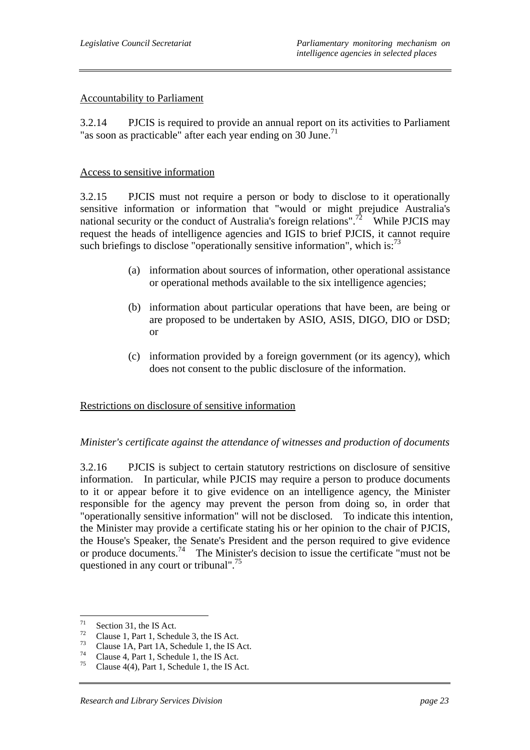#### Accountability to Parliament

3.2.14 PJCIS is required to provide an annual report on its activities to Parliament "as soon as practicable" after each year ending on 30 June.<sup>71</sup>

#### Access to sensitive information

3.2.15 PJCIS must not require a person or body to disclose to it operationally sensitive information or information that "would or might prejudice Australia's national security or the conduct of Australia's foreign relations".<sup>72</sup> While PJCIS may request the heads of intelligence agencies and IGIS to brief PJCIS, it cannot require such briefings to disclose "operationally sensitive information", which is: $^{73}$ 

- (a) information about sources of information, other operational assistance or operational methods available to the six intelligence agencies;
- (b) information about particular operations that have been, are being or are proposed to be undertaken by ASIO, ASIS, DIGO, DIO or DSD; or
- (c) information provided by a foreign government (or its agency), which does not consent to the public disclosure of the information.

#### Restrictions on disclosure of sensitive information

#### *Minister's certificate against the attendance of witnesses and production of documents*

3.2.16 PJCIS is subject to certain statutory restrictions on disclosure of sensitive information. In particular, while PJCIS may require a person to produce documents to it or appear before it to give evidence on an intelligence agency, the Minister responsible for the agency may prevent the person from doing so, in order that "operationally sensitive information" will not be disclosed. To indicate this intention, the Minister may provide a certificate stating his or her opinion to the chair of PJCIS, the House's Speaker, the Senate's President and the person required to give evidence or produce documents.74 The Minister's decision to issue the certificate "must not be questioned in any court or tribunal".75

<sup>71</sup>  $\frac{71}{72}$  Section 31, the IS Act.

 $\frac{72}{73}$  Clause 1, Part 1, Schedule 3, the IS Act.

<sup>&</sup>lt;sup>73</sup> Clause 1A, Part 1A, Schedule 1, the IS Act.<br> $^{74}$ 

<sup>&</sup>lt;sup>74</sup> Clause 4, Part 1, Schedule 1, the IS Act.<br> $^{75}$  Clause 4(4) Part 1, Schedule 1, the IS A

Clause  $4(4)$ , Part 1, Schedule 1, the IS Act.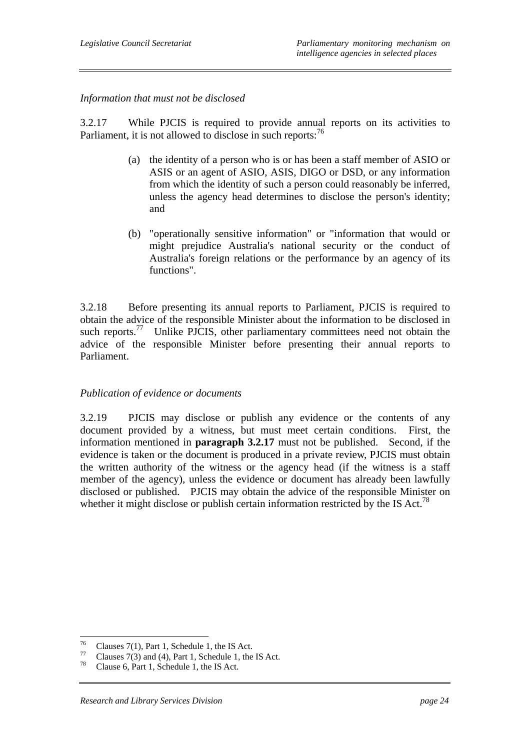# *Information that must not be disclosed*

3.2.17 While PJCIS is required to provide annual reports on its activities to Parliament, it is not allowed to disclose in such reports: $^{76}$ 

- (a) the identity of a person who is or has been a staff member of ASIO or ASIS or an agent of ASIO, ASIS, DIGO or DSD, or any information from which the identity of such a person could reasonably be inferred, unless the agency head determines to disclose the person's identity; and
- (b) "operationally sensitive information" or "information that would or might prejudice Australia's national security or the conduct of Australia's foreign relations or the performance by an agency of its functions".

3.2.18 Before presenting its annual reports to Parliament, PJCIS is required to obtain the advice of the responsible Minister about the information to be disclosed in such reports. $\frac{77}{100}$  Unlike PJCIS, other parliamentary committees need not obtain the advice of the responsible Minister before presenting their annual reports to Parliament.

## *Publication of evidence or documents*

3.2.19 PJCIS may disclose or publish any evidence or the contents of any document provided by a witness, but must meet certain conditions. First, the information mentioned in **paragraph 3.2.17** must not be published. Second, if the evidence is taken or the document is produced in a private review, PJCIS must obtain the written authority of the witness or the agency head (if the witness is a staff member of the agency), unless the evidence or document has already been lawfully disclosed or published. PJCIS may obtain the advice of the responsible Minister on whether it might disclose or publish certain information restricted by the IS Act.<sup>78</sup>

<sup>76</sup> <sup>76</sup> Clauses 7(1), Part 1, Schedule 1, the IS Act.<br><sup>77</sup> Clauses 7(2) and (4), Part 1, Schedule 1, the

<sup>&</sup>lt;sup>77</sup> Clauses 7(3) and (4), Part 1, Schedule 1, the IS Act.<br> $^{78}$  Clause 6, Part 1, Schedule 1, the IS Act.

Clause 6, Part 1, Schedule 1, the IS Act.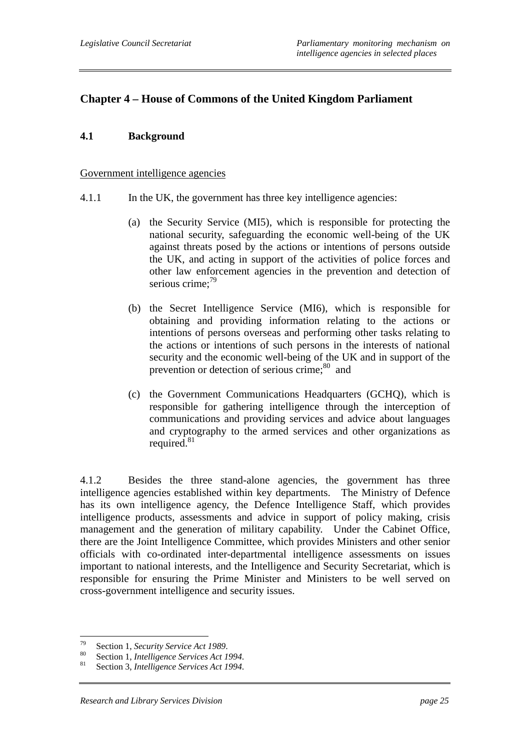# **Chapter 4 – House of Commons of the United Kingdom Parliament**

## **4.1 Background**

#### Government intelligence agencies

- 4.1.1 In the UK, the government has three key intelligence agencies:
	- (a) the Security Service (MI5), which is responsible for protecting the national security, safeguarding the economic well-being of the UK against threats posed by the actions or intentions of persons outside the UK, and acting in support of the activities of police forces and other law enforcement agencies in the prevention and detection of serious crime: $79$
	- (b) the Secret Intelligence Service (MI6), which is responsible for obtaining and providing information relating to the actions or intentions of persons overseas and performing other tasks relating to the actions or intentions of such persons in the interests of national security and the economic well-being of the UK and in support of the prevention or detection of serious crime; $80$  and
	- (c) the Government Communications Headquarters (GCHQ), which is responsible for gathering intelligence through the interception of communications and providing services and advice about languages and cryptography to the armed services and other organizations as required. $81$

4.1.2 Besides the three stand-alone agencies, the government has three intelligence agencies established within key departments. The Ministry of Defence has its own intelligence agency, the Defence Intelligence Staff, which provides intelligence products, assessments and advice in support of policy making, crisis management and the generation of military capability. Under the Cabinet Office, there are the Joint Intelligence Committee, which provides Ministers and other senior officials with co-ordinated inter-departmental intelligence assessments on issues important to national interests, and the Intelligence and Security Secretariat, which is responsible for ensuring the Prime Minister and Ministers to be well served on cross-government intelligence and security issues.

 $70 -$ 

<sup>&</sup>lt;sup>79</sup> Section 1, *Security Service Act 1989*.<br><sup>80</sup> Section 1, *Intelligence Services Act 1994*.<br>81 Section 3, *Intelligence Services Act 1994*.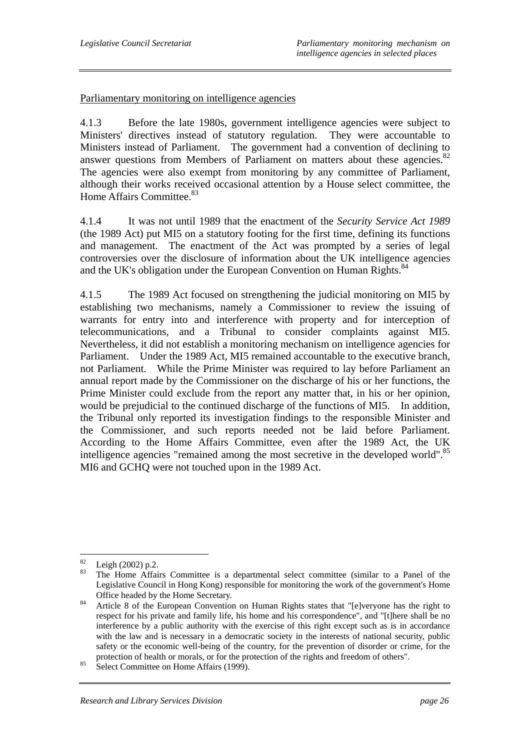## Parliamentary monitoring on intelligence agencies

4.1.3 Before the late 1980s, government intelligence agencies were subject to Ministers' directives instead of statutory regulation. They were accountable to Ministers instead of Parliament. The government had a convention of declining to answer questions from Members of Parliament on matters about these agencies. $82$ The agencies were also exempt from monitoring by any committee of Parliament, although their works received occasional attention by a House select committee, the Home Affairs Committee.<sup>83</sup>

4.1.4 It was not until 1989 that the enactment of the *Security Service Act 1989* (the 1989 Act) put MI5 on a statutory footing for the first time, defining its functions and management. The enactment of the Act was prompted by a series of legal controversies over the disclosure of information about the UK intelligence agencies and the UK's obligation under the European Convention on Human Rights.<sup>84</sup>

4.1.5 The 1989 Act focused on strengthening the judicial monitoring on MI5 by establishing two mechanisms, namely a Commissioner to review the issuing of warrants for entry into and interference with property and for interception of telecommunications, and a Tribunal to consider complaints against MI5. Nevertheless, it did not establish a monitoring mechanism on intelligence agencies for Parliament. Under the 1989 Act, MI5 remained accountable to the executive branch, not Parliament. While the Prime Minister was required to lay before Parliament an annual report made by the Commissioner on the discharge of his or her functions, the Prime Minister could exclude from the report any matter that, in his or her opinion, would be prejudicial to the continued discharge of the functions of MI5. In addition, the Tribunal only reported its investigation findings to the responsible Minister and the Commissioner, and such reports needed not be laid before Parliament. According to the Home Affairs Committee, even after the 1989 Act, the UK intelligence agencies "remained among the most secretive in the developed world".<sup>85</sup> MI6 and GCHQ were not touched upon in the 1989 Act.

<sup>82</sup>  $\frac{82}{83}$  Leigh (2002) p.2.

The Home Affairs Committee is a departmental select committee (similar to a Panel of the Legislative Council in Hong Kong) responsible for monitoring the work of the government's Home

Office headed by the Home Secretary.<br><sup>84</sup> Article 8 of the European Convention on Human Rights states that "[e]veryone has the right to respect for his private and family life, his home and his correspondence", and "[t]here shall be no interference by a public authority with the exercise of this right except such as is in accordance with the law and is necessary in a democratic society in the interests of national security, public safety or the economic well-being of the country, for the prevention of disorder or crime, for the protection of health or morals, or for the protection of the rights and freedom of others".<br>Select Committee on Home Affairs (1999).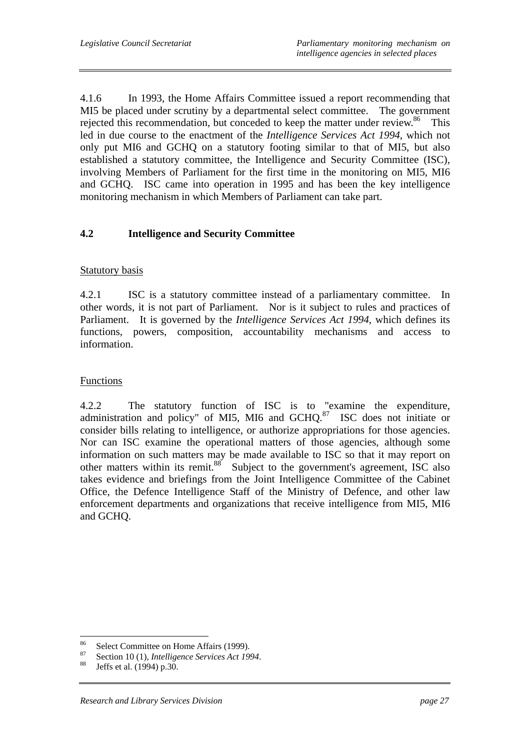4.1.6 In 1993, the Home Affairs Committee issued a report recommending that MI5 be placed under scrutiny by a departmental select committee. The government rejected this recommendation, but conceded to keep the matter under review.<sup>86</sup> This led in due course to the enactment of the *Intelligence Services Act 1994*, which not only put MI6 and GCHQ on a statutory footing similar to that of MI5, but also established a statutory committee, the Intelligence and Security Committee (ISC), involving Members of Parliament for the first time in the monitoring on MI5, MI6 and GCHQ. ISC came into operation in 1995 and has been the key intelligence monitoring mechanism in which Members of Parliament can take part.

# **4.2 Intelligence and Security Committee**

## Statutory basis

4.2.1 ISC is a statutory committee instead of a parliamentary committee. In other words, it is not part of Parliament. Nor is it subject to rules and practices of Parliament. It is governed by the *Intelligence Services Act 1994*, which defines its functions, powers, composition, accountability mechanisms and access to information.

# **Functions**

4.2.2 The statutory function of ISC is to "examine the expenditure, administration and policy" of MI5, MI6 and GCHQ. $87$  ISC does not initiate or consider bills relating to intelligence, or authorize appropriations for those agencies. Nor can ISC examine the operational matters of those agencies, although some information on such matters may be made available to ISC so that it may report on other matters within its remit.<sup>88</sup> Subject to the government's agreement, ISC also takes evidence and briefings from the Joint Intelligence Committee of the Cabinet Office, the Defence Intelligence Staff of the Ministry of Defence, and other law enforcement departments and organizations that receive intelligence from MI5, MI6 and GCHQ.

<sup>86</sup> <sup>86</sup> Select Committee on Home Affairs (1999).

<sup>&</sup>lt;sup>87</sup> Section 10 (1), *Intelligence Services Act 1994*.<br><sup>88</sup> Jeffs et al. (1994) p.30.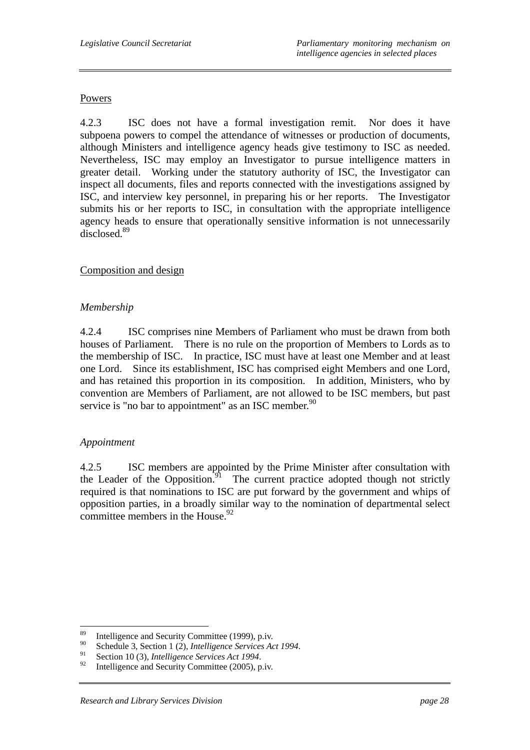#### Powers

4.2.3 ISC does not have a formal investigation remit. Nor does it have subpoena powers to compel the attendance of witnesses or production of documents, although Ministers and intelligence agency heads give testimony to ISC as needed. Nevertheless, ISC may employ an Investigator to pursue intelligence matters in greater detail. Working under the statutory authority of ISC, the Investigator can inspect all documents, files and reports connected with the investigations assigned by ISC, and interview key personnel, in preparing his or her reports. The Investigator submits his or her reports to ISC, in consultation with the appropriate intelligence agency heads to ensure that operationally sensitive information is not unnecessarily disclosed.<sup>89</sup>

## Composition and design

## *Membership*

4.2.4 ISC comprises nine Members of Parliament who must be drawn from both houses of Parliament. There is no rule on the proportion of Members to Lords as to the membership of ISC. In practice, ISC must have at least one Member and at least one Lord. Since its establishment, ISC has comprised eight Members and one Lord, and has retained this proportion in its composition. In addition, Ministers, who by convention are Members of Parliament, are not allowed to be ISC members, but past service is "no bar to appointment" as an ISC member.<sup>90</sup>

## *Appointment*

4.2.5 ISC members are appointed by the Prime Minister after consultation with the Leader of the Opposition. $91$  The current practice adopted though not strictly required is that nominations to ISC are put forward by the government and whips of opposition parties, in a broadly similar way to the nomination of departmental select committee members in the House.<sup>92</sup>

<sup>89</sup> <sup>89</sup> Intelligence and Security Committee (1999), p.iv.

<sup>&</sup>lt;sup>90</sup> Schedule 3, Section 1 (2), *Intelligence Services Act 1994*.<br>
<sup>91</sup> Section 10 (3), *Intelligence Services Act 1994*.<br>
Intelligence and Security Committee (2005), p.iv.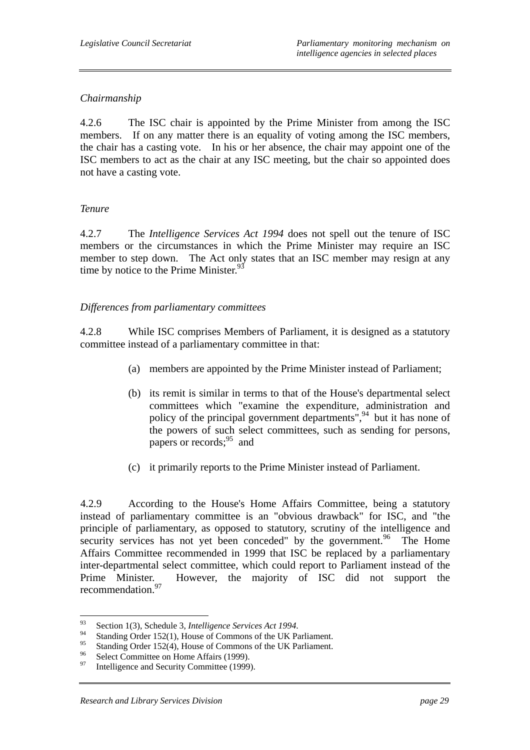# *Chairmanship*

4.2.6 The ISC chair is appointed by the Prime Minister from among the ISC members. If on any matter there is an equality of voting among the ISC members, the chair has a casting vote. In his or her absence, the chair may appoint one of the ISC members to act as the chair at any ISC meeting, but the chair so appointed does not have a casting vote.

# *Tenure*

4.2.7 The *Intelligence Services Act 1994* does not spell out the tenure of ISC members or the circumstances in which the Prime Minister may require an ISC member to step down. The Act only states that an ISC member may resign at any time by notice to the Prime Minister. $93$ 

# *Differences from parliamentary committees*

4.2.8 While ISC comprises Members of Parliament, it is designed as a statutory committee instead of a parliamentary committee in that:

- (a) members are appointed by the Prime Minister instead of Parliament;
- (b) its remit is similar in terms to that of the House's departmental select committees which "examine the expenditure, administration and policy of the principal government departments",<sup>94</sup> but it has none of the powers of such select committees, such as sending for persons, papers or records; $^{95}$  and
- (c) it primarily reports to the Prime Minister instead of Parliament.

4.2.9 According to the House's Home Affairs Committee, being a statutory instead of parliamentary committee is an "obvious drawback" for ISC, and "the principle of parliamentary, as opposed to statutory, scrutiny of the intelligence and security services has not yet been conceded" by the government.<sup>96</sup> The Home Affairs Committee recommended in 1999 that ISC be replaced by a parliamentary inter-departmental select committee, which could report to Parliament instead of the Prime Minister. However, the majority of ISC did not support the recommendation.<sup>97</sup>

 $Q<sub>3</sub>$ 

<sup>&</sup>lt;sup>93</sup> Section 1(3), Schedule 3, *Intelligence Services Act 1994*.<br>
Standing Order 152(1), House of Commons of the UK Parliament.

<sup>&</sup>lt;sup>95</sup> Standing Order 152(4), House of Commons of the UK Parliament.

<sup>&</sup>lt;sup>96</sup> Select Committee on Home Affairs (1999).

Intelligence and Security Committee (1999).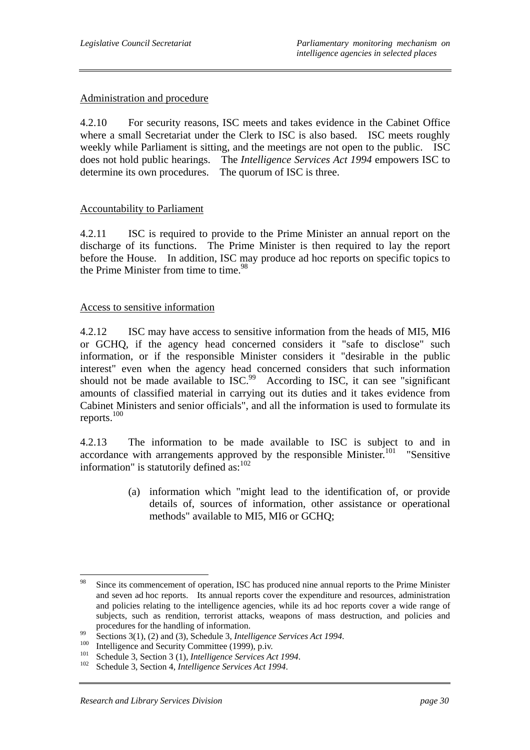#### Administration and procedure

4.2.10 For security reasons, ISC meets and takes evidence in the Cabinet Office where a small Secretariat under the Clerk to ISC is also based. ISC meets roughly weekly while Parliament is sitting, and the meetings are not open to the public. ISC does not hold public hearings. The *Intelligence Services Act 1994* empowers ISC to determine its own procedures. The quorum of ISC is three.

#### Accountability to Parliament

4.2.11 ISC is required to provide to the Prime Minister an annual report on the discharge of its functions. The Prime Minister is then required to lay the report before the House. In addition, ISC may produce ad hoc reports on specific topics to the Prime Minister from time to time.<sup>98</sup>

#### Access to sensitive information

4.2.12 ISC may have access to sensitive information from the heads of MI5, MI6 or GCHQ, if the agency head concerned considers it "safe to disclose" such information, or if the responsible Minister considers it "desirable in the public interest" even when the agency head concerned considers that such information should not be made available to ISC.<sup>99</sup> According to ISC, it can see "significant amounts of classified material in carrying out its duties and it takes evidence from Cabinet Ministers and senior officials", and all the information is used to formulate its reports.100

4.2.13 The information to be made available to ISC is subject to and in accordance with arrangements approved by the responsible Minister.<sup>101</sup> "Sensitive information" is statutorily defined as: $102$ 

> (a) information which "might lead to the identification of, or provide details of, sources of information, other assistance or operational methods" available to MI5, MI6 or GCHQ;

<sup>98</sup> Since its commencement of operation, ISC has produced nine annual reports to the Prime Minister and seven ad hoc reports. Its annual reports cover the expenditure and resources, administration and policies relating to the intelligence agencies, while its ad hoc reports cover a wide range of subjects, such as rendition, terrorist attacks, weapons of mass destruction, and policies and

procedures for the handling of information.<br>
Sections 3(1), (2) and (3), Schedule 3, *Intelligence Services Act 1994*.<br>
<sup>100</sup> Intelligence and Security Committee (1999), p.iv.<br>
<sup>101</sup> Schedule 3, Section 3 (1), *Intelligen*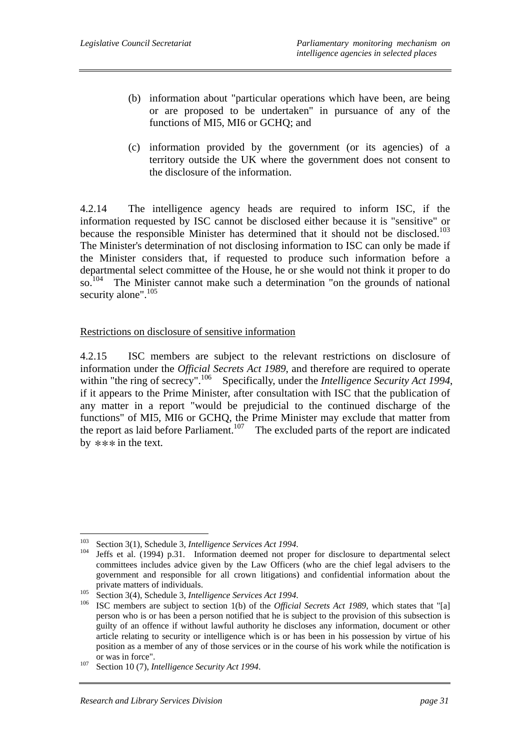- (b) information about "particular operations which have been, are being or are proposed to be undertaken" in pursuance of any of the functions of MI5, MI6 or GCHQ; and
- (c) information provided by the government (or its agencies) of a territory outside the UK where the government does not consent to the disclosure of the information.

4.2.14 The intelligence agency heads are required to inform ISC, if the information requested by ISC cannot be disclosed either because it is "sensitive" or because the responsible Minister has determined that it should not be disclosed.<sup>103</sup> The Minister's determination of not disclosing information to ISC can only be made if the Minister considers that, if requested to produce such information before a departmental select committee of the House, he or she would not think it proper to do so.<sup>104</sup> The Minister cannot make such a determination "on the grounds of national security alone".<sup>105</sup>

#### Restrictions on disclosure of sensitive information

4.2.15 ISC members are subject to the relevant restrictions on disclosure of information under the *Official Secrets Act 1989*, and therefore are required to operate within "the ring of secrecy".<sup>106</sup> Specifically, under the *Intelligence Security Act 1994*, if it appears to the Prime Minister, after consultation with ISC that the publication of any matter in a report "would be prejudicial to the continued discharge of the functions" of MI5, MI6 or GCHQ, the Prime Minister may exclude that matter from the report as laid before Parliament.<sup>107</sup> The excluded parts of the report are indicated by  $**\ast$  in the text.

<sup>103</sup> 

<sup>&</sup>lt;sup>103</sup> Section 3(1), Schedule 3, *Intelligence Services Act 1994*.<br><sup>104</sup> Jeffs et al. (1994) p.31. Information deemed not proper for disclosure to departmental select committees includes advice given by the Law Officers (who are the chief legal advisers to the government and responsible for all crown litigations) and confidential information about the private matters of individuals.<br><sup>105</sup> Section 3(4), Schedule 3, *Intelligence Services Act 1994*.<br><sup>106</sup> ISC members are subject to section 1(b) of the *Official Secrets Act 1989*, which states that "[a]

person who is or has been a person notified that he is subject to the provision of this subsection is guilty of an offence if without lawful authority he discloses any information, document or other article relating to security or intelligence which is or has been in his possession by virtue of his position as a member of any of those services or in the course of his work while the notification is

or was in force". 107 Section 10 (7), *Intelligence Security Act 1994*.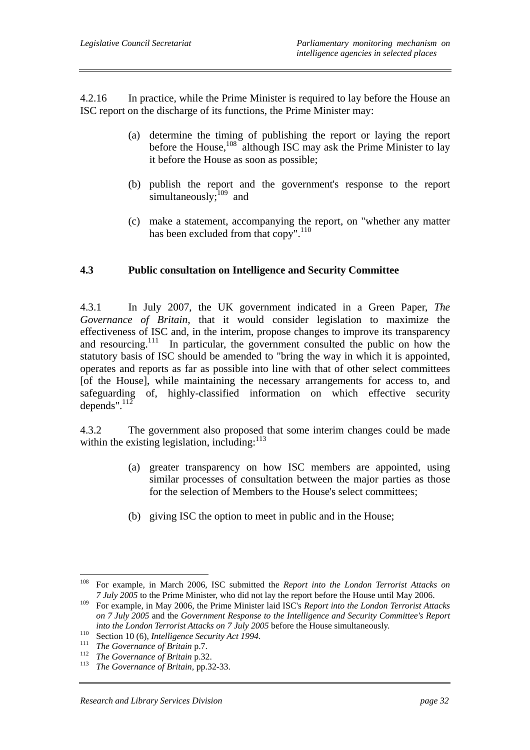4.2.16 In practice, while the Prime Minister is required to lay before the House an ISC report on the discharge of its functions, the Prime Minister may:

- (a) determine the timing of publishing the report or laying the report before the House,<sup>108</sup> although ISC may ask the Prime Minister to lay it before the House as soon as possible;
- (b) publish the report and the government's response to the report simultaneously; $^{109}$  and
- (c) make a statement, accompanying the report, on "whether any matter has been excluded from that copy".<sup>110</sup>

## **4.3 Public consultation on Intelligence and Security Committee**

4.3.1 In July 2007, the UK government indicated in a Green Paper, *The Governance of Britain*, that it would consider legislation to maximize the effectiveness of ISC and, in the interim, propose changes to improve its transparency and resourcing.<sup>111</sup> In particular, the government consulted the public on how the statutory basis of ISC should be amended to "bring the way in which it is appointed, operates and reports as far as possible into line with that of other select committees [of the House], while maintaining the necessary arrangements for access to, and safeguarding of, highly-classified information on which effective security depends". $^{112}$ 

4.3.2 The government also proposed that some interim changes could be made within the existing legislation, including: $113$ 

- (a) greater transparency on how ISC members are appointed, using similar processes of consultation between the major parties as those for the selection of Members to the House's select committees;
- (b) giving ISC the option to meet in public and in the House;

<sup>108</sup> 108 For example, in March 2006, ISC submitted the *Report into the London Terrorist Attacks on 7 July 2005* to the Prime Minister, who did not lay the report before the House until May 2006.

<sup>109</sup> For example, in May 2006, the Prime Minister laid ISC's *Report into the London Terrorist Attacks on 7 July 2005* and the *Government Response to the Intelligence and Security Committee's Report*  into the London Terrorist Attacks on 7 July 2005 before the House simultaneously.<br>
<sup>110</sup> Section 10 (6), *Intelligence Security Act 1994*.<br>
<sup>111</sup> The Governance of Britain p.7.<br>
<sup>112</sup> The Governance of Britain p.32.<br>
<sup>113</sup>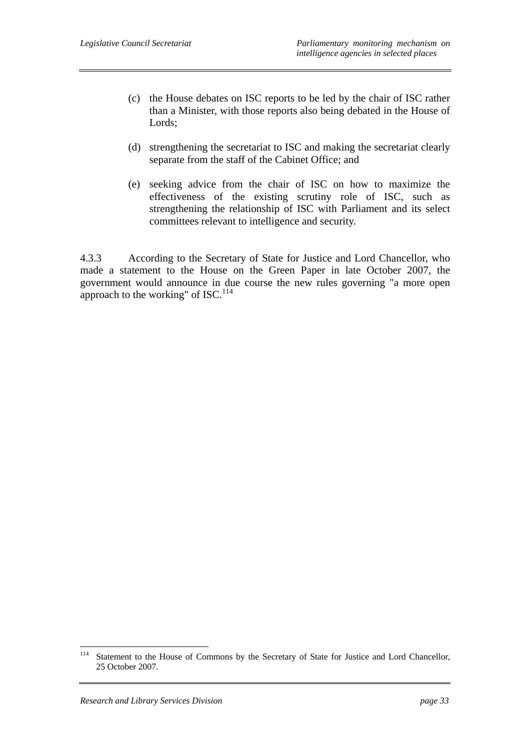- (c) the House debates on ISC reports to be led by the chair of ISC rather than a Minister, with those reports also being debated in the House of Lords;
- (d) strengthening the secretariat to ISC and making the secretariat clearly separate from the staff of the Cabinet Office; and
- (e) seeking advice from the chair of ISC on how to maximize the effectiveness of the existing scrutiny role of ISC, such as strengthening the relationship of ISC with Parliament and its select committees relevant to intelligence and security.

4.3.3 According to the Secretary of State for Justice and Lord Chancellor, who made a statement to the House on the Green Paper in late October 2007, the government would announce in due course the new rules governing "a more open approach to the working" of  $ISC$ .<sup>114</sup>

<sup>114</sup> Statement to the House of Commons by the Secretary of State for Justice and Lord Chancellor, 25 October 2007.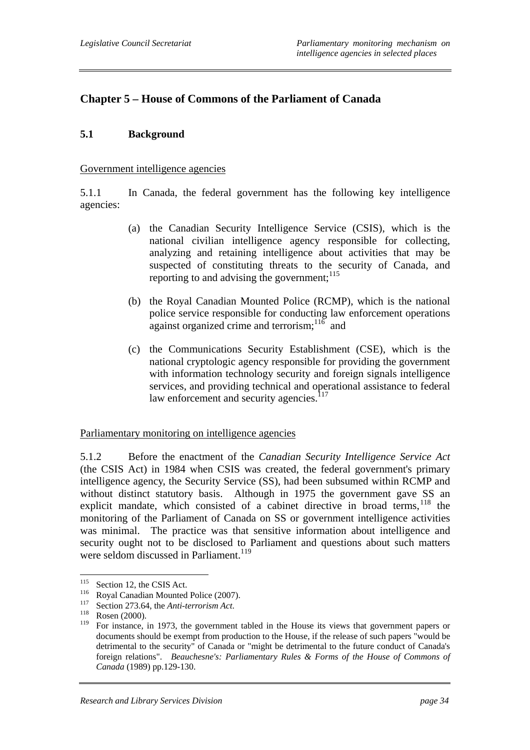# **Chapter 5 – House of Commons of the Parliament of Canada**

### **5.1 Background**

#### Government intelligence agencies

5.1.1 In Canada, the federal government has the following key intelligence agencies:

- (a) the Canadian Security Intelligence Service (CSIS), which is the national civilian intelligence agency responsible for collecting, analyzing and retaining intelligence about activities that may be suspected of constituting threats to the security of Canada, and reporting to and advising the government:  $115$
- (b) the Royal Canadian Mounted Police (RCMP), which is the national police service responsible for conducting law enforcement operations against organized crime and terrorism;  $11\overline{6}$  and
- (c) the Communications Security Establishment (CSE), which is the national cryptologic agency responsible for providing the government with information technology security and foreign signals intelligence services, and providing technical and operational assistance to federal law enforcement and security agencies.<sup>117</sup>

Parliamentary monitoring on intelligence agencies

5.1.2 Before the enactment of the *Canadian Security Intelligence Service Act* (the CSIS Act) in 1984 when CSIS was created, the federal government's primary intelligence agency, the Security Service (SS), had been subsumed within RCMP and without distinct statutory basis. Although in 1975 the government gave SS an explicit mandate, which consisted of a cabinet directive in broad terms,  $118$  the monitoring of the Parliament of Canada on SS or government intelligence activities was minimal. The practice was that sensitive information about intelligence and security ought not to be disclosed to Parliament and questions about such matters were seldom discussed in Parliament.<sup>119</sup>

<sup>115</sup> 

<sup>&</sup>lt;sup>115</sup> Section 12, the CSIS Act.<br>
<sup>116</sup> Royal Canadian Mounted Police (2007).<br>
<sup>117</sup> Section 273.64, the *Anti-terrorism Act*.<br>
<sup>118</sup> Rosen (2000).<br>
<sup>119</sup> Eor instance in 1973, the severnment t

<sup>119</sup> For instance, in 1973, the government tabled in the House its views that government papers or documents should be exempt from production to the House, if the release of such papers "would be detrimental to the security" of Canada or "might be detrimental to the future conduct of Canada's foreign relations". *Beauchesne's: Parliamentary Rules & Forms of the House of Commons of Canada* (1989) pp.129-130.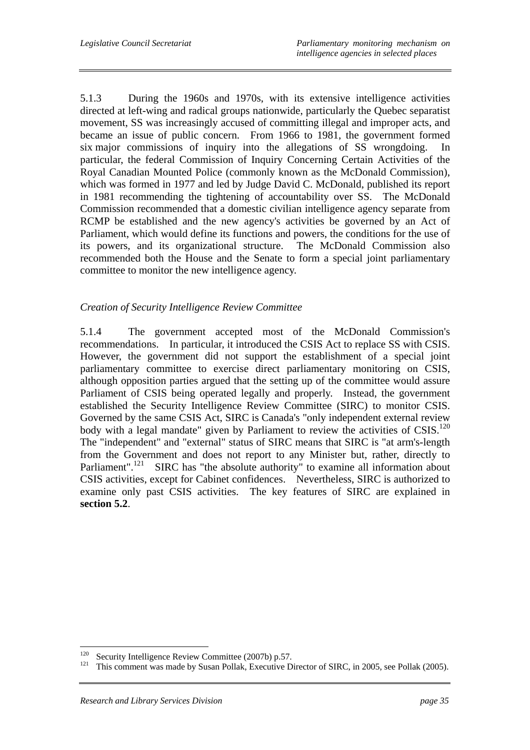5.1.3 During the 1960s and 1970s, with its extensive intelligence activities directed at left-wing and radical groups nationwide, particularly the Quebec separatist movement, SS was increasingly accused of committing illegal and improper acts, and became an issue of public concern. From 1966 to 1981, the government formed six major commissions of inquiry into the allegations of SS wrongdoing. In particular, the federal Commission of Inquiry Concerning Certain Activities of the Royal Canadian Mounted Police (commonly known as the McDonald Commission), which was formed in 1977 and led by Judge David C. McDonald, published its report in 1981 recommending the tightening of accountability over SS. The McDonald Commission recommended that a domestic civilian intelligence agency separate from RCMP be established and the new agency's activities be governed by an Act of Parliament, which would define its functions and powers, the conditions for the use of its powers, and its organizational structure. The McDonald Commission also recommended both the House and the Senate to form a special joint parliamentary committee to monitor the new intelligence agency.

# *Creation of Security Intelligence Review Committee*

5.1.4 The government accepted most of the McDonald Commission's recommendations. In particular, it introduced the CSIS Act to replace SS with CSIS. However, the government did not support the establishment of a special joint parliamentary committee to exercise direct parliamentary monitoring on CSIS, although opposition parties argued that the setting up of the committee would assure Parliament of CSIS being operated legally and properly. Instead, the government established the Security Intelligence Review Committee (SIRC) to monitor CSIS. Governed by the same CSIS Act, SIRC is Canada's "only independent external review body with a legal mandate" given by Parliament to review the activities of CSIS.<sup>120</sup> The "independent" and "external" status of SIRC means that SIRC is "at arm's-length from the Government and does not report to any Minister but, rather, directly to Parliament".<sup>121</sup> SIRC has "the absolute authority" to examine all information about CSIS activities, except for Cabinet confidences. Nevertheless, SIRC is authorized to examine only past CSIS activities. The key features of SIRC are explained in **section 5.2**.

<sup>120</sup> 

Security Intelligence Review Committee (2007b) p.57.<br>This comment was made by Susan Pollak, Executive Director of SIRC, in 2005, see Pollak (2005).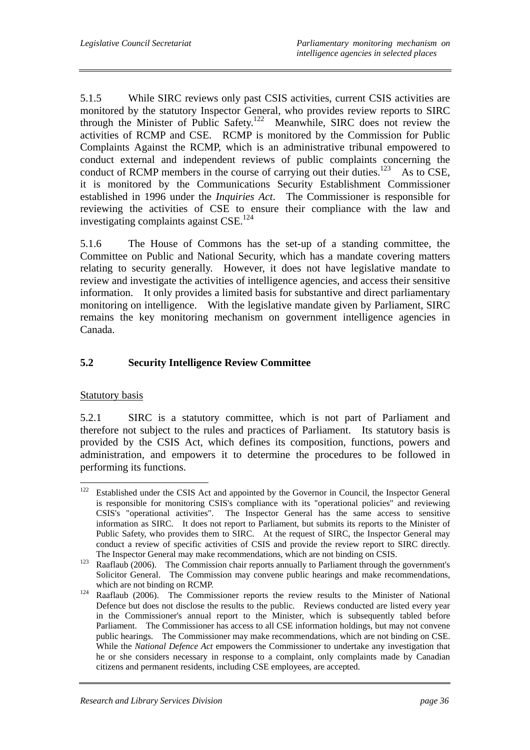5.1.5 While SIRC reviews only past CSIS activities, current CSIS activities are monitored by the statutory Inspector General, who provides review reports to SIRC through the Minister of Public Safety.<sup>122</sup> Meanwhile, SIRC does not review the activities of RCMP and CSE. RCMP is monitored by the Commission for Public Complaints Against the RCMP, which is an administrative tribunal empowered to conduct external and independent reviews of public complaints concerning the conduct of RCMP members in the course of carrying out their duties.<sup>123</sup> As to CSE, it is monitored by the Communications Security Establishment Commissioner established in 1996 under the *Inquiries Act*. The Commissioner is responsible for reviewing the activities of CSE to ensure their compliance with the law and investigating complaints against CSE.124

5.1.6 The House of Commons has the set-up of a standing committee, the Committee on Public and National Security, which has a mandate covering matters relating to security generally. However, it does not have legislative mandate to review and investigate the activities of intelligence agencies, and access their sensitive information. It only provides a limited basis for substantive and direct parliamentary monitoring on intelligence. With the legislative mandate given by Parliament, SIRC remains the key monitoring mechanism on government intelligence agencies in Canada.

# **5.2 Security Intelligence Review Committee**

## Statutory basis

5.2.1 SIRC is a statutory committee, which is not part of Parliament and therefore not subject to the rules and practices of Parliament. Its statutory basis is provided by the CSIS Act, which defines its composition, functions, powers and administration, and empowers it to determine the procedures to be followed in performing its functions.

<sup>122</sup> Established under the CSIS Act and appointed by the Governor in Council, the Inspector General is responsible for monitoring CSIS's compliance with its "operational policies" and reviewing CSIS's "operational activities". The Inspector General has the same access to sensitive information as SIRC. It does not report to Parliament, but submits its reports to the Minister of Public Safety, who provides them to SIRC. At the request of SIRC, the Inspector General may conduct a review of specific activities of CSIS and provide the review report to SIRC directly.

The Inspector General may make recommendations, which are not binding on CSIS.<br><sup>123</sup> Raaflaub (2006). The Commission chair reports annually to Parliament through the government's Solicitor General. The Commission may convene public hearings and make recommendations,

which are not binding on RCMP.<br><sup>124</sup> Raaflaub (2006). The Commissioner reports the review results to the Minister of National Defence but does not disclose the results to the public. Reviews conducted are listed every year in the Commissioner's annual report to the Minister, which is subsequently tabled before Parliament. The Commissioner has access to all CSE information holdings, but may not convene public hearings. The Commissioner may make recommendations, which are not binding on CSE. While the *National Defence Act* empowers the Commissioner to undertake any investigation that he or she considers necessary in response to a complaint, only complaints made by Canadian citizens and permanent residents, including CSE employees, are accepted.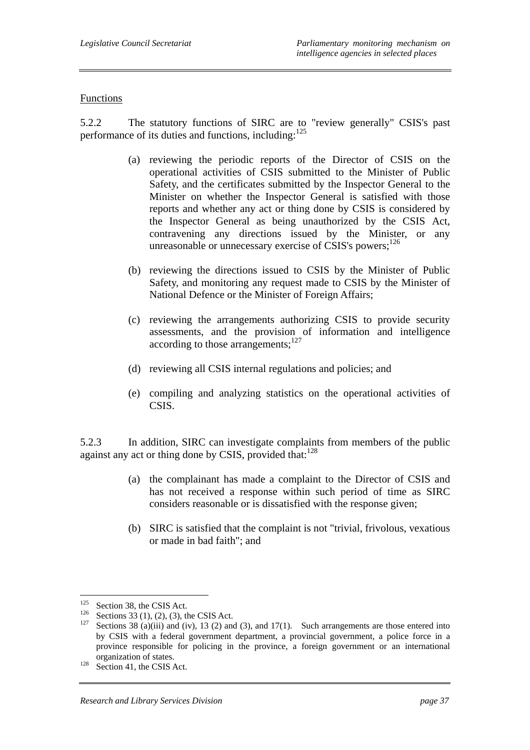#### Functions

5.2.2 The statutory functions of SIRC are to "review generally" CSIS's past performance of its duties and functions, including:<sup>125</sup>

- (a) reviewing the periodic reports of the Director of CSIS on the operational activities of CSIS submitted to the Minister of Public Safety, and the certificates submitted by the Inspector General to the Minister on whether the Inspector General is satisfied with those reports and whether any act or thing done by CSIS is considered by the Inspector General as being unauthorized by the CSIS Act, contravening any directions issued by the Minister, or any unreasonable or unnecessary exercise of CSIS's powers;<sup>126</sup>
- (b) reviewing the directions issued to CSIS by the Minister of Public Safety, and monitoring any request made to CSIS by the Minister of National Defence or the Minister of Foreign Affairs;
- (c) reviewing the arrangements authorizing CSIS to provide security assessments, and the provision of information and intelligence according to those arrangements: $127$
- (d) reviewing all CSIS internal regulations and policies; and
- (e) compiling and analyzing statistics on the operational activities of CSIS.

5.2.3 In addition, SIRC can investigate complaints from members of the public against any act or thing done by CSIS, provided that: $128$ 

- (a) the complainant has made a complaint to the Director of CSIS and has not received a response within such period of time as SIRC considers reasonable or is dissatisfied with the response given;
- (b) SIRC is satisfied that the complaint is not "trivial, frivolous, vexatious or made in bad faith"; and

<sup>125</sup> 

<sup>&</sup>lt;sup>125</sup> Section 38, the CSIS Act.<br><sup>126</sup> Sections 33 (1), (2), (3), the CSIS Act.<br><sup>127</sup> Sections 38 (a)(iii) and (iv), 13 (2) and (3), and 17(1). Such arrangements are those entered into by CSIS with a federal government department, a provincial government, a police force in a province responsible for policing in the province, a foreign government or an international organization of states.<br>
<sup>128</sup> Section 41, the CSIS Act.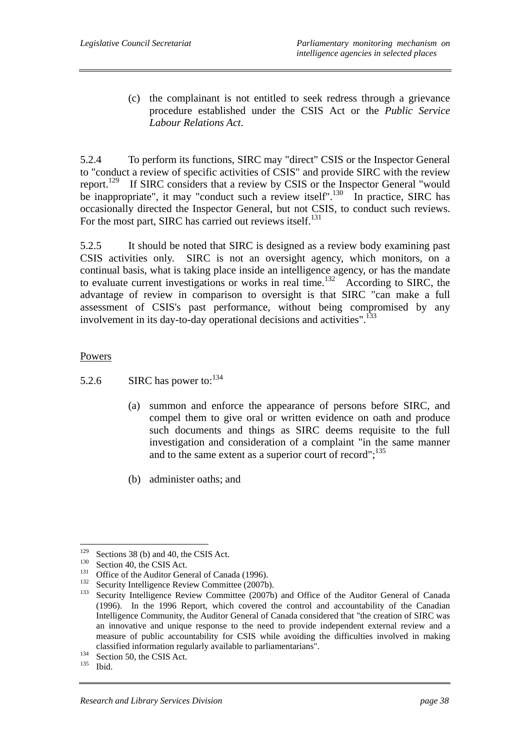(c) the complainant is not entitled to seek redress through a grievance procedure established under the CSIS Act or the *Public Service Labour Relations Act*.

5.2.4 To perform its functions, SIRC may "direct" CSIS or the Inspector General to "conduct a review of specific activities of CSIS" and provide SIRC with the review report.129 If SIRC considers that a review by CSIS or the Inspector General "would be inappropriate", it may "conduct such a review itself".<sup>130</sup> In practice, SIRC has occasionally directed the Inspector General, but not CSIS, to conduct such reviews. For the most part, SIRC has carried out reviews itself.<sup>131</sup>

5.2.5 It should be noted that SIRC is designed as a review body examining past CSIS activities only. SIRC is not an oversight agency, which monitors, on a continual basis, what is taking place inside an intelligence agency, or has the mandate to evaluate current investigations or works in real time.<sup>132</sup> According to SIRC, the advantage of review in comparison to oversight is that SIRC "can make a full assessment of CSIS's past performance, without being compromised by any involvement in its day-to-day operational decisions and activities".<sup>133</sup>

Powers

- 5.2.6 SIRC has power to:  $134$ 
	- (a) summon and enforce the appearance of persons before SIRC, and compel them to give oral or written evidence on oath and produce such documents and things as SIRC deems requisite to the full investigation and consideration of a complaint "in the same manner and to the same extent as a superior court of record";<sup>135</sup>
	- (b) administer oaths; and

 $129$ 

<sup>&</sup>lt;sup>129</sup> Sections 38 (b) and 40, the CSIS Act.<br>
<sup>130</sup> Section 40, the CSIS Act.<br>
<sup>131</sup> Office of the Auditor General of Canada (1996).<br>
<sup>132</sup> Security Intelligence Review Committee (2007b).<br>
<sup>133</sup> Security Intelligence Revie (1996). In the 1996 Report, which covered the control and accountability of the Canadian Intelligence Community, the Auditor General of Canada considered that "the creation of SIRC was an innovative and unique response to the need to provide independent external review and a measure of public accountability for CSIS while avoiding the difficulties involved in making classified information regularly available to parliamentarians".<br>
<sup>134</sup> Section 50, the CSIS Act.<br>
<sup>135</sup> Ibid.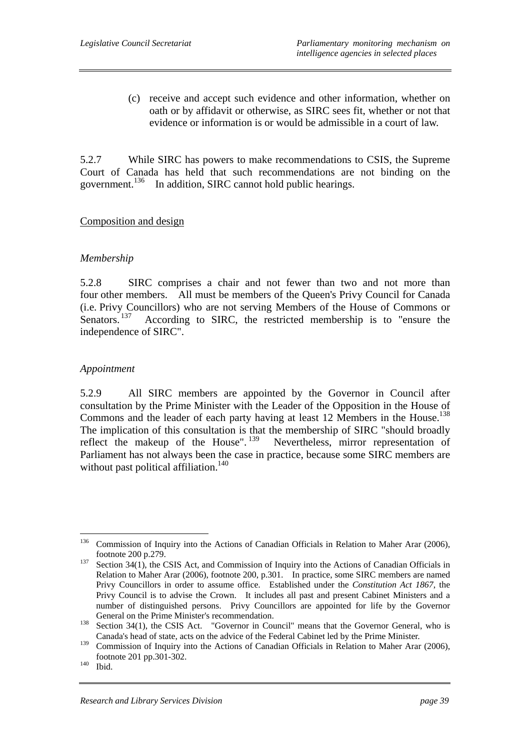(c) receive and accept such evidence and other information, whether on oath or by affidavit or otherwise, as SIRC sees fit, whether or not that evidence or information is or would be admissible in a court of law.

5.2.7 While SIRC has powers to make recommendations to CSIS, the Supreme Court of Canada has held that such recommendations are not binding on the government.<sup>136</sup> In addition, SIRC cannot hold public hearings.

#### Composition and design

#### *Membership*

5.2.8 SIRC comprises a chair and not fewer than two and not more than four other members. All must be members of the Queen's Privy Council for Canada (i.e. Privy Councillors) who are not serving Members of the House of Commons or Senators.<sup>137</sup> According to SIRC, the restricted membership is to "ensure the independence of SIRC".

#### *Appointment*

5.2.9 All SIRC members are appointed by the Governor in Council after consultation by the Prime Minister with the Leader of the Opposition in the House of Commons and the leader of each party having at least 12 Members in the House.<sup>138</sup> The implication of this consultation is that the membership of SIRC "should broadly reflect the makeup of the House". <sup>139</sup> Nevertheless, mirror representation of Parliament has not always been the case in practice, because some SIRC members are without past political affiliation.<sup>140</sup>

<sup>136</sup> 136 Commission of Inquiry into the Actions of Canadian Officials in Relation to Maher Arar (2006), footnote 200 p.279. 137 Section 34(1), the CSIS Act, and Commission of Inquiry into the Actions of Canadian Officials in

Relation to Maher Arar (2006), footnote 200, p.301. In practice, some SIRC members are named Privy Councillors in order to assume office. Established under the *Constitution Act 1867*, the Privy Council is to advise the Crown. It includes all past and present Cabinet Ministers and a number of distinguished persons. Privy Councillors are appointed for life by the Governor

General on the Prime Minister's recommendation.<br><sup>138</sup> Section 34(1), the CSIS Act. "Governor in Council" means that the Governor General, who is Canada's head of state, acts on the advice of the Federal Cabinet led by the Prime Minister.

<sup>&</sup>lt;sup>139</sup> Commission of Inquiry into the Actions of Canadian Officials in Relation to Maher Arar (2006), footnote 201 pp.301-302. 140 Ibid.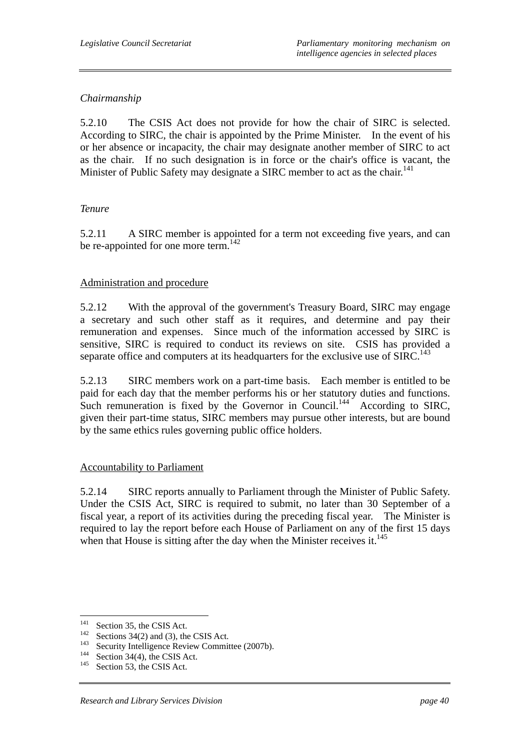## *Chairmanship*

5.2.10 The CSIS Act does not provide for how the chair of SIRC is selected. According to SIRC, the chair is appointed by the Prime Minister. In the event of his or her absence or incapacity, the chair may designate another member of SIRC to act as the chair. If no such designation is in force or the chair's office is vacant, the Minister of Public Safety may designate a SIRC member to act as the chair.<sup>141</sup>

## *Tenure*

5.2.11 A SIRC member is appointed for a term not exceeding five years, and can be re-appointed for one more term.<sup>142</sup>

#### Administration and procedure

5.2.12 With the approval of the government's Treasury Board, SIRC may engage a secretary and such other staff as it requires, and determine and pay their remuneration and expenses. Since much of the information accessed by SIRC is sensitive, SIRC is required to conduct its reviews on site. CSIS has provided a separate office and computers at its headquarters for the exclusive use of  $SIRC$ <sup>143</sup>

5.2.13 SIRC members work on a part-time basis. Each member is entitled to be paid for each day that the member performs his or her statutory duties and functions. Such remuneration is fixed by the Governor in Council.<sup>144</sup> According to SIRC, given their part-time status, SIRC members may pursue other interests, but are bound by the same ethics rules governing public office holders.

## Accountability to Parliament

5.2.14 SIRC reports annually to Parliament through the Minister of Public Safety. Under the CSIS Act, SIRC is required to submit, no later than 30 September of a fiscal year, a report of its activities during the preceding fiscal year. The Minister is required to lay the report before each House of Parliament on any of the first 15 days when that House is sitting after the day when the Minister receives it. $145$ 

<sup>141</sup> 

<sup>&</sup>lt;sup>141</sup> Sections 34(2) and (3), the CSIS Act.<br><sup>142</sup> Security Intelligence Review Committee (2007b).<br><sup>144</sup> Section 34(4), the CSIS Act.<br><sup>145</sup> Section 53, the CSIS Act.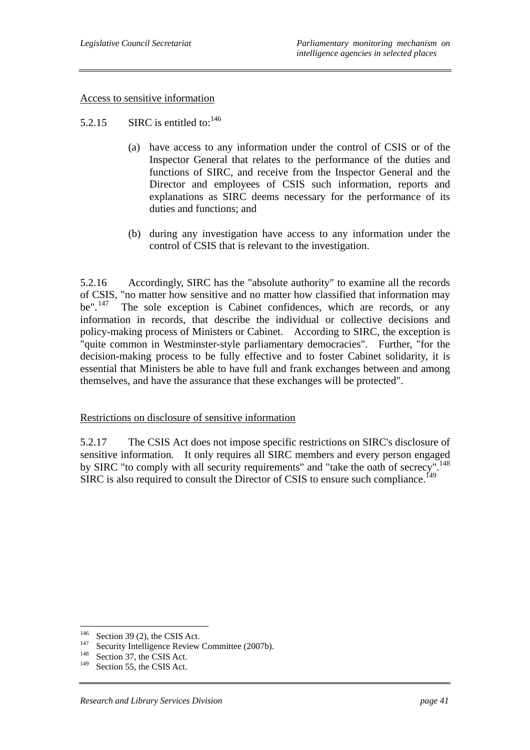#### Access to sensitive information

#### 5.2.15 SIRC is entitled to:  $146$

- (a) have access to any information under the control of CSIS or of the Inspector General that relates to the performance of the duties and functions of SIRC, and receive from the Inspector General and the Director and employees of CSIS such information, reports and explanations as SIRC deems necessary for the performance of its duties and functions; and
- (b) during any investigation have access to any information under the control of CSIS that is relevant to the investigation.

5.2.16 Accordingly, SIRC has the "absolute authority" to examine all the records of CSIS, "no matter how sensitive and no matter how classified that information may be".<sup>147</sup> The sole exception is Cabinet confidences, which are records, or any information in records, that describe the individual or collective decisions and policy-making process of Ministers or Cabinet. According to SIRC, the exception is "quite common in Westminster-style parliamentary democracies". Further, "for the decision-making process to be fully effective and to foster Cabinet solidarity, it is essential that Ministers be able to have full and frank exchanges between and among themselves, and have the assurance that these exchanges will be protected".

#### Restrictions on disclosure of sensitive information

5.2.17 The CSIS Act does not impose specific restrictions on SIRC's disclosure of sensitive information. It only requires all SIRC members and every person engaged by SIRC "to comply with all security requirements" and "take the oath of secrecy".<sup>148</sup> SIRC is also required to consult the Director of CSIS to ensure such compliance.<sup>149</sup>

<sup>146</sup> 

<sup>&</sup>lt;sup>146</sup> Section 39 (2), the CSIS Act.<br>
<sup>147</sup> Security Intelligence Review Committee (2007b).<br>
<sup>148</sup> Section 37, the CSIS Act.<br>
<sup>149</sup> Section 55, the CSIS Act.

Section 55, the CSIS Act.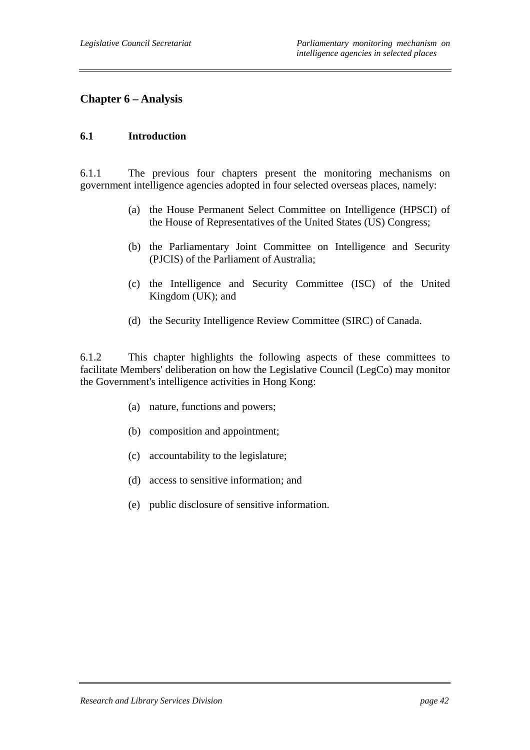# **Chapter 6 – Analysis**

#### **6.1 Introduction**

6.1.1 The previous four chapters present the monitoring mechanisms on government intelligence agencies adopted in four selected overseas places, namely:

- (a) the House Permanent Select Committee on Intelligence (HPSCI) of the House of Representatives of the United States (US) Congress;
- (b) the Parliamentary Joint Committee on Intelligence and Security (PJCIS) of the Parliament of Australia;
- (c) the Intelligence and Security Committee (ISC) of the United Kingdom (UK); and
- (d) the Security Intelligence Review Committee (SIRC) of Canada.

6.1.2 This chapter highlights the following aspects of these committees to facilitate Members' deliberation on how the Legislative Council (LegCo) may monitor the Government's intelligence activities in Hong Kong:

- (a) nature, functions and powers;
- (b) composition and appointment;
- (c) accountability to the legislature;
- (d) access to sensitive information; and
- (e) public disclosure of sensitive information.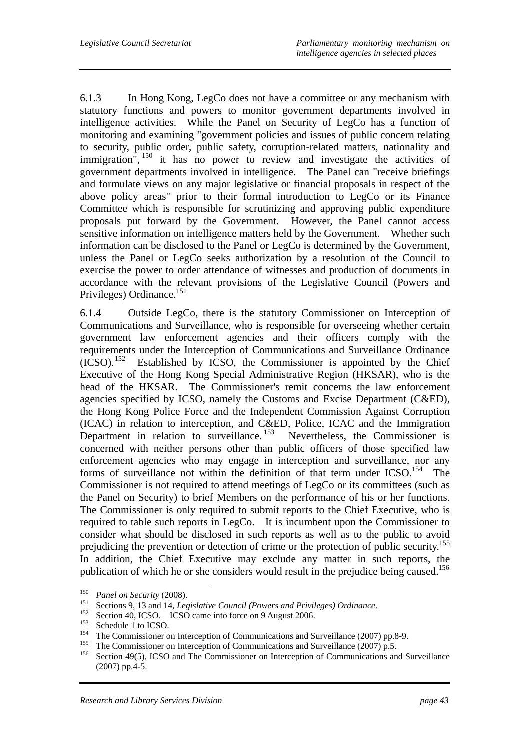6.1.3 In Hong Kong, LegCo does not have a committee or any mechanism with statutory functions and powers to monitor government departments involved in intelligence activities. While the Panel on Security of LegCo has a function of monitoring and examining "government policies and issues of public concern relating to security, public order, public safety, corruption-related matters, nationality and immigration",  $150$  it has no power to review and investigate the activities of government departments involved in intelligence. The Panel can "receive briefings and formulate views on any major legislative or financial proposals in respect of the above policy areas" prior to their formal introduction to LegCo or its Finance Committee which is responsible for scrutinizing and approving public expenditure proposals put forward by the Government. However, the Panel cannot access sensitive information on intelligence matters held by the Government. Whether such information can be disclosed to the Panel or LegCo is determined by the Government, unless the Panel or LegCo seeks authorization by a resolution of the Council to exercise the power to order attendance of witnesses and production of documents in accordance with the relevant provisions of the Legislative Council (Powers and Privileges) Ordinance.<sup>151</sup>

6.1.4 Outside LegCo, there is the statutory Commissioner on Interception of Communications and Surveillance, who is responsible for overseeing whether certain government law enforcement agencies and their officers comply with the requirements under the Interception of Communications and Surveillance Ordinance (ICSO).152 Established by ICSO, the Commissioner is appointed by the Chief Executive of the Hong Kong Special Administrative Region (HKSAR), who is the head of the HKSAR. The Commissioner's remit concerns the law enforcement agencies specified by ICSO, namely the Customs and Excise Department (C&ED), the Hong Kong Police Force and the Independent Commission Against Corruption (ICAC) in relation to interception, and C&ED, Police, ICAC and the Immigration Department in relation to surveillance.<sup>153</sup> Nevertheless, the Commissioner is concerned with neither persons other than public officers of those specified law enforcement agencies who may engage in interception and surveillance, nor any forms of surveillance not within the definition of that term under ICSO.<sup>154</sup> The Commissioner is not required to attend meetings of LegCo or its committees (such as the Panel on Security) to brief Members on the performance of his or her functions. The Commissioner is only required to submit reports to the Chief Executive, who is required to table such reports in LegCo. It is incumbent upon the Commissioner to consider what should be disclosed in such reports as well as to the public to avoid prejudicing the prevention or detection of crime or the protection of public security.155 In addition, the Chief Executive may exclude any matter in such reports, the publication of which he or she considers would result in the prejudice being caused.<sup>156</sup>

<sup>150</sup> 

<sup>&</sup>lt;sup>150</sup> Panel on Security (2008).<br>
<sup>151</sup> Sections 9, 13 and 14, *Legislative Council (Powers and Privileges) Ordinance*.<br>
<sup>152</sup> Section 40, ICSO. ICSO came into force on 9 August 2006.<br>
<sup>153</sup> Schedule 1 to ICSO.<br>
<sup>154</sup> The (2007) pp.4-5.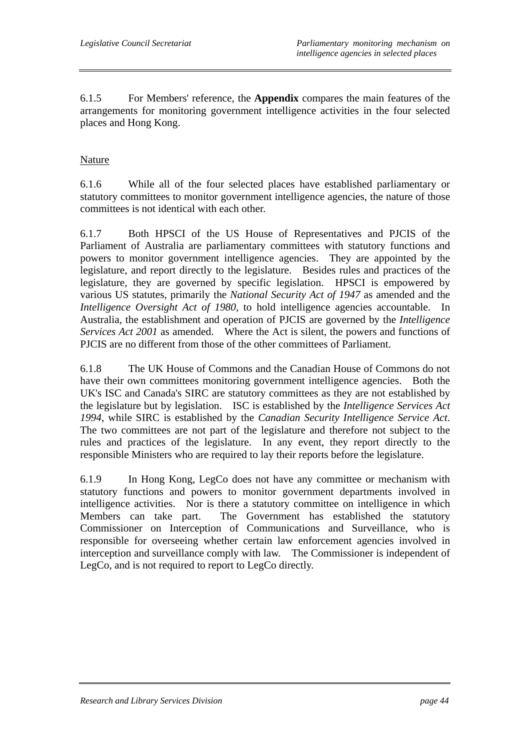6.1.5 For Members' reference, the **Appendix** compares the main features of the arrangements for monitoring government intelligence activities in the four selected places and Hong Kong.

## Nature

6.1.6 While all of the four selected places have established parliamentary or statutory committees to monitor government intelligence agencies, the nature of those committees is not identical with each other.

6.1.7 Both HPSCI of the US House of Representatives and PJCIS of the Parliament of Australia are parliamentary committees with statutory functions and powers to monitor government intelligence agencies. They are appointed by the legislature, and report directly to the legislature. Besides rules and practices of the legislature, they are governed by specific legislation. HPSCI is empowered by various US statutes, primarily the *National Security Act of 1947* as amended and the *Intelligence Oversight Act of 1980*, to hold intelligence agencies accountable. In Australia, the establishment and operation of PJCIS are governed by the *Intelligence Services Act 2001* as amended. Where the Act is silent, the powers and functions of PJCIS are no different from those of the other committees of Parliament.

6.1.8 The UK House of Commons and the Canadian House of Commons do not have their own committees monitoring government intelligence agencies. Both the UK's ISC and Canada's SIRC are statutory committees as they are not established by the legislature but by legislation. ISC is established by the *Intelligence Services Act 1994*, while SIRC is established by the *Canadian Security Intelligence Service Act*. The two committees are not part of the legislature and therefore not subject to the rules and practices of the legislature. In any event, they report directly to the responsible Ministers who are required to lay their reports before the legislature.

6.1.9 In Hong Kong, LegCo does not have any committee or mechanism with statutory functions and powers to monitor government departments involved in intelligence activities. Nor is there a statutory committee on intelligence in which Members can take part. The Government has established the statutory Commissioner on Interception of Communications and Surveillance, who is responsible for overseeing whether certain law enforcement agencies involved in interception and surveillance comply with law. The Commissioner is independent of LegCo, and is not required to report to LegCo directly.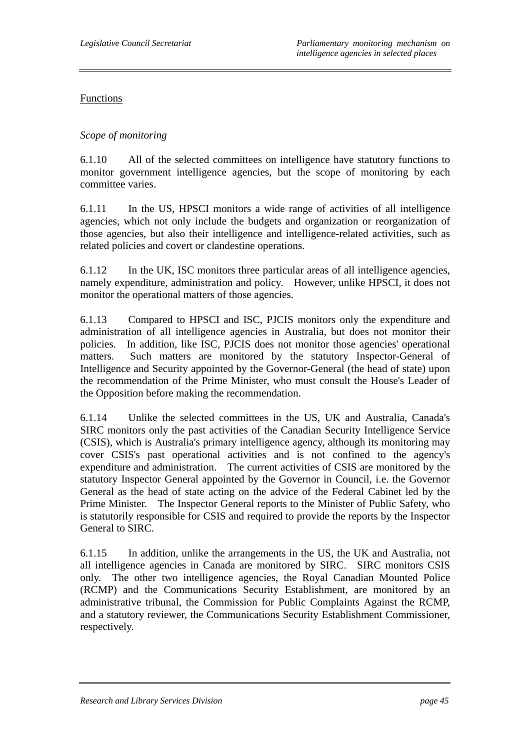### Functions

## *Scope of monitoring*

6.1.10 All of the selected committees on intelligence have statutory functions to monitor government intelligence agencies, but the scope of monitoring by each committee varies.

6.1.11 In the US, HPSCI monitors a wide range of activities of all intelligence agencies, which not only include the budgets and organization or reorganization of those agencies, but also their intelligence and intelligence-related activities, such as related policies and covert or clandestine operations.

6.1.12 In the UK, ISC monitors three particular areas of all intelligence agencies, namely expenditure, administration and policy. However, unlike HPSCI, it does not monitor the operational matters of those agencies.

6.1.13 Compared to HPSCI and ISC, PJCIS monitors only the expenditure and administration of all intelligence agencies in Australia, but does not monitor their policies. In addition, like ISC, PJCIS does not monitor those agencies' operational matters. Such matters are monitored by the statutory Inspector-General of Intelligence and Security appointed by the Governor-General (the head of state) upon the recommendation of the Prime Minister, who must consult the House's Leader of the Opposition before making the recommendation.

6.1.14 Unlike the selected committees in the US, UK and Australia, Canada's SIRC monitors only the past activities of the Canadian Security Intelligence Service (CSIS), which is Australia's primary intelligence agency, although its monitoring may cover CSIS's past operational activities and is not confined to the agency's expenditure and administration. The current activities of CSIS are monitored by the statutory Inspector General appointed by the Governor in Council, i.e. the Governor General as the head of state acting on the advice of the Federal Cabinet led by the Prime Minister. The Inspector General reports to the Minister of Public Safety, who is statutorily responsible for CSIS and required to provide the reports by the Inspector General to SIRC.

6.1.15 In addition, unlike the arrangements in the US, the UK and Australia, not all intelligence agencies in Canada are monitored by SIRC. SIRC monitors CSIS only. The other two intelligence agencies, the Royal Canadian Mounted Police (RCMP) and the Communications Security Establishment, are monitored by an administrative tribunal, the Commission for Public Complaints Against the RCMP, and a statutory reviewer, the Communications Security Establishment Commissioner, respectively.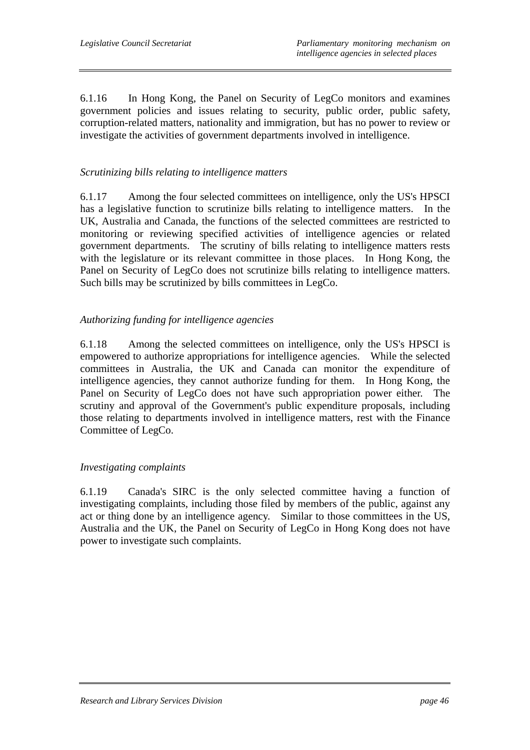6.1.16 In Hong Kong, the Panel on Security of LegCo monitors and examines government policies and issues relating to security, public order, public safety, corruption-related matters, nationality and immigration, but has no power to review or investigate the activities of government departments involved in intelligence.

## *Scrutinizing bills relating to intelligence matters*

6.1.17 Among the four selected committees on intelligence, only the US's HPSCI has a legislative function to scrutinize bills relating to intelligence matters. In the UK, Australia and Canada, the functions of the selected committees are restricted to monitoring or reviewing specified activities of intelligence agencies or related government departments. The scrutiny of bills relating to intelligence matters rests with the legislature or its relevant committee in those places. In Hong Kong, the Panel on Security of LegCo does not scrutinize bills relating to intelligence matters. Such bills may be scrutinized by bills committees in LegCo.

## *Authorizing funding for intelligence agencies*

6.1.18 Among the selected committees on intelligence, only the US's HPSCI is empowered to authorize appropriations for intelligence agencies. While the selected committees in Australia, the UK and Canada can monitor the expenditure of intelligence agencies, they cannot authorize funding for them. In Hong Kong, the Panel on Security of LegCo does not have such appropriation power either. The scrutiny and approval of the Government's public expenditure proposals, including those relating to departments involved in intelligence matters, rest with the Finance Committee of LegCo.

## *Investigating complaints*

6.1.19 Canada's SIRC is the only selected committee having a function of investigating complaints, including those filed by members of the public, against any act or thing done by an intelligence agency. Similar to those committees in the US, Australia and the UK, the Panel on Security of LegCo in Hong Kong does not have power to investigate such complaints.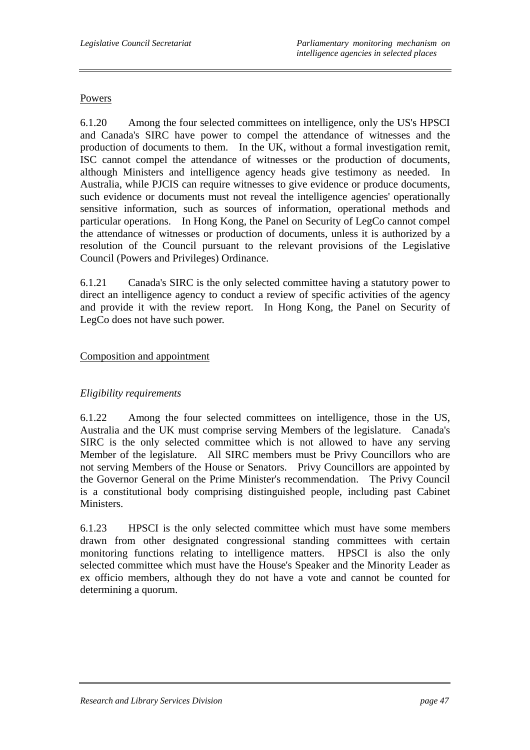#### Powers

6.1.20 Among the four selected committees on intelligence, only the US's HPSCI and Canada's SIRC have power to compel the attendance of witnesses and the production of documents to them. In the UK, without a formal investigation remit, ISC cannot compel the attendance of witnesses or the production of documents, although Ministers and intelligence agency heads give testimony as needed. In Australia, while PJCIS can require witnesses to give evidence or produce documents, such evidence or documents must not reveal the intelligence agencies' operationally sensitive information, such as sources of information, operational methods and particular operations. In Hong Kong, the Panel on Security of LegCo cannot compel the attendance of witnesses or production of documents, unless it is authorized by a resolution of the Council pursuant to the relevant provisions of the Legislative Council (Powers and Privileges) Ordinance.

6.1.21 Canada's SIRC is the only selected committee having a statutory power to direct an intelligence agency to conduct a review of specific activities of the agency and provide it with the review report. In Hong Kong, the Panel on Security of LegCo does not have such power.

#### Composition and appointment

## *Eligibility requirements*

6.1.22 Among the four selected committees on intelligence, those in the US, Australia and the UK must comprise serving Members of the legislature. Canada's SIRC is the only selected committee which is not allowed to have any serving Member of the legislature. All SIRC members must be Privy Councillors who are not serving Members of the House or Senators. Privy Councillors are appointed by the Governor General on the Prime Minister's recommendation. The Privy Council is a constitutional body comprising distinguished people, including past Cabinet Ministers.

6.1.23 HPSCI is the only selected committee which must have some members drawn from other designated congressional standing committees with certain monitoring functions relating to intelligence matters. HPSCI is also the only selected committee which must have the House's Speaker and the Minority Leader as ex officio members, although they do not have a vote and cannot be counted for determining a quorum.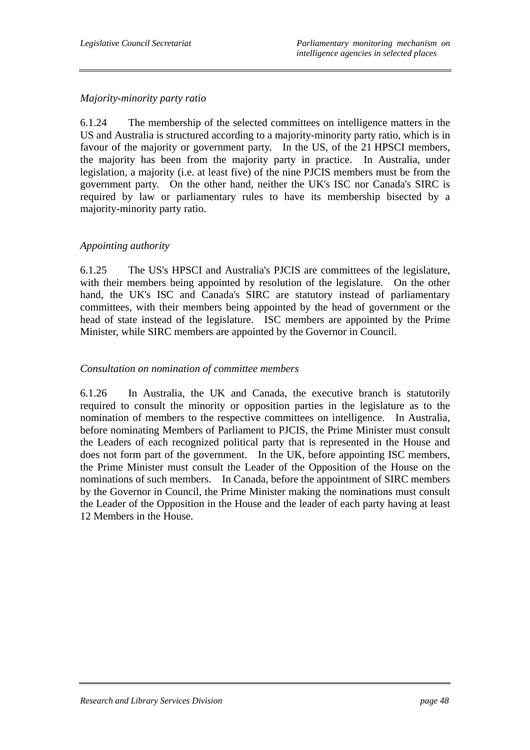#### *Majority-minority party ratio*

6.1.24 The membership of the selected committees on intelligence matters in the US and Australia is structured according to a majority-minority party ratio, which is in favour of the majority or government party. In the US, of the 21 HPSCI members, the majority has been from the majority party in practice. In Australia, under legislation, a majority (i.e. at least five) of the nine PJCIS members must be from the government party. On the other hand, neither the UK's ISC nor Canada's SIRC is required by law or parliamentary rules to have its membership bisected by a majority-minority party ratio.

#### *Appointing authority*

6.1.25 The US's HPSCI and Australia's PJCIS are committees of the legislature, with their members being appointed by resolution of the legislature. On the other hand, the UK's ISC and Canada's SIRC are statutory instead of parliamentary committees, with their members being appointed by the head of government or the head of state instead of the legislature. ISC members are appointed by the Prime Minister, while SIRC members are appointed by the Governor in Council.

#### *Consultation on nomination of committee members*

6.1.26 In Australia, the UK and Canada, the executive branch is statutorily required to consult the minority or opposition parties in the legislature as to the nomination of members to the respective committees on intelligence. In Australia, before nominating Members of Parliament to PJCIS, the Prime Minister must consult the Leaders of each recognized political party that is represented in the House and does not form part of the government. In the UK, before appointing ISC members, the Prime Minister must consult the Leader of the Opposition of the House on the nominations of such members. In Canada, before the appointment of SIRC members by the Governor in Council, the Prime Minister making the nominations must consult the Leader of the Opposition in the House and the leader of each party having at least 12 Members in the House.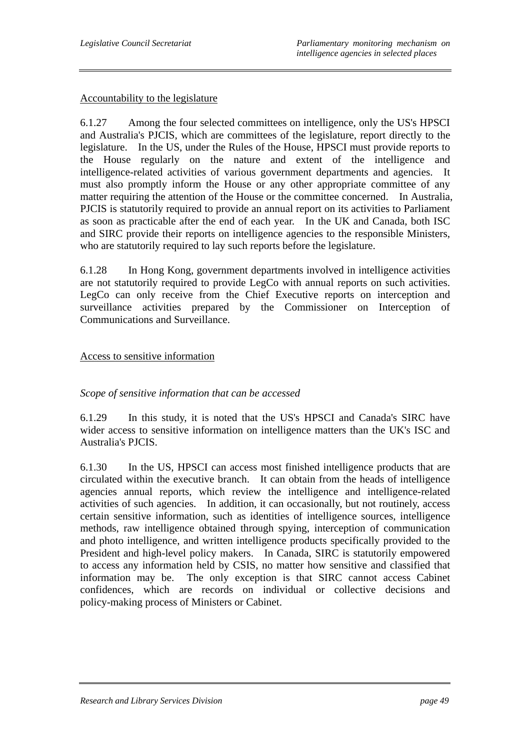#### Accountability to the legislature

6.1.27 Among the four selected committees on intelligence, only the US's HPSCI and Australia's PJCIS, which are committees of the legislature, report directly to the legislature. In the US, under the Rules of the House, HPSCI must provide reports to the House regularly on the nature and extent of the intelligence and intelligence-related activities of various government departments and agencies. It must also promptly inform the House or any other appropriate committee of any matter requiring the attention of the House or the committee concerned. In Australia, PJCIS is statutorily required to provide an annual report on its activities to Parliament as soon as practicable after the end of each year. In the UK and Canada, both ISC and SIRC provide their reports on intelligence agencies to the responsible Ministers, who are statutorily required to lay such reports before the legislature.

6.1.28 In Hong Kong, government departments involved in intelligence activities are not statutorily required to provide LegCo with annual reports on such activities. LegCo can only receive from the Chief Executive reports on interception and surveillance activities prepared by the Commissioner on Interception of Communications and Surveillance.

### Access to sensitive information

#### *Scope of sensitive information that can be accessed*

6.1.29 In this study, it is noted that the US's HPSCI and Canada's SIRC have wider access to sensitive information on intelligence matters than the UK's ISC and Australia's PJCIS.

6.1.30 In the US, HPSCI can access most finished intelligence products that are circulated within the executive branch. It can obtain from the heads of intelligence agencies annual reports, which review the intelligence and intelligence-related activities of such agencies. In addition, it can occasionally, but not routinely, access certain sensitive information, such as identities of intelligence sources, intelligence methods, raw intelligence obtained through spying, interception of communication and photo intelligence, and written intelligence products specifically provided to the President and high-level policy makers. In Canada, SIRC is statutorily empowered to access any information held by CSIS, no matter how sensitive and classified that information may be. The only exception is that SIRC cannot access Cabinet confidences, which are records on individual or collective decisions and policy-making process of Ministers or Cabinet.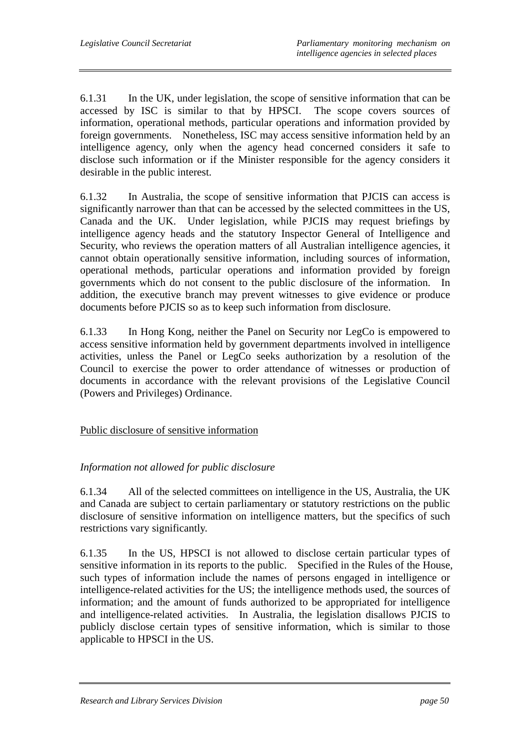6.1.31 In the UK, under legislation, the scope of sensitive information that can be accessed by ISC is similar to that by HPSCI. The scope covers sources of information, operational methods, particular operations and information provided by foreign governments. Nonetheless, ISC may access sensitive information held by an intelligence agency, only when the agency head concerned considers it safe to disclose such information or if the Minister responsible for the agency considers it desirable in the public interest.

6.1.32 In Australia, the scope of sensitive information that PJCIS can access is significantly narrower than that can be accessed by the selected committees in the US, Canada and the UK. Under legislation, while PJCIS may request briefings by intelligence agency heads and the statutory Inspector General of Intelligence and Security, who reviews the operation matters of all Australian intelligence agencies, it cannot obtain operationally sensitive information, including sources of information, operational methods, particular operations and information provided by foreign governments which do not consent to the public disclosure of the information. In addition, the executive branch may prevent witnesses to give evidence or produce documents before PJCIS so as to keep such information from disclosure.

6.1.33 In Hong Kong, neither the Panel on Security nor LegCo is empowered to access sensitive information held by government departments involved in intelligence activities, unless the Panel or LegCo seeks authorization by a resolution of the Council to exercise the power to order attendance of witnesses or production of documents in accordance with the relevant provisions of the Legislative Council (Powers and Privileges) Ordinance.

## Public disclosure of sensitive information

## *Information not allowed for public disclosure*

6.1.34 All of the selected committees on intelligence in the US, Australia, the UK and Canada are subject to certain parliamentary or statutory restrictions on the public disclosure of sensitive information on intelligence matters, but the specifics of such restrictions vary significantly.

6.1.35 In the US, HPSCI is not allowed to disclose certain particular types of sensitive information in its reports to the public. Specified in the Rules of the House, such types of information include the names of persons engaged in intelligence or intelligence-related activities for the US; the intelligence methods used, the sources of information; and the amount of funds authorized to be appropriated for intelligence and intelligence-related activities. In Australia, the legislation disallows PJCIS to publicly disclose certain types of sensitive information, which is similar to those applicable to HPSCI in the US.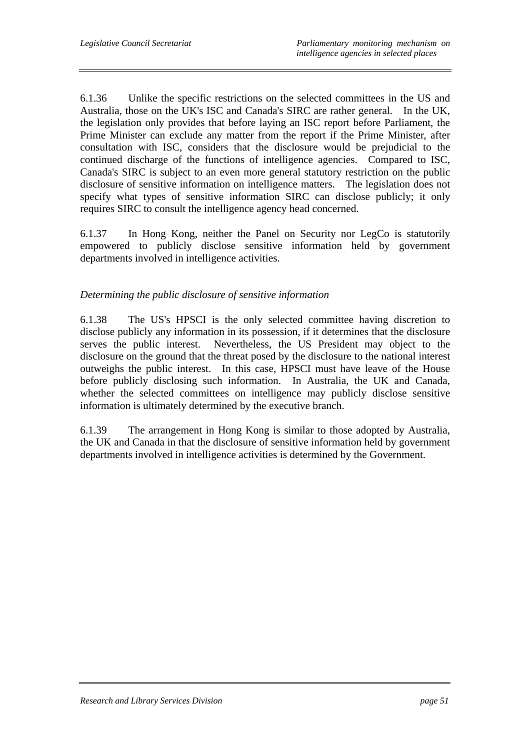6.1.36 Unlike the specific restrictions on the selected committees in the US and Australia, those on the UK's ISC and Canada's SIRC are rather general. In the UK, the legislation only provides that before laying an ISC report before Parliament, the Prime Minister can exclude any matter from the report if the Prime Minister, after consultation with ISC, considers that the disclosure would be prejudicial to the continued discharge of the functions of intelligence agencies. Compared to ISC, Canada's SIRC is subject to an even more general statutory restriction on the public disclosure of sensitive information on intelligence matters. The legislation does not specify what types of sensitive information SIRC can disclose publicly; it only requires SIRC to consult the intelligence agency head concerned.

6.1.37 In Hong Kong, neither the Panel on Security nor LegCo is statutorily empowered to publicly disclose sensitive information held by government departments involved in intelligence activities.

## *Determining the public disclosure of sensitive information*

6.1.38 The US's HPSCI is the only selected committee having discretion to disclose publicly any information in its possession, if it determines that the disclosure serves the public interest. Nevertheless, the US President may object to the disclosure on the ground that the threat posed by the disclosure to the national interest outweighs the public interest. In this case, HPSCI must have leave of the House before publicly disclosing such information. In Australia, the UK and Canada, whether the selected committees on intelligence may publicly disclose sensitive information is ultimately determined by the executive branch.

6.1.39 The arrangement in Hong Kong is similar to those adopted by Australia, the UK and Canada in that the disclosure of sensitive information held by government departments involved in intelligence activities is determined by the Government.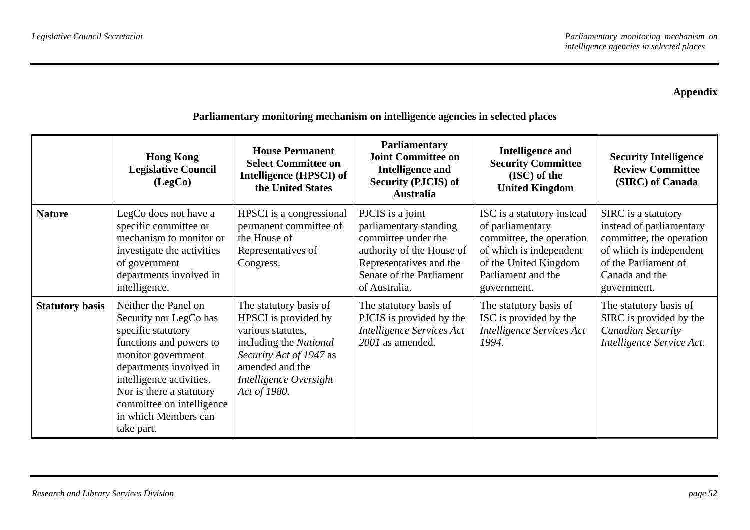### **Appendix**

|                        | <b>Hong Kong</b><br><b>Legislative Council</b><br>(LegCo)                                                                                                                                                                                                                   | <b>House Permanent</b><br><b>Select Committee on</b><br>Intelligence (HPSCI) of<br>the United States                                                                                  | <b>Parliamentary</b><br><b>Joint Committee on</b><br><b>Intelligence and</b><br><b>Security (PJCIS) of</b><br><b>Australia</b>                                         | <b>Intelligence and</b><br><b>Security Committee</b><br>(ISC) of the<br><b>United Kingdom</b>                                                                       | <b>Security Intelligence</b><br><b>Review Committee</b><br>(SIRC) of Canada                                                                                     |
|------------------------|-----------------------------------------------------------------------------------------------------------------------------------------------------------------------------------------------------------------------------------------------------------------------------|---------------------------------------------------------------------------------------------------------------------------------------------------------------------------------------|------------------------------------------------------------------------------------------------------------------------------------------------------------------------|---------------------------------------------------------------------------------------------------------------------------------------------------------------------|-----------------------------------------------------------------------------------------------------------------------------------------------------------------|
| <b>Nature</b>          | LegCo does not have a<br>specific committee or<br>mechanism to monitor or<br>investigate the activities<br>of government<br>departments involved in<br>intelligence.                                                                                                        | HPSCI is a congressional<br>permanent committee of<br>the House of<br>Representatives of<br>Congress.                                                                                 | PJCIS is a joint<br>parliamentary standing<br>committee under the<br>authority of the House of<br>Representatives and the<br>Senate of the Parliament<br>of Australia. | ISC is a statutory instead<br>of parliamentary<br>committee, the operation<br>of which is independent<br>of the United Kingdom<br>Parliament and the<br>government. | SIRC is a statutory<br>instead of parliamentary<br>committee, the operation<br>of which is independent<br>of the Parliament of<br>Canada and the<br>government. |
| <b>Statutory basis</b> | Neither the Panel on<br>Security nor LegCo has<br>specific statutory<br>functions and powers to<br>monitor government<br>departments involved in<br>intelligence activities.<br>Nor is there a statutory<br>committee on intelligence<br>in which Members can<br>take part. | The statutory basis of<br>HPSCI is provided by<br>various statutes,<br>including the National<br>Security Act of 1947 as<br>amended and the<br>Intelligence Oversight<br>Act of 1980. | The statutory basis of<br>PJCIS is provided by the<br><b>Intelligence Services Act</b><br>2001 as amended.                                                             | The statutory basis of<br>ISC is provided by the<br>Intelligence Services Act<br>1994.                                                                              | The statutory basis of<br>SIRC is provided by the<br>Canadian Security<br>Intelligence Service Act.                                                             |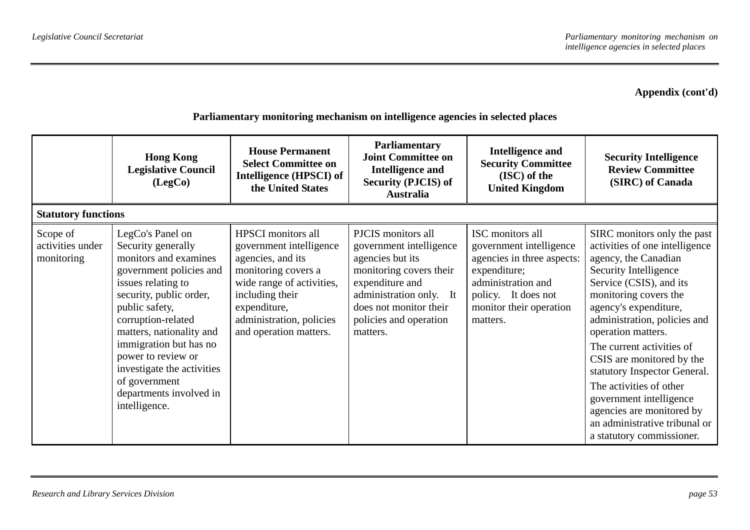|                                            | <b>Hong Kong</b><br><b>Legislative Council</b><br>(LegCo)                                                                                                                                                                                                                                                                                                  | <b>House Permanent</b><br><b>Select Committee on</b><br>Intelligence (HPSCI) of<br>the United States                                                                                                                   | <b>Parliamentary</b><br><b>Joint Committee on</b><br><b>Intelligence and</b><br><b>Security (PJCIS) of</b><br><b>Australia</b>                                                                             | <b>Intelligence and</b><br><b>Security Committee</b><br>(ISC) of the<br><b>United Kingdom</b>                                                                                 | <b>Security Intelligence</b><br><b>Review Committee</b><br>(SIRC) of Canada                                                                                                                                                                                                                                                                                                                                                                                                                  |
|--------------------------------------------|------------------------------------------------------------------------------------------------------------------------------------------------------------------------------------------------------------------------------------------------------------------------------------------------------------------------------------------------------------|------------------------------------------------------------------------------------------------------------------------------------------------------------------------------------------------------------------------|------------------------------------------------------------------------------------------------------------------------------------------------------------------------------------------------------------|-------------------------------------------------------------------------------------------------------------------------------------------------------------------------------|----------------------------------------------------------------------------------------------------------------------------------------------------------------------------------------------------------------------------------------------------------------------------------------------------------------------------------------------------------------------------------------------------------------------------------------------------------------------------------------------|
| <b>Statutory functions</b>                 |                                                                                                                                                                                                                                                                                                                                                            |                                                                                                                                                                                                                        |                                                                                                                                                                                                            |                                                                                                                                                                               |                                                                                                                                                                                                                                                                                                                                                                                                                                                                                              |
| Scope of<br>activities under<br>monitoring | LegCo's Panel on<br>Security generally<br>monitors and examines<br>government policies and<br>issues relating to<br>security, public order,<br>public safety,<br>corruption-related<br>matters, nationality and<br>immigration but has no<br>power to review or<br>investigate the activities<br>of government<br>departments involved in<br>intelligence. | <b>HPSCI</b> monitors all<br>government intelligence<br>agencies, and its<br>monitoring covers a<br>wide range of activities,<br>including their<br>expenditure,<br>administration, policies<br>and operation matters. | PJCIS monitors all<br>government intelligence<br>agencies but its<br>monitoring covers their<br>expenditure and<br>administration only. It<br>does not monitor their<br>policies and operation<br>matters. | ISC monitors all<br>government intelligence<br>agencies in three aspects:<br>expenditure;<br>administration and<br>policy. It does not<br>monitor their operation<br>matters. | SIRC monitors only the past<br>activities of one intelligence<br>agency, the Canadian<br>Security Intelligence<br>Service (CSIS), and its<br>monitoring covers the<br>agency's expenditure,<br>administration, policies and<br>operation matters.<br>The current activities of<br>CSIS are monitored by the<br>statutory Inspector General.<br>The activities of other<br>government intelligence<br>agencies are monitored by<br>an administrative tribunal or<br>a statutory commissioner. |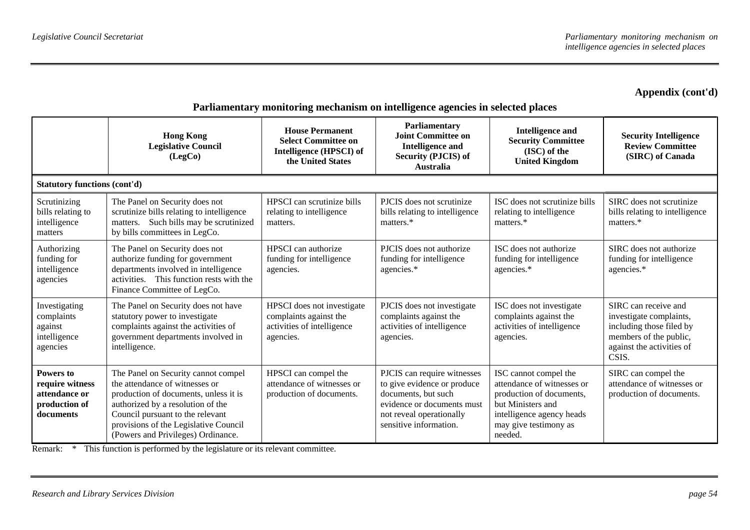| Parliamentary monitoring mechanism on intelligence agencies in selected places |  |  |  |
|--------------------------------------------------------------------------------|--|--|--|
|                                                                                |  |  |  |

|                                                                             | <b>Hong Kong</b><br><b>Legislative Council</b><br>(LegCo)                                                                                                                                                                                                              | <b>House Permanent</b><br><b>Select Committee on</b><br>Intelligence (HPSCI) of<br>the United States | Parliamentary<br><b>Joint Committee on</b><br><b>Intelligence and</b><br><b>Security (PJCIS) of</b><br>Australia                                                      | <b>Intelligence and</b><br><b>Security Committee</b><br>(ISC) of the<br><b>United Kingdom</b>                                                                         | <b>Security Intelligence</b><br><b>Review Committee</b><br>(SIRC) of Canada                                                                 |
|-----------------------------------------------------------------------------|------------------------------------------------------------------------------------------------------------------------------------------------------------------------------------------------------------------------------------------------------------------------|------------------------------------------------------------------------------------------------------|-----------------------------------------------------------------------------------------------------------------------------------------------------------------------|-----------------------------------------------------------------------------------------------------------------------------------------------------------------------|---------------------------------------------------------------------------------------------------------------------------------------------|
| <b>Statutory functions (cont'd)</b>                                         |                                                                                                                                                                                                                                                                        |                                                                                                      |                                                                                                                                                                       |                                                                                                                                                                       |                                                                                                                                             |
| Scrutinizing<br>bills relating to<br>intelligence<br>matters                | The Panel on Security does not<br>scrutinize bills relating to intelligence<br>Such bills may be scrutinized<br>matters.<br>by bills committees in LegCo.                                                                                                              | HPSCI can scrutinize bills<br>relating to intelligence<br>matters.                                   | PJCIS does not scrutinize<br>bills relating to intelligence<br>matters.*                                                                                              | ISC does not scrutinize bills<br>relating to intelligence<br>matters.*                                                                                                | SIRC does not scrutinize<br>bills relating to intelligence<br>matters.*                                                                     |
| Authorizing<br>funding for<br>intelligence<br>agencies                      | The Panel on Security does not<br>authorize funding for government<br>departments involved in intelligence<br>activities. This function rests with the<br>Finance Committee of LegCo.                                                                                  | HPSCI can authorize<br>funding for intelligence<br>agencies.                                         | PJCIS does not authorize<br>funding for intelligence<br>agencies.*                                                                                                    | ISC does not authorize<br>funding for intelligence<br>agencies.*                                                                                                      | SIRC does not authorize<br>funding for intelligence<br>agencies.*                                                                           |
| Investigating<br>complaints<br>against<br>intelligence<br>agencies          | The Panel on Security does not have<br>statutory power to investigate<br>complaints against the activities of<br>government departments involved in<br>intelligence.                                                                                                   | HPSCI does not investigate<br>complaints against the<br>activities of intelligence<br>agencies.      | PJCIS does not investigate<br>complaints against the<br>activities of intelligence<br>agencies.                                                                       | ISC does not investigate<br>complaints against the<br>activities of intelligence<br>agencies.                                                                         | SIRC can receive and<br>investigate complaints,<br>including those filed by<br>members of the public,<br>against the activities of<br>CSIS. |
| Powers to<br>require witness<br>attendance or<br>production of<br>documents | The Panel on Security cannot compel<br>the attendance of witnesses or<br>production of documents, unless it is<br>authorized by a resolution of the<br>Council pursuant to the relevant<br>provisions of the Legislative Council<br>(Powers and Privileges) Ordinance. | HPSCI can compel the<br>attendance of witnesses or<br>production of documents.                       | PJCIS can require witnesses<br>to give evidence or produce<br>documents, but such<br>evidence or documents must<br>not reveal operationally<br>sensitive information. | ISC cannot compel the<br>attendance of witnesses or<br>production of documents,<br>but Ministers and<br>intelligence agency heads<br>may give testimony as<br>needed. | SIRC can compel the<br>attendance of witnesses or<br>production of documents.                                                               |

Remark: \* This function is performed by the legislature or its relevant committee.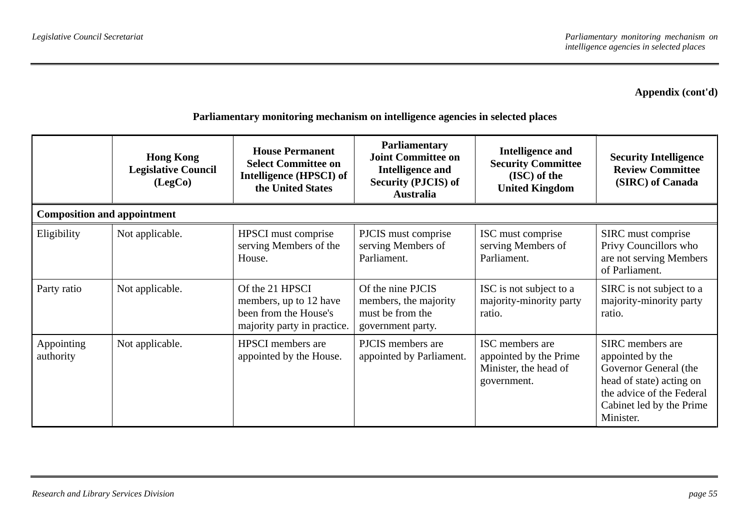|                                    | <b>Hong Kong</b><br><b>Legislative Council</b><br>(LegCo) | <b>House Permanent</b><br><b>Select Committee on</b><br><b>Intelligence (HPSCI) of</b><br>the United States | <b>Parliamentary</b><br><b>Joint Committee on</b><br><b>Intelligence and</b><br><b>Security (PJCIS) of</b><br><b>Australia</b> | <b>Intelligence and</b><br><b>Security Committee</b><br>(ISC) of the<br><b>United Kingdom</b> | <b>Security Intelligence</b><br><b>Review Committee</b><br>(SIRC) of Canada                                                                                     |
|------------------------------------|-----------------------------------------------------------|-------------------------------------------------------------------------------------------------------------|--------------------------------------------------------------------------------------------------------------------------------|-----------------------------------------------------------------------------------------------|-----------------------------------------------------------------------------------------------------------------------------------------------------------------|
| <b>Composition and appointment</b> |                                                           |                                                                                                             |                                                                                                                                |                                                                                               |                                                                                                                                                                 |
| Eligibility                        | Not applicable.                                           | HPSCI must comprise<br>serving Members of the<br>House.                                                     | PJCIS must comprise<br>serving Members of<br>Parliament.                                                                       | ISC must comprise<br>serving Members of<br>Parliament.                                        | SIRC must comprise<br>Privy Councillors who<br>are not serving Members<br>of Parliament.                                                                        |
| Party ratio                        | Not applicable.                                           | Of the 21 HPSCI<br>members, up to 12 have<br>been from the House's<br>majority party in practice.           | Of the nine PJCIS<br>members, the majority<br>must be from the<br>government party.                                            | ISC is not subject to a<br>majority-minority party<br>ratio.                                  | SIRC is not subject to a<br>majority-minority party<br>ratio.                                                                                                   |
| Appointing<br>authority            | Not applicable.                                           | <b>HPSCI</b> members are<br>appointed by the House.                                                         | PJCIS members are<br>appointed by Parliament.                                                                                  | ISC members are<br>appointed by the Prime<br>Minister, the head of<br>government.             | SIRC members are<br>appointed by the<br>Governor General (the<br>head of state) acting on<br>the advice of the Federal<br>Cabinet led by the Prime<br>Minister. |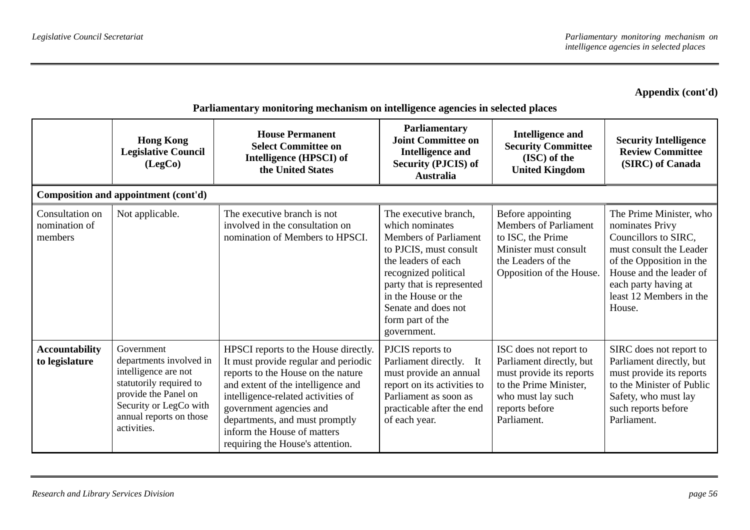|                                             | <b>Hong Kong</b><br><b>Legislative Council</b><br>(LegCo)                                                                                                                            | <b>House Permanent</b><br><b>Select Committee on</b><br>Intelligence (HPSCI) of<br>the United States                                                                                                                                                                                                                           | Parliamentary<br><b>Joint Committee on</b><br><b>Intelligence and</b><br><b>Security (PJCIS) of</b><br><b>Australia</b>                                                                                                                                         | <b>Intelligence and</b><br><b>Security Committee</b><br>(ISC) of the<br><b>United Kingdom</b>                                                                  | <b>Security Intelligence</b><br><b>Review Committee</b><br>(SIRC) of Canada                                                                                                                                       |
|---------------------------------------------|--------------------------------------------------------------------------------------------------------------------------------------------------------------------------------------|--------------------------------------------------------------------------------------------------------------------------------------------------------------------------------------------------------------------------------------------------------------------------------------------------------------------------------|-----------------------------------------------------------------------------------------------------------------------------------------------------------------------------------------------------------------------------------------------------------------|----------------------------------------------------------------------------------------------------------------------------------------------------------------|-------------------------------------------------------------------------------------------------------------------------------------------------------------------------------------------------------------------|
|                                             | Composition and appointment (cont'd)                                                                                                                                                 |                                                                                                                                                                                                                                                                                                                                |                                                                                                                                                                                                                                                                 |                                                                                                                                                                |                                                                                                                                                                                                                   |
| Consultation on<br>nomination of<br>members | Not applicable.                                                                                                                                                                      | The executive branch is not<br>involved in the consultation on<br>nomination of Members to HPSCI.                                                                                                                                                                                                                              | The executive branch,<br>which nominates<br><b>Members of Parliament</b><br>to PJCIS, must consult<br>the leaders of each<br>recognized political<br>party that is represented<br>in the House or the<br>Senate and does not<br>form part of the<br>government. | Before appointing<br><b>Members of Parliament</b><br>to ISC, the Prime<br>Minister must consult<br>the Leaders of the<br>Opposition of the House.              | The Prime Minister, who<br>nominates Privy<br>Councillors to SIRC,<br>must consult the Leader<br>of the Opposition in the<br>House and the leader of<br>each party having at<br>least 12 Members in the<br>House. |
| <b>Accountability</b><br>to legislature     | Government<br>departments involved in<br>intelligence are not<br>statutorily required to<br>provide the Panel on<br>Security or LegCo with<br>annual reports on those<br>activities. | HPSCI reports to the House directly.<br>It must provide regular and periodic<br>reports to the House on the nature<br>and extent of the intelligence and<br>intelligence-related activities of<br>government agencies and<br>departments, and must promptly<br>inform the House of matters<br>requiring the House's attention. | PJCIS reports to<br>Parliament directly. It<br>must provide an annual<br>report on its activities to<br>Parliament as soon as<br>practicable after the end<br>of each year.                                                                                     | ISC does not report to<br>Parliament directly, but<br>must provide its reports<br>to the Prime Minister,<br>who must lay such<br>reports before<br>Parliament. | SIRC does not report to<br>Parliament directly, but<br>must provide its reports<br>to the Minister of Public<br>Safety, who must lay<br>such reports before<br>Parliament.                                        |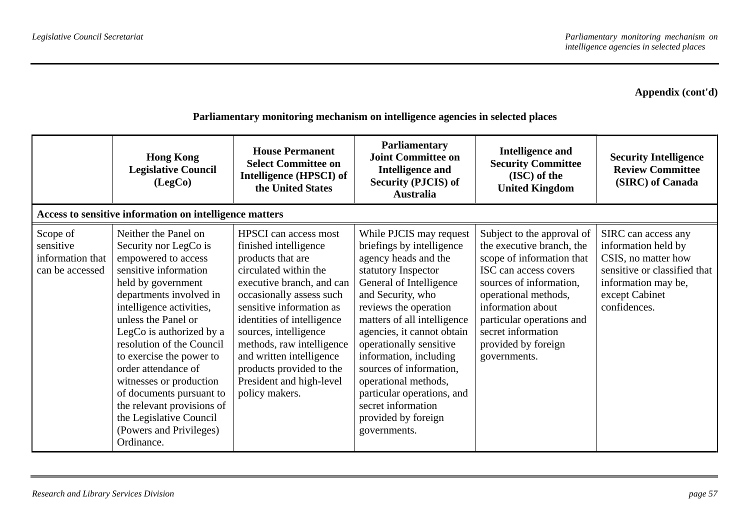|                                                              | <b>Hong Kong</b><br><b>Legislative Council</b><br>(LegCo)                                                                                                                                                                                                                                                                                                                                                                                                              | <b>House Permanent</b><br><b>Select Committee on</b><br>Intelligence (HPSCI) of<br>the United States                                                                                                                                                                                                                                                                               | <b>Parliamentary</b><br><b>Joint Committee on</b><br><b>Intelligence and</b><br><b>Security (PJCIS) of</b><br><b>Australia</b>                                                                                                                                                                                                                                                                                                               | <b>Intelligence and</b><br><b>Security Committee</b><br>(ISC) of the<br><b>United Kingdom</b>                                                                                                                                                                                   | <b>Security Intelligence</b><br><b>Review Committee</b><br>(SIRC) of Canada                                                                                |
|--------------------------------------------------------------|------------------------------------------------------------------------------------------------------------------------------------------------------------------------------------------------------------------------------------------------------------------------------------------------------------------------------------------------------------------------------------------------------------------------------------------------------------------------|------------------------------------------------------------------------------------------------------------------------------------------------------------------------------------------------------------------------------------------------------------------------------------------------------------------------------------------------------------------------------------|----------------------------------------------------------------------------------------------------------------------------------------------------------------------------------------------------------------------------------------------------------------------------------------------------------------------------------------------------------------------------------------------------------------------------------------------|---------------------------------------------------------------------------------------------------------------------------------------------------------------------------------------------------------------------------------------------------------------------------------|------------------------------------------------------------------------------------------------------------------------------------------------------------|
|                                                              | Access to sensitive information on intelligence matters                                                                                                                                                                                                                                                                                                                                                                                                                |                                                                                                                                                                                                                                                                                                                                                                                    |                                                                                                                                                                                                                                                                                                                                                                                                                                              |                                                                                                                                                                                                                                                                                 |                                                                                                                                                            |
| Scope of<br>sensitive<br>information that<br>can be accessed | Neither the Panel on<br>Security nor LegCo is<br>empowered to access<br>sensitive information<br>held by government<br>departments involved in<br>intelligence activities,<br>unless the Panel or<br>LegCo is authorized by a<br>resolution of the Council<br>to exercise the power to<br>order attendance of<br>witnesses or production<br>of documents pursuant to<br>the relevant provisions of<br>the Legislative Council<br>(Powers and Privileges)<br>Ordinance. | <b>HPSCI</b> can access most<br>finished intelligence<br>products that are<br>circulated within the<br>executive branch, and can<br>occasionally assess such<br>sensitive information as<br>identities of intelligence<br>sources, intelligence<br>methods, raw intelligence<br>and written intelligence<br>products provided to the<br>President and high-level<br>policy makers. | While PJCIS may request<br>briefings by intelligence<br>agency heads and the<br>statutory Inspector<br>General of Intelligence<br>and Security, who<br>reviews the operation<br>matters of all intelligence<br>agencies, it cannot obtain<br>operationally sensitive<br>information, including<br>sources of information,<br>operational methods,<br>particular operations, and<br>secret information<br>provided by foreign<br>governments. | Subject to the approval of<br>the executive branch, the<br>scope of information that<br>ISC can access covers<br>sources of information,<br>operational methods,<br>information about<br>particular operations and<br>secret information<br>provided by foreign<br>governments. | SIRC can access any<br>information held by<br>CSIS, no matter how<br>sensitive or classified that<br>information may be,<br>except Cabinet<br>confidences. |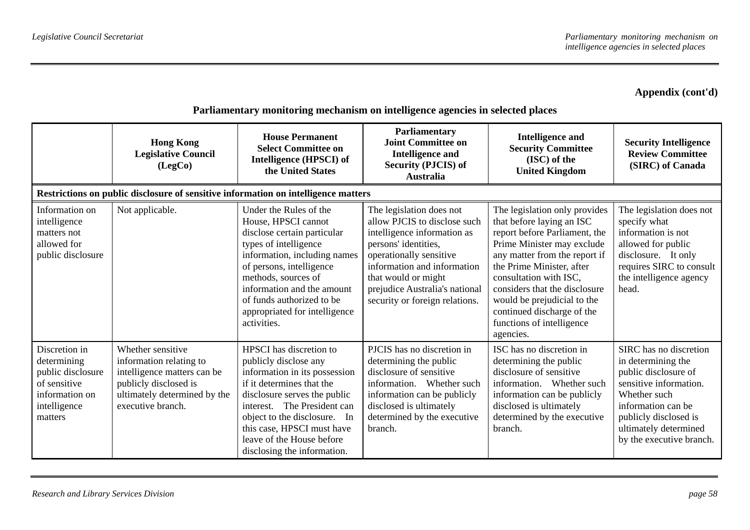|                                                                                                                | <b>Hong Kong</b><br><b>Legislative Council</b><br>(LegCo)                                                                                                 | <b>House Permanent</b><br><b>Select Committee on</b><br>Intelligence (HPSCI) of<br>the United States                                                                                                                                                                                                       | Parliamentary<br><b>Joint Committee on</b><br><b>Intelligence and</b><br><b>Security (PJCIS) of</b><br>Australia                                                                                                                                                     | <b>Intelligence and</b><br><b>Security Committee</b><br>(ISC) of the<br><b>United Kingdom</b>                                                                                                                                                                                                                                                             | <b>Security Intelligence</b><br><b>Review Committee</b><br>(SIRC) of Canada                                                                                                                                        |
|----------------------------------------------------------------------------------------------------------------|-----------------------------------------------------------------------------------------------------------------------------------------------------------|------------------------------------------------------------------------------------------------------------------------------------------------------------------------------------------------------------------------------------------------------------------------------------------------------------|----------------------------------------------------------------------------------------------------------------------------------------------------------------------------------------------------------------------------------------------------------------------|-----------------------------------------------------------------------------------------------------------------------------------------------------------------------------------------------------------------------------------------------------------------------------------------------------------------------------------------------------------|--------------------------------------------------------------------------------------------------------------------------------------------------------------------------------------------------------------------|
|                                                                                                                |                                                                                                                                                           | Restrictions on public disclosure of sensitive information on intelligence matters                                                                                                                                                                                                                         |                                                                                                                                                                                                                                                                      |                                                                                                                                                                                                                                                                                                                                                           |                                                                                                                                                                                                                    |
| Information on<br>intelligence<br>matters not<br>allowed for<br>public disclosure                              | Not applicable.                                                                                                                                           | Under the Rules of the<br>House, HPSCI cannot<br>disclose certain particular<br>types of intelligence<br>information, including names<br>of persons, intelligence<br>methods, sources of<br>information and the amount<br>of funds authorized to be<br>appropriated for intelligence<br>activities.        | The legislation does not<br>allow PJCIS to disclose such<br>intelligence information as<br>persons' identities,<br>operationally sensitive<br>information and information<br>that would or might<br>prejudice Australia's national<br>security or foreign relations. | The legislation only provides<br>that before laying an ISC<br>report before Parliament, the<br>Prime Minister may exclude<br>any matter from the report if<br>the Prime Minister, after<br>consultation with ISC,<br>considers that the disclosure<br>would be prejudicial to the<br>continued discharge of the<br>functions of intelligence<br>agencies. | The legislation does not<br>specify what<br>information is not<br>allowed for public<br>disclosure. It only<br>requires SIRC to consult<br>the intelligence agency<br>head.                                        |
| Discretion in<br>determining<br>public disclosure<br>of sensitive<br>information on<br>intelligence<br>matters | Whether sensitive<br>information relating to<br>intelligence matters can be<br>publicly disclosed is<br>ultimately determined by the<br>executive branch. | HPSCI has discretion to<br>publicly disclose any<br>information in its possession<br>if it determines that the<br>disclosure serves the public<br>The President can<br>interest.<br>object to the disclosure. In<br>this case, HPSCI must have<br>leave of the House before<br>disclosing the information. | PJCIS has no discretion in<br>determining the public<br>disclosure of sensitive<br>information. Whether such<br>information can be publicly<br>disclosed is ultimately<br>determined by the executive<br>branch.                                                     | ISC has no discretion in<br>determining the public<br>disclosure of sensitive<br>information. Whether such<br>information can be publicly<br>disclosed is ultimately<br>determined by the executive<br>branch.                                                                                                                                            | SIRC has no discretion<br>in determining the<br>public disclosure of<br>sensitive information.<br>Whether such<br>information can be<br>publicly disclosed is<br>ultimately determined<br>by the executive branch. |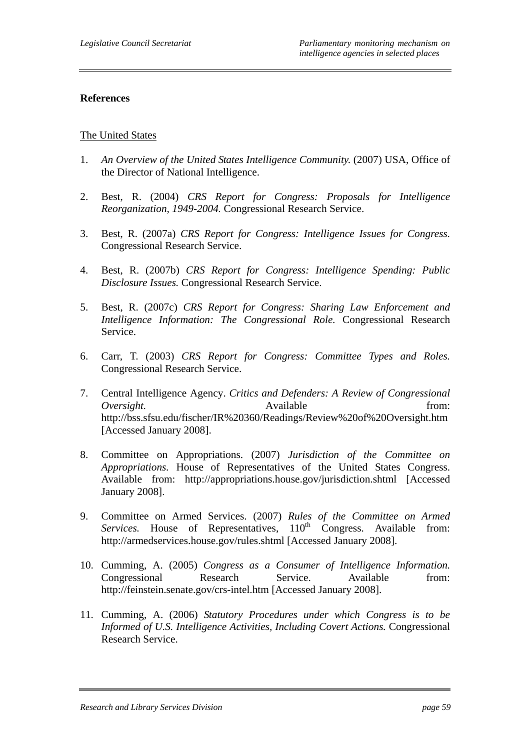#### **References**

#### The United States

- 1. *An Overview of the United States Intelligence Community.* (2007) USA, Office of the Director of National Intelligence.
- 2. Best, R. (2004) *CRS Report for Congress: Proposals for Intelligence Reorganization, 1949-2004.* Congressional Research Service.
- 3. Best, R. (2007a) *CRS Report for Congress: Intelligence Issues for Congress.* Congressional Research Service.
- 4. Best, R. (2007b) *CRS Report for Congress: Intelligence Spending: Public Disclosure Issues.* Congressional Research Service.
- 5. Best, R. (2007c) *CRS Report for Congress: Sharing Law Enforcement and Intelligence Information: The Congressional Role.* Congressional Research Service.
- 6. Carr, T. (2003) *CRS Report for Congress: Committee Types and Roles.* Congressional Research Service.
- 7. Central Intelligence Agency. *Critics and Defenders: A Review of Congressional Oversight.* Available from: http://bss.sfsu.edu/fischer/IR%20360/Readings/Review%20of%20Oversight.htm [Accessed January 2008].
- 8. Committee on Appropriations. (2007) *Jurisdiction of the Committee on Appropriations.* House of Representatives of the United States Congress. Available from: http://appropriations.house.gov/jurisdiction.shtml [Accessed January 2008].
- 9. Committee on Armed Services. (2007) *Rules of the Committee on Armed Services.* House of Representatives, 110<sup>th</sup> Congress. Available from: http://armedservices.house.gov/rules.shtml [Accessed January 2008].
- 10. Cumming, A. (2005) *Congress as a Consumer of Intelligence Information.* Congressional Research Service. Available from: http://feinstein.senate.gov/crs-intel.htm [Accessed January 2008].
- 11. Cumming, A. (2006) *Statutory Procedures under which Congress is to be Informed of U.S. Intelligence Activities, Including Covert Actions.* Congressional Research Service.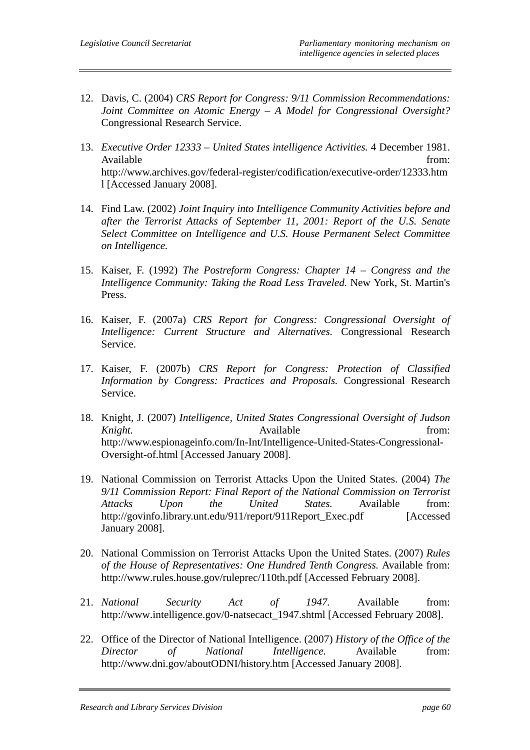- 12. Davis, C. (2004) *CRS Report for Congress: 9/11 Commission Recommendations: Joint Committee on Atomic Energy – A Model for Congressional Oversight?* Congressional Research Service.
- 13. *Executive Order 12333 United States intelligence Activities.* 4 December 1981. Available from: http://www.archives.gov/federal-register/codification/executive-order/12333.htm l [Accessed January 2008].
- 14. Find Law. (2002) *Joint Inquiry into Intelligence Community Activities before and after the Terrorist Attacks of September 11, 2001: Report of the U.S. Senate Select Committee on Intelligence and U.S. House Permanent Select Committee on Intelligence.*
- 15. Kaiser, F. (1992) *The Postreform Congress: Chapter 14 Congress and the Intelligence Community: Taking the Road Less Traveled.* New York, St. Martin's Press.
- 16. Kaiser, F. (2007a) *CRS Report for Congress: Congressional Oversight of Intelligence: Current Structure and Alternatives.* Congressional Research Service.
- 17. Kaiser, F. (2007b) *CRS Report for Congress: Protection of Classified Information by Congress: Practices and Proposals.* Congressional Research Service.
- 18. Knight, J. (2007) *Intelligence, United States Congressional Oversight of Judson Knight.* **Available** *Knight. Company Company Company Company Company Company Company Company Company Company Company Company Company Company Company Compan* http://www.espionageinfo.com/In-Int/Intelligence-United-States-Congressional-Oversight-of.html [Accessed January 2008].
- 19. National Commission on Terrorist Attacks Upon the United States. (2004) *The 9/11 Commission Report: Final Report of the National Commission on Terrorist Attacks Upon the United States.* Available from: http://govinfo.library.unt.edu/911/report/911Report\_Exec.pdf [Accessed January 2008].
- 20. National Commission on Terrorist Attacks Upon the United States. (2007) *Rules of the House of Representatives: One Hundred Tenth Congress.* Available from: http://www.rules.house.gov/ruleprec/110th.pdf [Accessed February 2008].
- 21. *National Security Act of 1947.* Available from: http://www.intelligence.gov/0-natsecact 1947.shtml [Accessed February 2008].
- 22. Office of the Director of National Intelligence. (2007) *History of the Office of the Director of National Intelligence.* Available from: http://www.dni.gov/aboutODNI/history.htm [Accessed January 2008].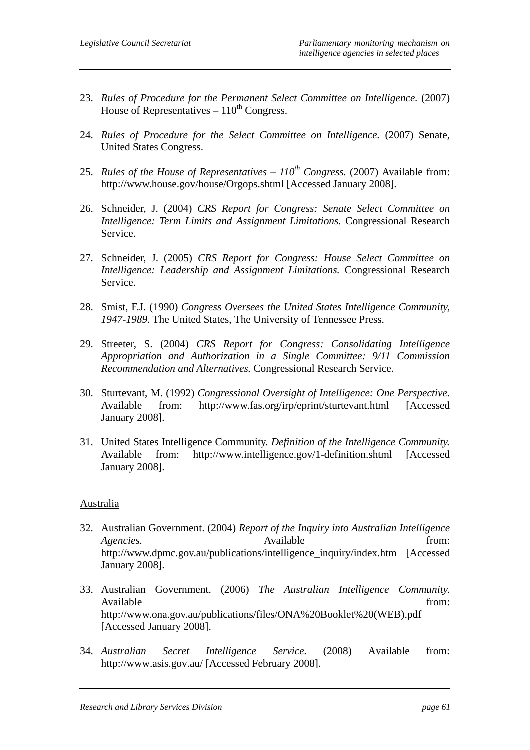- 23. *Rules of Procedure for the Permanent Select Committee on Intelligence.* (2007) House of Representatives –  $110^{th}$  Congress.
- 24. *Rules of Procedure for the Select Committee on Intelligence.* (2007) Senate, United States Congress.
- 25. *Rules of the House of Representatives 110th Congress.* (2007) Available from: http://www.house.gov/house/Orgops.shtml [Accessed January 2008].
- 26. Schneider, J. (2004) *CRS Report for Congress: Senate Select Committee on Intelligence: Term Limits and Assignment Limitations.* Congressional Research Service.
- 27. Schneider, J. (2005) *CRS Report for Congress: House Select Committee on Intelligence: Leadership and Assignment Limitations.* Congressional Research Service.
- 28. Smist, F.J. (1990) *Congress Oversees the United States Intelligence Community, 1947-1989.* The United States, The University of Tennessee Press.
- 29. Streeter, S. (2004) *CRS Report for Congress: Consolidating Intelligence Appropriation and Authorization in a Single Committee: 9/11 Commission Recommendation and Alternatives.* Congressional Research Service.
- 30. Sturtevant, M. (1992) *Congressional Oversight of Intelligence: One Perspective.* Available from: http://www.fas.org/irp/eprint/sturtevant.html [Accessed January 2008].
- 31. United States Intelligence Community. *Definition of the Intelligence Community.* Available from: http://www.intelligence.gov/1-definition.shtml [Accessed January 2008].

#### Australia

- 32. Australian Government. (2004) *Report of the Inquiry into Australian Intelligence Agencies.* Available from: http://www.dpmc.gov.au/publications/intelligence\_inquiry/index.htm [Accessed January 2008].
- 33. Australian Government. (2006) *The Australian Intelligence Community.* Available from:  $\blacksquare$ http://www.ona.gov.au/publications/files/ONA%20Booklet%20(WEB).pdf [Accessed January 2008].
- 34. *Australian Secret Intelligence Service.* (2008) Available from: http://www.asis.gov.au/ [Accessed February 2008].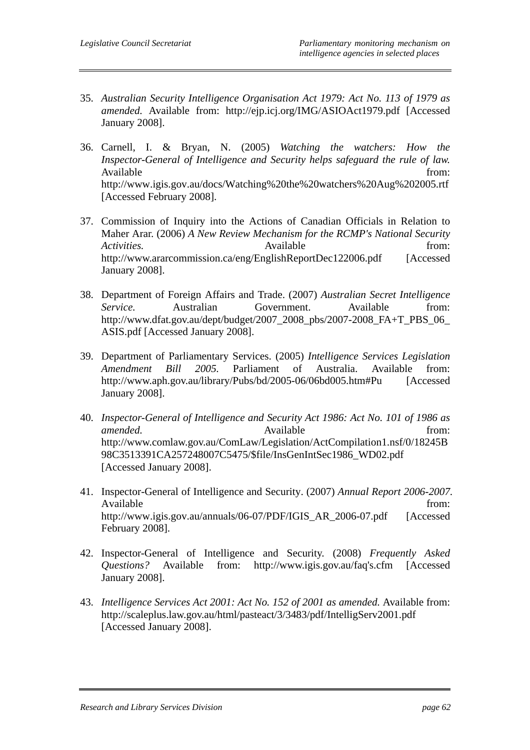- 35. *Australian Security Intelligence Organisation Act 1979: Act No. 113 of 1979 as amended.* Available from: http://ejp.icj.org/IMG/ASIOAct1979.pdf [Accessed January 2008].
- 36. Carnell, I. & Bryan, N. (2005) *Watching the watchers: How the Inspector-General of Intelligence and Security helps safeguard the rule of law.*  Available from: http://www.igis.gov.au/docs/Watching%20the%20watchers%20Aug%202005.rtf [Accessed February 2008].
- 37. Commission of Inquiry into the Actions of Canadian Officials in Relation to Maher Arar. (2006) *A New Review Mechanism for the RCMP's National Security*  Activities. **Axailable** *Available from: from:* http://www.ararcommission.ca/eng/EnglishReportDec122006.pdf [Accessed January 2008].
- 38. Department of Foreign Affairs and Trade. (2007) *Australian Secret Intelligence Service.* Australian Government. Available from: http://www.dfat.gov.au/dept/budget/2007\_2008\_pbs/2007-2008\_FA+T\_PBS\_06\_ ASIS.pdf [Accessed January 2008].
- 39. Department of Parliamentary Services. (2005) *Intelligence Services Legislation Amendment Bill 2005.* Parliament of Australia. Available from: http://www.aph.gov.au/library/Pubs/bd/2005-06/06bd005.htm#Pu [Accessed January 2008].
- 40. *Inspector-General of Intelligence and Security Act 1986: Act No. 101 of 1986 as amended.* from: Available from: http://www.comlaw.gov.au/ComLaw/Legislation/ActCompilation1.nsf/0/18245B 98C3513391CA257248007C5475/\$file/InsGenIntSec1986\_WD02.pdf [Accessed January 2008].
- 41. Inspector-General of Intelligence and Security. (2007) *Annual Report 2006-2007.*  Available from:  $\blacksquare$ http://www.igis.gov.au/annuals/06-07/PDF/IGIS\_AR\_2006-07.pdf [Accessed] February 2008].
- 42. Inspector-General of Intelligence and Security. (2008) *Frequently Asked Questions?* Available from: http://www.igis.gov.au/faq's.cfm [Accessed January 2008].
- 43. *Intelligence Services Act 2001: Act No. 152 of 2001 as amended.* Available from: http://scaleplus.law.gov.au/html/pasteact/3/3483/pdf/IntelligServ2001.pdf [Accessed January 2008].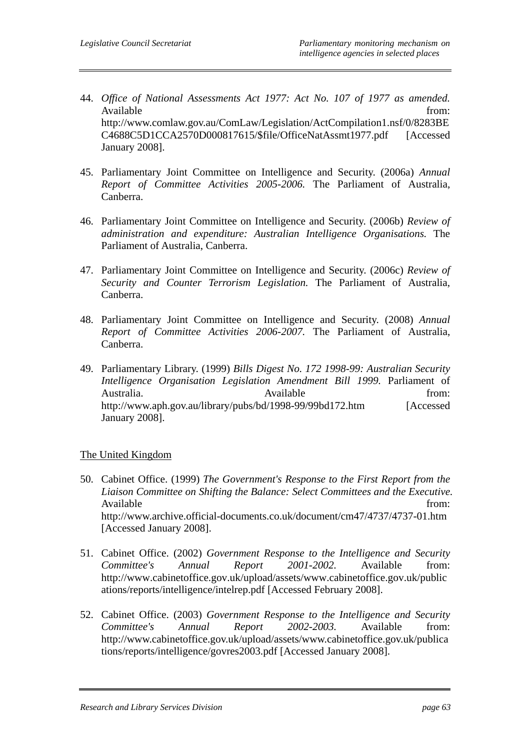- 44. *Office of National Assessments Act 1977: Act No. 107 of 1977 as amended.* Available from: http://www.comlaw.gov.au/ComLaw/Legislation/ActCompilation1.nsf/0/8283BE C4688C5D1CCA2570D000817615/\$file/OfficeNatAssmt1977.pdf [Accessed January 2008].
- 45. Parliamentary Joint Committee on Intelligence and Security. (2006a) *Annual Report of Committee Activities 2005-2006.* The Parliament of Australia, Canberra.
- 46. Parliamentary Joint Committee on Intelligence and Security. (2006b) *Review of administration and expenditure: Australian Intelligence Organisations.* The Parliament of Australia, Canberra.
- 47. Parliamentary Joint Committee on Intelligence and Security. (2006c) *Review of Security and Counter Terrorism Legislation.* The Parliament of Australia, Canberra.
- 48. Parliamentary Joint Committee on Intelligence and Security. (2008) *Annual Report of Committee Activities 2006-2007.* The Parliament of Australia, Canberra.
- 49. Parliamentary Library. (1999) *Bills Digest No. 172 1998-99: Australian Security Intelligence Organisation Legislation Amendment Bill 1999.* Parliament of Australia. Available from: http://www.aph.gov.au/library/pubs/bd/1998-99/99bd172.htm [Accessed January 2008].

#### The United Kingdom

- 50. Cabinet Office. (1999) *The Government's Response to the First Report from the Liaison Committee on Shifting the Balance: Select Committees and the Executive.* Available from:  $\blacksquare$ http://www.archive.official-documents.co.uk/document/cm47/4737/4737-01.htm [Accessed January 2008].
- 51. Cabinet Office. (2002) *Government Response to the Intelligence and Security Committee's Annual Report 2001-2002.* Available from: http://www.cabinetoffice.gov.uk/upload/assets/www.cabinetoffice.gov.uk/public ations/reports/intelligence/intelrep.pdf [Accessed February 2008].
- 52. Cabinet Office. (2003) *Government Response to the Intelligence and Security Committee's Annual Report 2002-2003.* Available from: http://www.cabinetoffice.gov.uk/upload/assets/www.cabinetoffice.gov.uk/publica tions/reports/intelligence/govres2003.pdf [Accessed January 2008].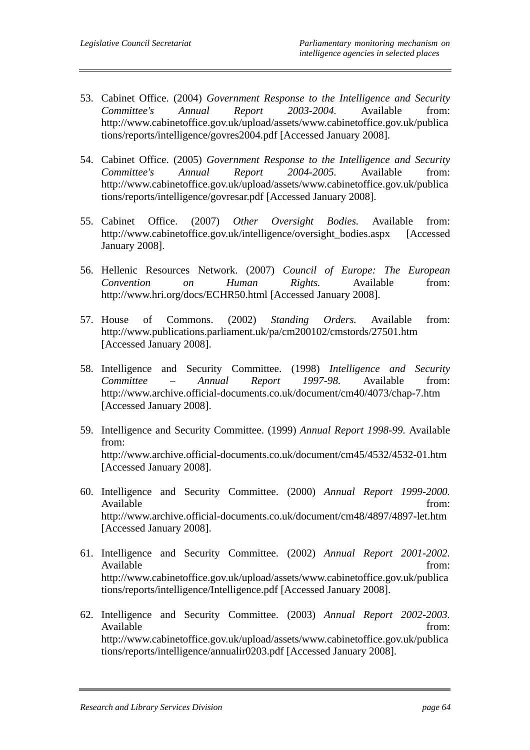- 53. Cabinet Office. (2004) *Government Response to the Intelligence and Security Committee's Annual Report 2003-2004.* Available from: http://www.cabinetoffice.gov.uk/upload/assets/www.cabinetoffice.gov.uk/publica tions/reports/intelligence/govres2004.pdf [Accessed January 2008].
- 54. Cabinet Office. (2005) *Government Response to the Intelligence and Security Committee's Annual Report 2004-2005.* Available from: http://www.cabinetoffice.gov.uk/upload/assets/www.cabinetoffice.gov.uk/publica tions/reports/intelligence/govresar.pdf [Accessed January 2008].
- 55. Cabinet Office. (2007) *Other Oversight Bodies.* Available from: http://www.cabinetoffice.gov.uk/intelligence/oversight\_bodies.aspx [Accessed January 2008].
- 56. Hellenic Resources Network. (2007) *Council of Europe: The European Convention on Human Rights.* Available from: http://www.hri.org/docs/ECHR50.html [Accessed January 2008].
- 57. House of Commons. (2002) *Standing Orders.* Available from: http://www.publications.parliament.uk/pa/cm200102/cmstords/27501.htm [Accessed January 2008].
- 58. Intelligence and Security Committee. (1998) *Intelligence and Security Committee – Annual Report 1997-98.* Available from: http://www.archive.official-documents.co.uk/document/cm40/4073/chap-7.htm [Accessed January 2008].
- 59. Intelligence and Security Committee. (1999) *Annual Report 1998-99.* Available from: http://www.archive.official-documents.co.uk/document/cm45/4532/4532-01.htm [Accessed January 2008].
- 60. Intelligence and Security Committee. (2000) *Annual Report 1999-2000.* Available from:  $\blacksquare$ http://www.archive.official-documents.co.uk/document/cm48/4897/4897-let.htm [Accessed January 2008].
- 61. Intelligence and Security Committee. (2002) *Annual Report 2001-2002.* Available from: http://www.cabinetoffice.gov.uk/upload/assets/www.cabinetoffice.gov.uk/publica tions/reports/intelligence/Intelligence.pdf [Accessed January 2008].
- 62. Intelligence and Security Committee. (2003) *Annual Report 2002-2003.* Available from: http://www.cabinetoffice.gov.uk/upload/assets/www.cabinetoffice.gov.uk/publica tions/reports/intelligence/annualir0203.pdf [Accessed January 2008].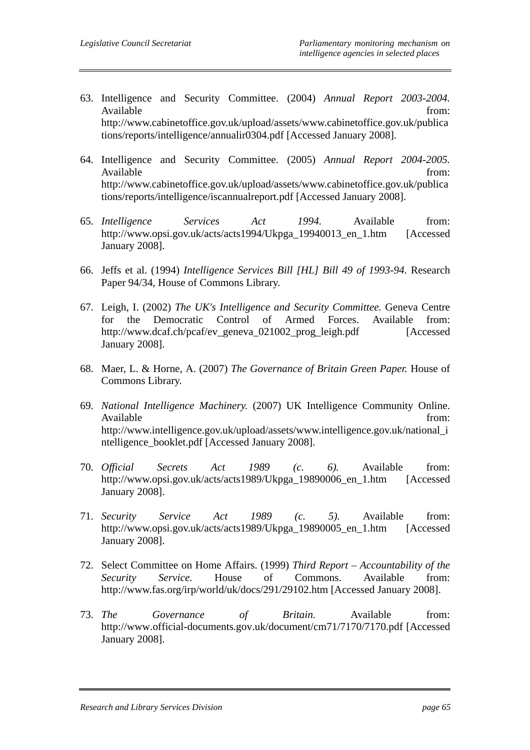- 63. Intelligence and Security Committee. (2004) *Annual Report 2003-2004.* Available from: http://www.cabinetoffice.gov.uk/upload/assets/www.cabinetoffice.gov.uk/publica tions/reports/intelligence/annualir0304.pdf [Accessed January 2008].
- 64. Intelligence and Security Committee. (2005) *Annual Report 2004-2005.* Available from: http://www.cabinetoffice.gov.uk/upload/assets/www.cabinetoffice.gov.uk/publica tions/reports/intelligence/iscannualreport.pdf [Accessed January 2008].
- 65. *Intelligence Services Act 1994.* Available from: http://www.opsi.gov.uk/acts/acts1994/Ukpga\_19940013\_en\_1.htm [Accessed January 2008].
- 66. Jeffs et al. (1994) *Intelligence Services Bill [HL] Bill 49 of 1993-94.* Research Paper 94/34, House of Commons Library.
- 67. Leigh, I. (2002) *The UK's Intelligence and Security Committee.* Geneva Centre for the Democratic Control of Armed Forces. Available from: http://www.dcaf.ch/pcaf/ev\_geneva\_021002\_prog\_leigh.pdf [Accessed January 2008].
- 68. Maer, L. & Horne, A. (2007) *The Governance of Britain Green Paper.* House of Commons Library.
- 69. *National Intelligence Machinery.* (2007) UK Intelligence Community Online. Available from: http://www.intelligence.gov.uk/upload/assets/www.intelligence.gov.uk/national\_i ntelligence\_booklet.pdf [Accessed January 2008].
- 70. *Official Secrets Act 1989 (c. 6).* Available from: http://www.opsi.gov.uk/acts/acts1989/Ukpga\_19890006\_en\_1.htm [Accessed January 2008].
- 71. *Security Service Act 1989 (c. 5).* Available from: http://www.opsi.gov.uk/acts/acts1989/Ukpga\_19890005\_en\_1.htm [Accessed January 2008].
- 72. Select Committee on Home Affairs. (1999) *Third Report Accountability of the Security Service.* House of Commons. Available from: http://www.fas.org/irp/world/uk/docs/291/29102.htm [Accessed January 2008].
- 73. *The Governance of Britain.* Available from: http://www.official-documents.gov.uk/document/cm71/7170/7170.pdf [Accessed January 2008].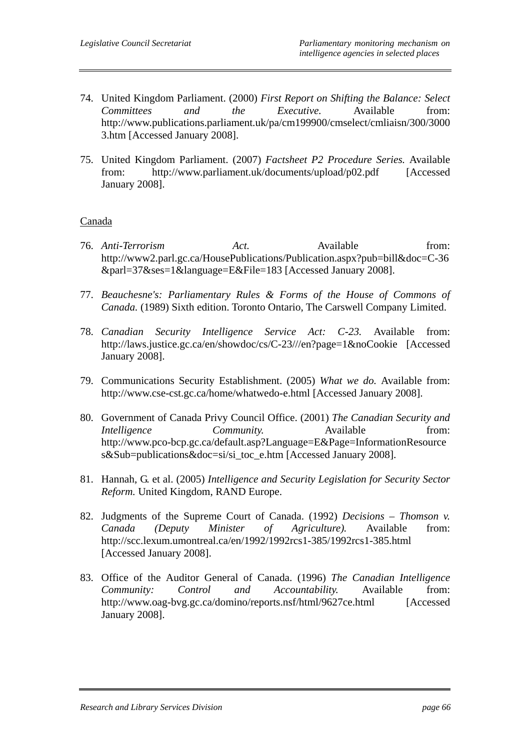- 74. United Kingdom Parliament. (2000) *First Report on Shifting the Balance: Select Committees and the Executive.* Available from: http://www.publications.parliament.uk/pa/cm199900/cmselect/cmliaisn/300/3000 3.htm [Accessed January 2008].
- 75. United Kingdom Parliament. (2007) *Factsheet P2 Procedure Series.* Available from: http://www.parliament.uk/documents/upload/p02.pdf [Accessed January 2008].

#### Canada

- 76. *Anti-Terrorism Act.* Available from: http://www2.parl.gc.ca/HousePublications/Publication.aspx?pub=bill&doc=C-36 &parl=37&ses=1&language=E&File=183 [Accessed January 2008].
- 77. *Beauchesne's: Parliamentary Rules & Forms of the House of Commons of Canada.* (1989) Sixth edition. Toronto Ontario, The Carswell Company Limited.
- 78. *Canadian Security Intelligence Service Act: C-23.* Available from: http://laws.justice.gc.ca/en/showdoc/cs/C-23///en?page=1&noCookie [Accessed January 2008].
- 79. Communications Security Establishment. (2005) *What we do.* Available from: http://www.cse-cst.gc.ca/home/whatwedo-e.html [Accessed January 2008].
- 80. Government of Canada Privy Council Office. (2001) *The Canadian Security and Intelligence Community.* Available from: http://www.pco-bcp.gc.ca/default.asp?Language=E&Page=InformationResource s&Sub=publications&doc=si/si\_toc\_e.htm [Accessed January 2008].
- 81. Hannah, G. et al. (2005) *Intelligence and Security Legislation for Security Sector Reform.* United Kingdom, RAND Europe.
- 82. Judgments of the Supreme Court of Canada. (1992) *Decisions Thomson v. Canada (Deputy Minister of Agriculture).* Available from: http://scc.lexum.umontreal.ca/en/1992/1992rcs1-385/1992rcs1-385.html [Accessed January 2008].
- 83. Office of the Auditor General of Canada. (1996) *The Canadian Intelligence Community: Control and Accountability.* Available from: http://www.oag-bvg.gc.ca/domino/reports.nsf/html/9627ce.html [Accessed January 2008].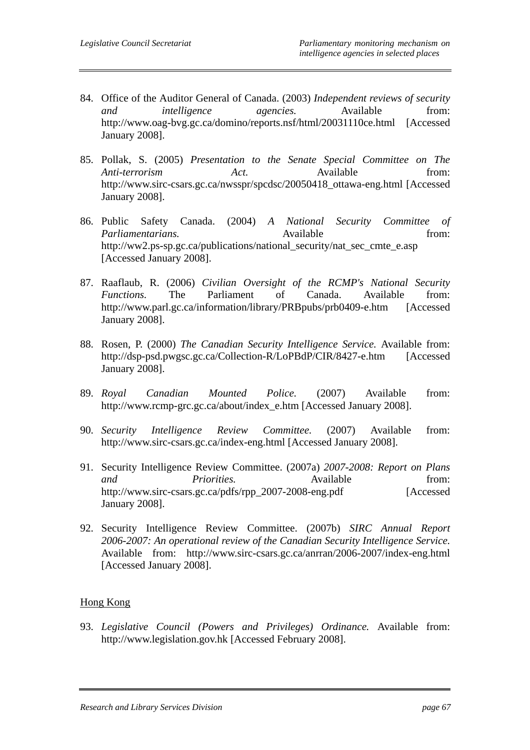- 84. Office of the Auditor General of Canada. (2003) *Independent reviews of security and intelligence agencies.* Available from: http://www.oag-bvg.gc.ca/domino/reports.nsf/html/20031110ce.html [Accessed January 2008].
- 85. Pollak, S. (2005) *Presentation to the Senate Special Committee on The Anti-terrorism Act.* Available from: http://www.sirc-csars.gc.ca/nwsspr/spcdsc/20050418\_ottawa-eng.html [Accessed] January 2008].
- 86. Public Safety Canada. (2004) *A National Security Committee of Parliamentarians.* **Communist Example 4 Available** from: http://ww2.ps-sp.gc.ca/publications/national\_security/nat\_sec\_cmte\_e.asp [Accessed January 2008].
- 87. Raaflaub, R. (2006) *Civilian Oversight of the RCMP's National Security Functions.* The Parliament of Canada. Available from: http://www.parl.gc.ca/information/library/PRBpubs/prb0409-e.htm [Accessed January 2008].
- 88. Rosen, P. (2000) *The Canadian Security Intelligence Service.* Available from: http://dsp-psd.pwgsc.gc.ca/Collection-R/LoPBdP/CIR/8427-e.htm [Accessed January 2008].
- 89. *Royal Canadian Mounted Police.* (2007) Available from: http://www.rcmp-grc.gc.ca/about/index\_e.htm [Accessed January 2008].
- 90. *Security Intelligence Review Committee.* (2007) Available from: http://www.sirc-csars.gc.ca/index-eng.html [Accessed January 2008].
- 91. Security Intelligence Review Committee. (2007a) *2007-2008: Report on Plans and Priorities.* Available from: http://www.sirc-csars.gc.ca/pdfs/rpp\_2007-2008-eng.pdf [Accessed January 2008].
- 92. Security Intelligence Review Committee. (2007b) *SIRC Annual Report 2006-2007: An operational review of the Canadian Security Intelligence Service.* Available from: http://www.sirc-csars.gc.ca/anrran/2006-2007/index-eng.html [Accessed January 2008].

## Hong Kong

93. *Legislative Council (Powers and Privileges) Ordinance.* Available from: http://www.legislation.gov.hk [Accessed February 2008].